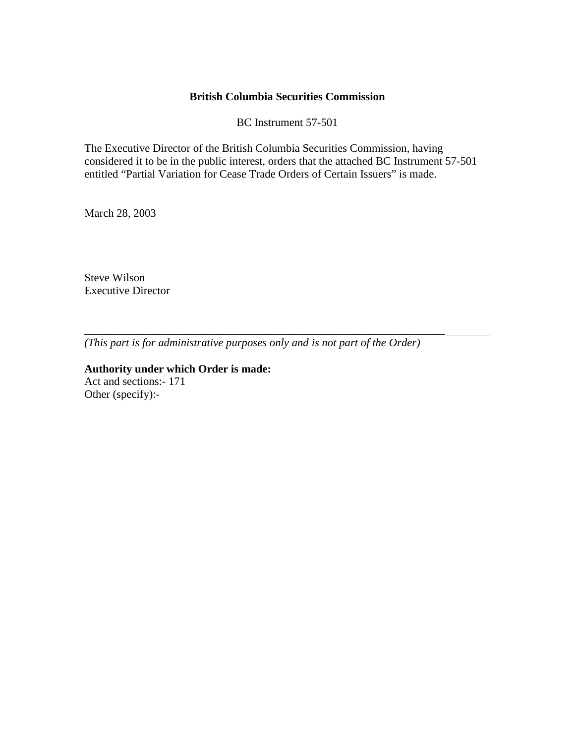#### **British Columbia Securities Commission**

BC Instrument 57-501

The Executive Director of the British Columbia Securities Commission, having considered it to be in the public interest, orders that the attached BC Instrument 57-501 entitled "Partial Variation for Cease Trade Orders of Certain Issuers" is made.

March 28, 2003

Steve Wilson Executive Director

*(This part is for administrative purposes only and is not part of the Order)* 

\_\_\_\_\_\_\_\_\_\_\_\_\_\_\_\_\_\_\_\_\_\_\_\_\_\_\_\_\_\_\_\_\_\_\_\_\_\_\_\_\_\_\_\_\_\_\_\_\_\_\_\_\_\_\_\_\_\_\_\_\_\_\_\_

**Authority under which Order is made:**  Act and sections:- 171 Other (specify):-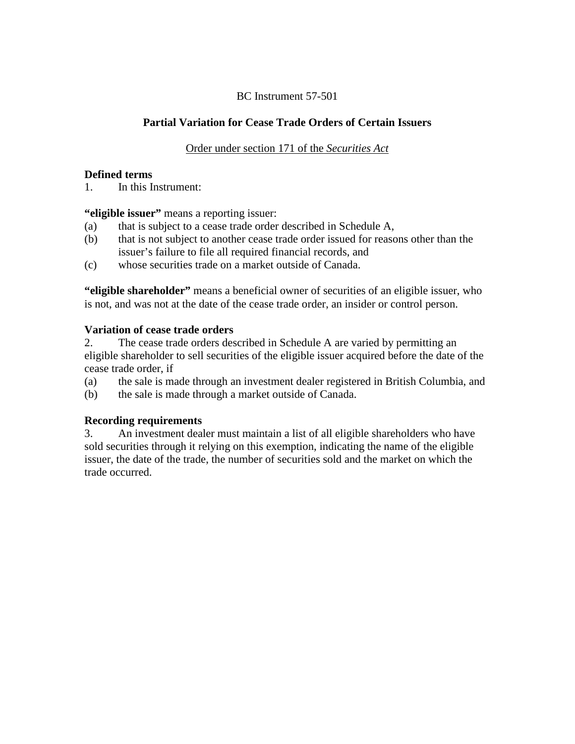#### BC Instrument 57-501

# **Partial Variation for Cease Trade Orders of Certain Issuers**

### Order under section 171 of the *Securities Act*

#### **Defined terms**

1. In this Instrument:

**"eligible issuer"** means a reporting issuer:

- (a) that is subject to a cease trade order described in Schedule A,
- (b) that is not subject to another cease trade order issued for reasons other than the issuer's failure to file all required financial records, and
- (c) whose securities trade on a market outside of Canada.

**"eligible shareholder"** means a beneficial owner of securities of an eligible issuer, who is not, and was not at the date of the cease trade order, an insider or control person.

#### **Variation of cease trade orders**

2. The cease trade orders described in Schedule A are varied by permitting an eligible shareholder to sell securities of the eligible issuer acquired before the date of the cease trade order, if

- (a) the sale is made through an investment dealer registered in British Columbia, and
- (b) the sale is made through a market outside of Canada.

## **Recording requirements**

3. An investment dealer must maintain a list of all eligible shareholders who have sold securities through it relying on this exemption, indicating the name of the eligible issuer, the date of the trade, the number of securities sold and the market on which the trade occurred.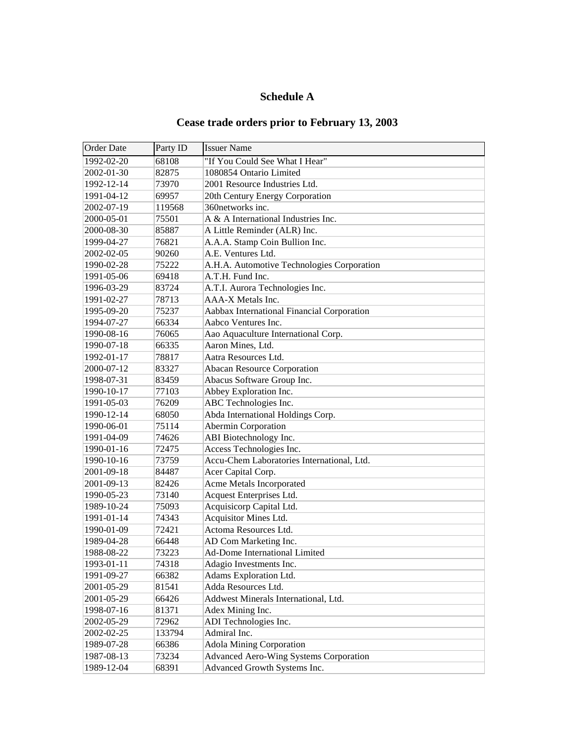# **Schedule A**

# **Cease trade orders prior to February 13, 2003**

| <b>Order Date</b> | Party ID | <b>Issuer Name</b>                            |
|-------------------|----------|-----------------------------------------------|
| 1992-02-20        | 68108    | "If You Could See What I Hear"                |
| 2002-01-30        | 82875    | 1080854 Ontario Limited                       |
| 1992-12-14        | 73970    | 2001 Resource Industries Ltd.                 |
| 1991-04-12        | 69957    | 20th Century Energy Corporation               |
| 2002-07-19        | 119568   | 360networks inc.                              |
| 2000-05-01        | 75501    | A & A International Industries Inc.           |
| 2000-08-30        | 85887    | A Little Reminder (ALR) Inc.                  |
| 1999-04-27        | 76821    | A.A.A. Stamp Coin Bullion Inc.                |
| 2002-02-05        | 90260    | A.E. Ventures Ltd.                            |
| 1990-02-28        | 75222    | A.H.A. Automotive Technologies Corporation    |
| 1991-05-06        | 69418    | A.T.H. Fund Inc.                              |
| 1996-03-29        | 83724    | A.T.I. Aurora Technologies Inc.               |
| 1991-02-27        | 78713    | AAA-X Metals Inc.                             |
| 1995-09-20        | 75237    | Aabbax International Financial Corporation    |
| 1994-07-27        | 66334    | Aabco Ventures Inc.                           |
| 1990-08-16        | 76065    | Aao Aquaculture International Corp.           |
| 1990-07-18        | 66335    | Aaron Mines, Ltd.                             |
| 1992-01-17        | 78817    | Aatra Resources Ltd.                          |
| 2000-07-12        | 83327    | <b>Abacan Resource Corporation</b>            |
| 1998-07-31        | 83459    | Abacus Software Group Inc.                    |
| 1990-10-17        | 77103    | Abbey Exploration Inc.                        |
| 1991-05-03        | 76209    | ABC Technologies Inc.                         |
| 1990-12-14        | 68050    | Abda International Holdings Corp.             |
| 1990-06-01        | 75114    | Abermin Corporation                           |
| 1991-04-09        | 74626    | ABI Biotechnology Inc.                        |
| 1990-01-16        | 72475    | Access Technologies Inc.                      |
| 1990-10-16        | 73759    | Accu-Chem Laboratories International, Ltd.    |
| 2001-09-18        | 84487    | Acer Capital Corp.                            |
| 2001-09-13        | 82426    | Acme Metals Incorporated                      |
| 1990-05-23        | 73140    | Acquest Enterprises Ltd.                      |
| 1989-10-24        | 75093    | Acquisicorp Capital Ltd.                      |
| 1991-01-14        | 74343    | Acquisitor Mines Ltd.                         |
| 1990-01-09        | 72421    | Actoma Resources Ltd.                         |
| 1989-04-28        | 66448    | AD Com Marketing Inc.                         |
| 1988-08-22        | 73223    | <b>Ad-Dome International Limited</b>          |
| 1993-01-11        | 74318    | Adagio Investments Inc.                       |
| 1991-09-27        | 66382    | Adams Exploration Ltd.                        |
| 2001-05-29        | 81541    | Adda Resources Ltd.                           |
| 2001-05-29        | 66426    | Addwest Minerals International, Ltd.          |
| 1998-07-16        | 81371    | Adex Mining Inc.                              |
| 2002-05-29        | 72962    | ADI Technologies Inc.                         |
| 2002-02-25        | 133794   | Admiral Inc.                                  |
| 1989-07-28        | 66386    | <b>Adola Mining Corporation</b>               |
| 1987-08-13        | 73234    | <b>Advanced Aero-Wing Systems Corporation</b> |
| 1989-12-04        | 68391    | Advanced Growth Systems Inc.                  |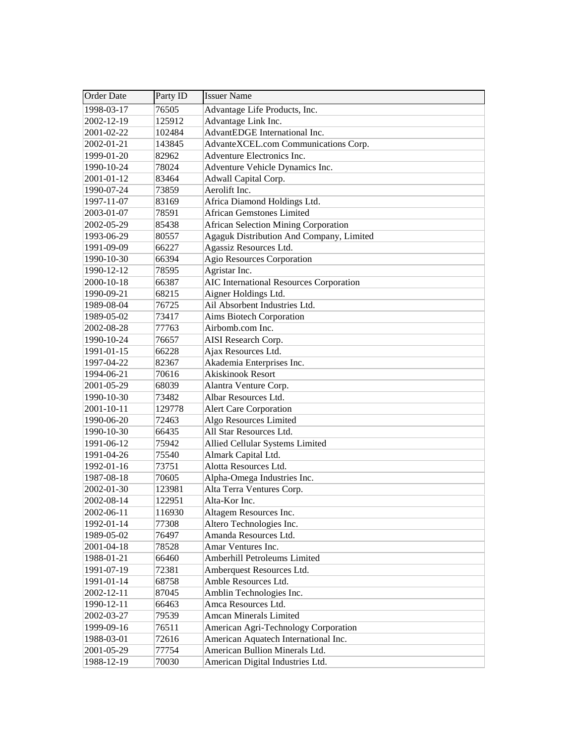| <b>Order Date</b> | Party ID | <b>Issuer Name</b>                          |
|-------------------|----------|---------------------------------------------|
| 1998-03-17        | 76505    | Advantage Life Products, Inc.               |
| 2002-12-19        | 125912   | Advantage Link Inc.                         |
| 2001-02-22        | 102484   | AdvantEDGE International Inc.               |
| 2002-01-21        | 143845   | AdvanteXCEL.com Communications Corp.        |
| 1999-01-20        | 82962    | Adventure Electronics Inc.                  |
| 1990-10-24        | 78024    | Adventure Vehicle Dynamics Inc.             |
| 2001-01-12        | 83464    | Adwall Capital Corp.                        |
| 1990-07-24        | 73859    | Aerolift Inc.                               |
| 1997-11-07        | 83169    | Africa Diamond Holdings Ltd.                |
| 2003-01-07        | 78591    | <b>African Gemstones Limited</b>            |
| 2002-05-29        | 85438    | <b>African Selection Mining Corporation</b> |
| 1993-06-29        | 80557    | Agaguk Distribution And Company, Limited    |
| 1991-09-09        | 66227    | Agassiz Resources Ltd.                      |
| 1990-10-30        | 66394    | <b>Agio Resources Corporation</b>           |
| 1990-12-12        | 78595    | Agristar Inc.                               |
| 2000-10-18        | 66387    | AIC International Resources Corporation     |
| 1990-09-21        | 68215    | Aigner Holdings Ltd.                        |
| 1989-08-04        | 76725    | Ail Absorbent Industries Ltd.               |
| 1989-05-02        | 73417    | <b>Aims Biotech Corporation</b>             |
| 2002-08-28        | 77763    | Airbomb.com Inc.                            |
| 1990-10-24        | 76657    | AISI Research Corp.                         |
| 1991-01-15        | 66228    | Ajax Resources Ltd.                         |
| 1997-04-22        | 82367    | Akademia Enterprises Inc.                   |
| 1994-06-21        | 70616    | <b>Akiskinook Resort</b>                    |
| 2001-05-29        | 68039    | Alantra Venture Corp.                       |
| 1990-10-30        | 73482    | Albar Resources Ltd.                        |
| 2001-10-11        | 129778   | <b>Alert Care Corporation</b>               |
| 1990-06-20        | 72463    | Algo Resources Limited                      |
| 1990-10-30        | 66435    | All Star Resources Ltd.                     |
| 1991-06-12        | 75942    | Allied Cellular Systems Limited             |
| 1991-04-26        | 75540    | Almark Capital Ltd.                         |
| 1992-01-16        | 73751    | Alotta Resources Ltd.                       |
| 1987-08-18        | 70605    | Alpha-Omega Industries Inc.                 |
| 2002-01-30        | 123981   | Alta Terra Ventures Corp.                   |
| 2002-08-14        | 122951   | Alta-Kor Inc.                               |
| 2002-06-11        | 116930   | Altagem Resources Inc.                      |
| 1992-01-14        | 77308    | Altero Technologies Inc.                    |
| 1989-05-02        | 76497    | Amanda Resources Ltd.                       |
| 2001-04-18        | 78528    | Amar Ventures Inc.                          |
| 1988-01-21        | 66460    | Amberhill Petroleums Limited                |
| 1991-07-19        | 72381    | Amberquest Resources Ltd.                   |
| 1991-01-14        | 68758    | Amble Resources Ltd.                        |
| 2002-12-11        | 87045    | Amblin Technologies Inc.                    |
| 1990-12-11        | 66463    | Amca Resources Ltd.                         |
| 2002-03-27        | 79539    | <b>Amcan Minerals Limited</b>               |
| 1999-09-16        | 76511    | American Agri-Technology Corporation        |
| 1988-03-01        | 72616    | American Aquatech International Inc.        |
| 2001-05-29        | 77754    | American Bullion Minerals Ltd.              |
| 1988-12-19        | 70030    | American Digital Industries Ltd.            |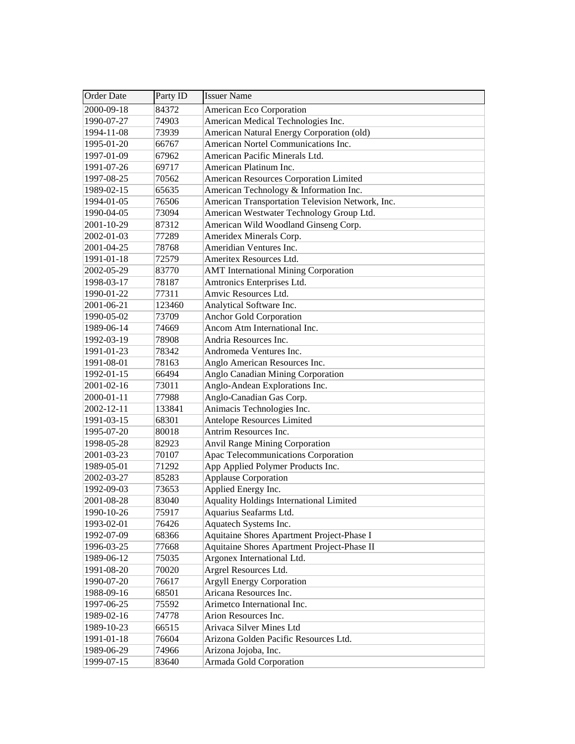| <b>Order Date</b> | Party ID | <b>Issuer Name</b>                               |
|-------------------|----------|--------------------------------------------------|
| 2000-09-18        | 84372    | American Eco Corporation                         |
| 1990-07-27        | 74903    | American Medical Technologies Inc.               |
| 1994-11-08        | 73939    | American Natural Energy Corporation (old)        |
| 1995-01-20        | 66767    | American Nortel Communications Inc.              |
| 1997-01-09        | 67962    | American Pacific Minerals Ltd.                   |
| 1991-07-26        | 69717    | American Platinum Inc.                           |
| 1997-08-25        | 70562    | American Resources Corporation Limited           |
| 1989-02-15        | 65635    | American Technology & Information Inc.           |
| 1994-01-05        | 76506    | American Transportation Television Network, Inc. |
| 1990-04-05        | 73094    | American Westwater Technology Group Ltd.         |
| 2001-10-29        | 87312    | American Wild Woodland Ginseng Corp.             |
| 2002-01-03        | 77289    | Ameridex Minerals Corp.                          |
| 2001-04-25        | 78768    | Ameridian Ventures Inc.                          |
| 1991-01-18        | 72579    | Ameritex Resources Ltd.                          |
| 2002-05-29        | 83770    | <b>AMT</b> International Mining Corporation      |
| 1998-03-17        | 78187    | Amtronics Enterprises Ltd.                       |
| 1990-01-22        | 77311    | Amvic Resources Ltd.                             |
| 2001-06-21        | 123460   | Analytical Software Inc.                         |
| 1990-05-02        | 73709    | <b>Anchor Gold Corporation</b>                   |
| 1989-06-14        | 74669    | Ancom Atm International Inc.                     |
| 1992-03-19        | 78908    | Andria Resources Inc.                            |
| 1991-01-23        | 78342    | Andromeda Ventures Inc.                          |
| 1991-08-01        | 78163    | Anglo American Resources Inc.                    |
| 1992-01-15        | 66494    | Anglo Canadian Mining Corporation                |
| 2001-02-16        | 73011    | Anglo-Andean Explorations Inc.                   |
| 2000-01-11        | 77988    | Anglo-Canadian Gas Corp.                         |
| 2002-12-11        | 133841   | Animacis Technologies Inc.                       |
| 1991-03-15        | 68301    | <b>Antelope Resources Limited</b>                |
| 1995-07-20        | 80018    | Antrim Resources Inc.                            |
| 1998-05-28        | 82923    | <b>Anvil Range Mining Corporation</b>            |
| 2001-03-23        | 70107    | Apac Telecommunications Corporation              |
| 1989-05-01        | 71292    | App Applied Polymer Products Inc.                |
| 2002-03-27        | 85283    | <b>Applause Corporation</b>                      |
| 1992-09-03        | 73653    | Applied Energy Inc.                              |
| 2001-08-28        | 83040    | <b>Aquality Holdings International Limited</b>   |
| 1990-10-26        | 75917    | Aquarius Seafarms Ltd.                           |
| 1993-02-01        | 76426    | Aquatech Systems Inc.                            |
| 1992-07-09        | 68366    | Aquitaine Shores Apartment Project-Phase I       |
| 1996-03-25        | 77668    | Aquitaine Shores Apartment Project-Phase II      |
| 1989-06-12        | 75035    | Argonex International Ltd.                       |
| 1991-08-20        | 70020    | Argrel Resources Ltd.                            |
| 1990-07-20        | 76617    | <b>Argyll Energy Corporation</b>                 |
| 1988-09-16        | 68501    | Aricana Resources Inc.                           |
| 1997-06-25        | 75592    | Arimetco International Inc.                      |
| 1989-02-16        | 74778    | Arion Resources Inc.                             |
| 1989-10-23        | 66515    | Arivaca Silver Mines Ltd                         |
| 1991-01-18        | 76604    | Arizona Golden Pacific Resources Ltd.            |
| 1989-06-29        | 74966    | Arizona Jojoba, Inc.                             |
| 1999-07-15        | 83640    | Armada Gold Corporation                          |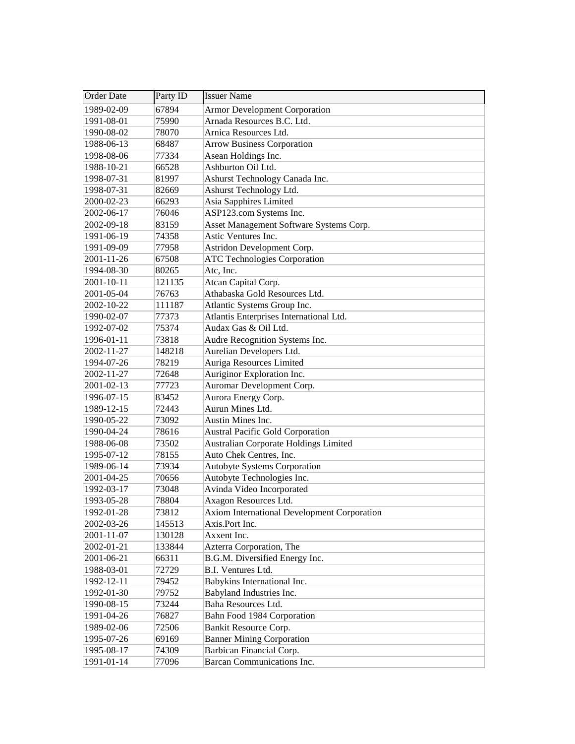| <b>Order Date</b> | Party ID | <b>Issuer Name</b>                           |
|-------------------|----------|----------------------------------------------|
| 1989-02-09        | 67894    | <b>Armor Development Corporation</b>         |
| 1991-08-01        | 75990    | Arnada Resources B.C. Ltd.                   |
| 1990-08-02        | 78070    | Arnica Resources Ltd.                        |
| 1988-06-13        | 68487    | <b>Arrow Business Corporation</b>            |
| 1998-08-06        | 77334    | Asean Holdings Inc.                          |
| 1988-10-21        | 66528    | Ashburton Oil Ltd.                           |
| 1998-07-31        | 81997    | Ashurst Technology Canada Inc.               |
| 1998-07-31        | 82669    | Ashurst Technology Ltd.                      |
| 2000-02-23        | 66293    | Asia Sapphires Limited                       |
| 2002-06-17        | 76046    | ASP123.com Systems Inc.                      |
| 2002-09-18        | 83159    | Asset Management Software Systems Corp.      |
| 1991-06-19        | 74358    | Astic Ventures Inc.                          |
| 1991-09-09        | 77958    | Astridon Development Corp.                   |
| 2001-11-26        | 67508    | <b>ATC Technologies Corporation</b>          |
| 1994-08-30        | 80265    | Atc, Inc.                                    |
| 2001-10-11        | 121135   | Atcan Capital Corp.                          |
| 2001-05-04        | 76763    | Athabaska Gold Resources Ltd.                |
| 2002-10-22        | 111187   | Atlantic Systems Group Inc.                  |
| 1990-02-07        | 77373    | Atlantis Enterprises International Ltd.      |
| 1992-07-02        | 75374    | Audax Gas & Oil Ltd.                         |
| 1996-01-11        | 73818    | Audre Recognition Systems Inc.               |
| 2002-11-27        | 148218   | Aurelian Developers Ltd.                     |
| 1994-07-26        | 78219    | Auriga Resources Limited                     |
| 2002-11-27        | 72648    | Auriginor Exploration Inc.                   |
| 2001-02-13        | 77723    | Auromar Development Corp.                    |
| 1996-07-15        | 83452    | Aurora Energy Corp.                          |
| 1989-12-15        | 72443    | Aurun Mines Ltd.                             |
| 1990-05-22        | 73092    | Austin Mines Inc.                            |
| 1990-04-24        | 78616    | <b>Austral Pacific Gold Corporation</b>      |
| 1988-06-08        | 73502    | <b>Australian Corporate Holdings Limited</b> |
| 1995-07-12        | 78155    | Auto Chek Centres, Inc.                      |
| 1989-06-14        | 73934    | <b>Autobyte Systems Corporation</b>          |
| 2001-04-25        | 70656    | Autobyte Technologies Inc.                   |
| 1992-03-17        | 73048    | Avinda Video Incorporated                    |
| 1993-05-28        | 78804    | Axagon Resources Ltd.                        |
| 1992-01-28        | 73812    | Axiom International Development Corporation  |
| 2002-03-26        | 145513   | Axis.Port Inc.                               |
| 2001-11-07        | 130128   | Axxent Inc.                                  |
| 2002-01-21        | 133844   | Azterra Corporation, The                     |
| 2001-06-21        | 66311    | B.G.M. Diversified Energy Inc.               |
| 1988-03-01        | 72729    | B.I. Ventures Ltd.                           |
| 1992-12-11        | 79452    | Babykins International Inc.                  |
| 1992-01-30        | 79752    | Babyland Industries Inc.                     |
| 1990-08-15        | 73244    | Baha Resources Ltd.                          |
| 1991-04-26        | 76827    | Bahn Food 1984 Corporation                   |
| 1989-02-06        | 72506    | Bankit Resource Corp.                        |
| 1995-07-26        | 69169    | <b>Banner Mining Corporation</b>             |
| 1995-08-17        | 74309    | Barbican Financial Corp.                     |
| 1991-01-14        | 77096    | Barcan Communications Inc.                   |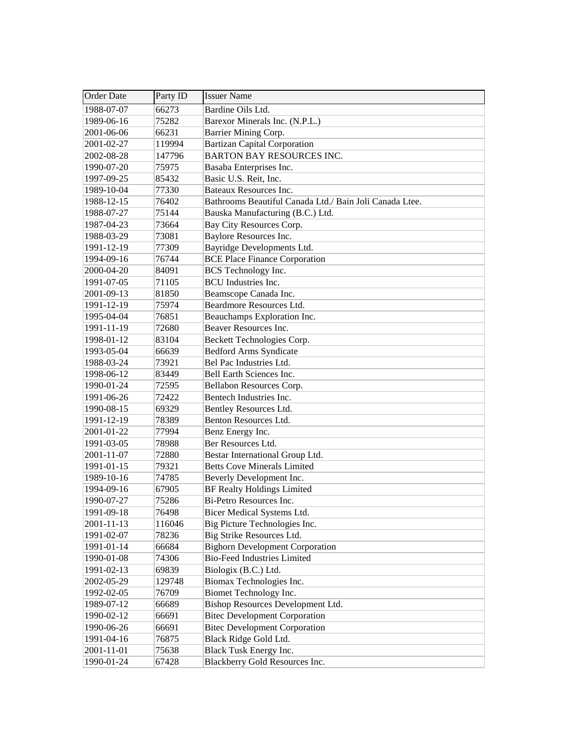| <b>Order Date</b> | Party ID | <b>Issuer Name</b>                                      |
|-------------------|----------|---------------------------------------------------------|
| 1988-07-07        | 66273    | Bardine Oils Ltd.                                       |
| 1989-06-16        | 75282    | Barexor Minerals Inc. (N.P.L.)                          |
| 2001-06-06        | 66231    | Barrier Mining Corp.                                    |
| 2001-02-27        | 119994   | <b>Bartizan Capital Corporation</b>                     |
| 2002-08-28        | 147796   | <b>BARTON BAY RESOURCES INC.</b>                        |
| 1990-07-20        | 75975    | Basaba Enterprises Inc.                                 |
| 1997-09-25        | 85432    | Basic U.S. Reit, Inc.                                   |
| 1989-10-04        | 77330    | Bateaux Resources Inc.                                  |
| 1988-12-15        | 76402    | Bathrooms Beautiful Canada Ltd./ Bain Joli Canada Ltee. |
| 1988-07-27        | 75144    | Bauska Manufacturing (B.C.) Ltd.                        |
| 1987-04-23        | 73664    | Bay City Resources Corp.                                |
| 1988-03-29        | 73081    | Baylore Resources Inc.                                  |
| 1991-12-19        | 77309    | Bayridge Developments Ltd.                              |
| 1994-09-16        | 76744    | <b>BCE Place Finance Corporation</b>                    |
| 2000-04-20        | 84091    | <b>BCS</b> Technology Inc.                              |
| 1991-07-05        | 71105    | <b>BCU</b> Industries Inc.                              |
| 2001-09-13        | 81850    | Beamscope Canada Inc.                                   |
| 1991-12-19        | 75974    | Beardmore Resources Ltd.                                |
| 1995-04-04        | 76851    | Beauchamps Exploration Inc.                             |
| 1991-11-19        | 72680    | Beaver Resources Inc.                                   |
| 1998-01-12        | 83104    | Beckett Technologies Corp.                              |
| 1993-05-04        | 66639    | <b>Bedford Arms Syndicate</b>                           |
| 1988-03-24        | 73921    | Bel Pac Industries Ltd.                                 |
| 1998-06-12        | 83449    | Bell Earth Sciences Inc.                                |
| 1990-01-24        | 72595    | Bellabon Resources Corp.                                |
| 1991-06-26        | 72422    | Bentech Industries Inc.                                 |
| 1990-08-15        | 69329    | Bentley Resources Ltd.                                  |
| 1991-12-19        | 78389    | Benton Resources Ltd.                                   |
| 2001-01-22        | 77994    | Benz Energy Inc.                                        |
| 1991-03-05        | 78988    | Ber Resources Ltd.                                      |
| 2001-11-07        | 72880    | Bestar International Group Ltd.                         |
| 1991-01-15        | 79321    | <b>Betts Cove Minerals Limited</b>                      |
| 1989-10-16        | 74785    | Beverly Development Inc.                                |
| 1994-09-16        | 67905    | <b>BF Realty Holdings Limited</b>                       |
| 1990-07-27        | 75286    | Bi-Petro Resources Inc.                                 |
| 1991-09-18        | 76498    | Bicer Medical Systems Ltd.                              |
| 2001-11-13        | 116046   | Big Picture Technologies Inc.                           |
| 1991-02-07        | 78236    | Big Strike Resources Ltd.                               |
| 1991-01-14        | 66684    | <b>Bighorn Development Corporation</b>                  |
| 1990-01-08        | 74306    | <b>Bio-Feed Industries Limited</b>                      |
| 1991-02-13        | 69839    | Biologix (B.C.) Ltd.                                    |
| 2002-05-29        | 129748   | Biomax Technologies Inc.                                |
| 1992-02-05        | 76709    | Biomet Technology Inc.                                  |
| 1989-07-12        | 66689    | Bishop Resources Development Ltd.                       |
| 1990-02-12        | 66691    | <b>Bitec Development Corporation</b>                    |
| 1990-06-26        | 66691    | <b>Bitec Development Corporation</b>                    |
| 1991-04-16        | 76875    | Black Ridge Gold Ltd.                                   |
| 2001-11-01        | 75638    | Black Tusk Energy Inc.                                  |
| 1990-01-24        | 67428    | Blackberry Gold Resources Inc.                          |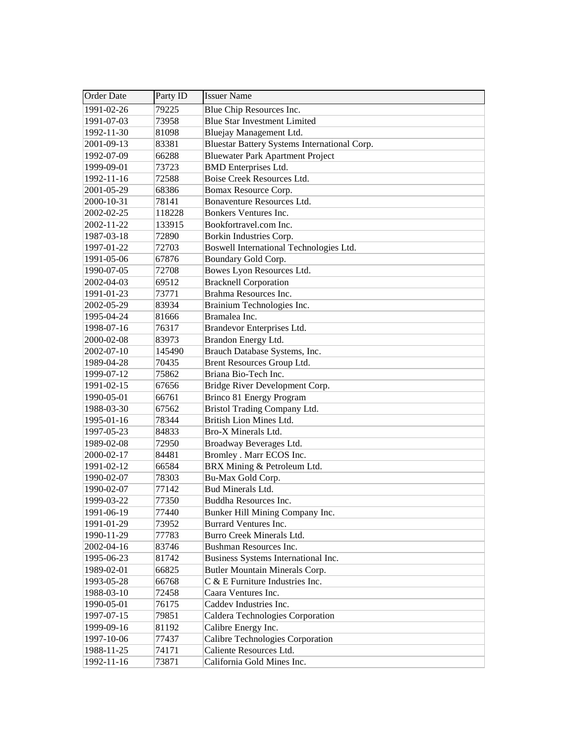| Order Date | Party ID | <b>Issuer Name</b>                           |
|------------|----------|----------------------------------------------|
| 1991-02-26 | 79225    | Blue Chip Resources Inc.                     |
| 1991-07-03 | 73958    | <b>Blue Star Investment Limited</b>          |
| 1992-11-30 | 81098    | Bluejay Management Ltd.                      |
| 2001-09-13 | 83381    | Bluestar Battery Systems International Corp. |
| 1992-07-09 | 66288    | <b>Bluewater Park Apartment Project</b>      |
| 1999-09-01 | 73723    | <b>BMD</b> Enterprises Ltd.                  |
| 1992-11-16 | 72588    | Boise Creek Resources Ltd.                   |
| 2001-05-29 | 68386    | Bomax Resource Corp.                         |
| 2000-10-31 | 78141    | Bonaventure Resources Ltd.                   |
| 2002-02-25 | 118228   | Bonkers Ventures Inc.                        |
| 2002-11-22 | 133915   | Bookfortravel.com Inc.                       |
| 1987-03-18 | 72890    | Borkin Industries Corp.                      |
| 1997-01-22 | 72703    | Boswell International Technologies Ltd.      |
| 1991-05-06 | 67876    | Boundary Gold Corp.                          |
| 1990-07-05 | 72708    | Bowes Lyon Resources Ltd.                    |
| 2002-04-03 | 69512    | <b>Bracknell Corporation</b>                 |
| 1991-01-23 | 73771    | Brahma Resources Inc.                        |
| 2002-05-29 | 83934    | Brainium Technologies Inc.                   |
| 1995-04-24 | 81666    | Bramalea Inc.                                |
| 1998-07-16 | 76317    | Brandevor Enterprises Ltd.                   |
| 2000-02-08 | 83973    | Brandon Energy Ltd.                          |
| 2002-07-10 | 145490   | Brauch Database Systems, Inc.                |
| 1989-04-28 | 70435    | Brent Resources Group Ltd.                   |
| 1999-07-12 | 75862    | Briana Bio-Tech Inc.                         |
| 1991-02-15 | 67656    | Bridge River Development Corp.               |
| 1990-05-01 | 66761    | Brinco 81 Energy Program                     |
| 1988-03-30 | 67562    | Bristol Trading Company Ltd.                 |
| 1995-01-16 | 78344    | British Lion Mines Ltd.                      |
| 1997-05-23 | 84833    | Bro-X Minerals Ltd.                          |
| 1989-02-08 | 72950    | Broadway Beverages Ltd.                      |
| 2000-02-17 | 84481    | Bromley . Marr ECOS Inc.                     |
| 1991-02-12 | 66584    | BRX Mining & Petroleum Ltd.                  |
| 1990-02-07 | 78303    | Bu-Max Gold Corp.                            |
| 1990-02-07 | 77142    | Bud Minerals Ltd.                            |
| 1999-03-22 | 77350    | Buddha Resources Inc.                        |
| 1991-06-19 | 77440    | Bunker Hill Mining Company Inc.              |
| 1991-01-29 | 73952    | Burrard Ventures Inc.                        |
| 1990-11-29 | 77783    | Burro Creek Minerals Ltd.                    |
| 2002-04-16 | 83746    | Bushman Resources Inc.                       |
| 1995-06-23 | 81742    | Business Systems International Inc.          |
| 1989-02-01 | 66825    | <b>Butler Mountain Minerals Corp.</b>        |
| 1993-05-28 | 66768    | C & E Furniture Industries Inc.              |
| 1988-03-10 | 72458    | Caara Ventures Inc.                          |
| 1990-05-01 | 76175    | Caddev Industries Inc.                       |
| 1997-07-15 | 79851    | Caldera Technologies Corporation             |
| 1999-09-16 | 81192    | Calibre Energy Inc.                          |
| 1997-10-06 | 77437    | Calibre Technologies Corporation             |
| 1988-11-25 | 74171    | Caliente Resources Ltd.                      |
| 1992-11-16 | 73871    | California Gold Mines Inc.                   |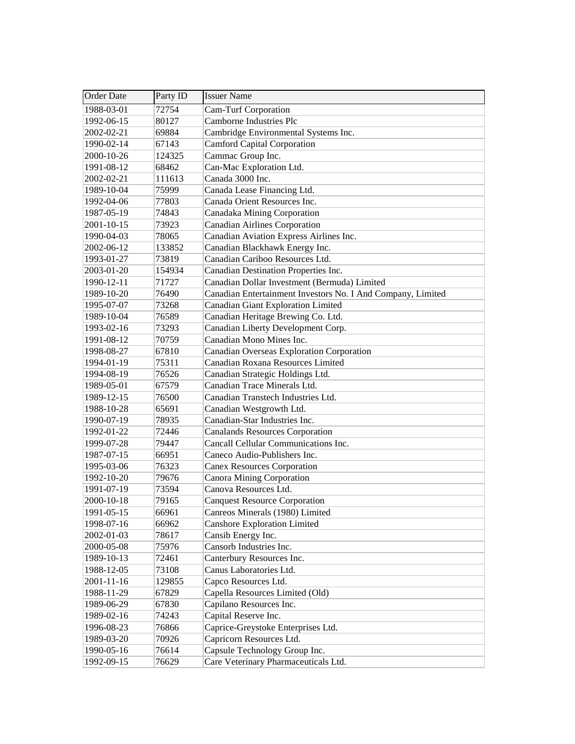| <b>Order Date</b> | Party ID | <b>Issuer Name</b>                                          |
|-------------------|----------|-------------------------------------------------------------|
| 1988-03-01        | 72754    | <b>Cam-Turf Corporation</b>                                 |
| 1992-06-15        | 80127    | Camborne Industries Plc                                     |
| 2002-02-21        | 69884    | Cambridge Environmental Systems Inc.                        |
| 1990-02-14        | 67143    | <b>Camford Capital Corporation</b>                          |
| 2000-10-26        | 124325   | Cammac Group Inc.                                           |
| 1991-08-12        | 68462    | Can-Mac Exploration Ltd.                                    |
| 2002-02-21        | 111613   | Canada 3000 Inc.                                            |
| 1989-10-04        | 75999    | Canada Lease Financing Ltd.                                 |
| 1992-04-06        | 77803    | Canada Orient Resources Inc.                                |
| 1987-05-19        | 74843    | Canadaka Mining Corporation                                 |
| 2001-10-15        | 73923    | <b>Canadian Airlines Corporation</b>                        |
| 1990-04-03        | 78065    | Canadian Aviation Express Airlines Inc.                     |
| 2002-06-12        | 133852   | Canadian Blackhawk Energy Inc.                              |
| 1993-01-27        | 73819    | Canadian Cariboo Resources Ltd.                             |
| 2003-01-20        | 154934   | Canadian Destination Properties Inc.                        |
| 1990-12-11        | 71727    | Canadian Dollar Investment (Bermuda) Limited                |
| 1989-10-20        | 76490    | Canadian Entertainment Investors No. I And Company, Limited |
| 1995-07-07        | 73268    | Canadian Giant Exploration Limited                          |
| 1989-10-04        | 76589    | Canadian Heritage Brewing Co. Ltd.                          |
| 1993-02-16        | 73293    | Canadian Liberty Development Corp.                          |
| 1991-08-12        | 70759    | Canadian Mono Mines Inc.                                    |
| 1998-08-27        | 67810    | Canadian Overseas Exploration Corporation                   |
| 1994-01-19        | 75311    | Canadian Roxana Resources Limited                           |
| 1994-08-19        | 76526    | Canadian Strategic Holdings Ltd.                            |
| 1989-05-01        | 67579    | Canadian Trace Minerals Ltd.                                |
| 1989-12-15        | 76500    | Canadian Transtech Industries Ltd.                          |
| 1988-10-28        | 65691    | Canadian Westgrowth Ltd.                                    |
| 1990-07-19        | 78935    | Canadian-Star Industries Inc.                               |
| 1992-01-22        | 72446    | <b>Canalands Resources Corporation</b>                      |
| 1999-07-28        | 79447    | Cancall Cellular Communications Inc.                        |
| 1987-07-15        | 66951    | Caneco Audio-Publishers Inc.                                |
| 1995-03-06        | 76323    | <b>Canex Resources Corporation</b>                          |
| 1992-10-20        | 79676    | <b>Canora Mining Corporation</b>                            |
| 1991-07-19        | 73594    | Canova Resources Ltd.                                       |
| 2000-10-18        | 79165    | <b>Canquest Resource Corporation</b>                        |
| 1991-05-15        | 66961    | Canreos Minerals (1980) Limited                             |
| 1998-07-16        | 66962    | <b>Canshore Exploration Limited</b>                         |
| 2002-01-03        | 78617    | Cansib Energy Inc.                                          |
| 2000-05-08        | 75976    | Cansorb Industries Inc.                                     |
| 1989-10-13        | 72461    | Canterbury Resources Inc.                                   |
| 1988-12-05        | 73108    | Canus Laboratories Ltd.                                     |
| 2001-11-16        | 129855   | Capco Resources Ltd.                                        |
| 1988-11-29        | 67829    | Capella Resources Limited (Old)                             |
| 1989-06-29        | 67830    | Capilano Resources Inc.                                     |
| 1989-02-16        | 74243    | Capital Reserve Inc.                                        |
| 1996-08-23        | 76866    | Caprice-Greystoke Enterprises Ltd.                          |
| 1989-03-20        | 70926    | Capricorn Resources Ltd.                                    |
| 1990-05-16        | 76614    | Capsule Technology Group Inc.                               |
| 1992-09-15        | 76629    | Care Veterinary Pharmaceuticals Ltd.                        |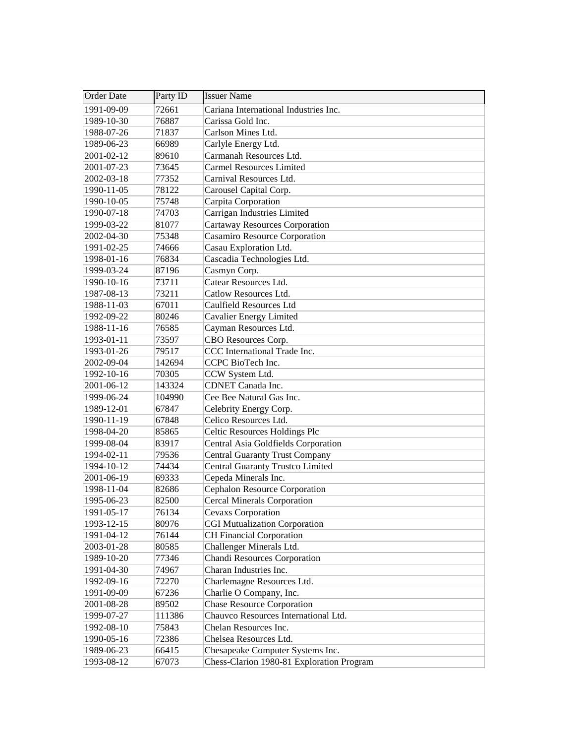| <b>Order Date</b> | Party ID | <b>Issuer Name</b>                        |
|-------------------|----------|-------------------------------------------|
| 1991-09-09        | 72661    | Cariana International Industries Inc.     |
| 1989-10-30        | 76887    | Carissa Gold Inc.                         |
| 1988-07-26        | 71837    | Carlson Mines Ltd.                        |
| 1989-06-23        | 66989    | Carlyle Energy Ltd.                       |
| 2001-02-12        | 89610    | Carmanah Resources Ltd.                   |
| 2001-07-23        | 73645    | <b>Carmel Resources Limited</b>           |
| 2002-03-18        | 77352    | Carnival Resources Ltd.                   |
| 1990-11-05        | 78122    | Carousel Capital Corp.                    |
| 1990-10-05        | 75748    | Carpita Corporation                       |
| 1990-07-18        | 74703    | Carrigan Industries Limited               |
| 1999-03-22        | 81077    | <b>Cartaway Resources Corporation</b>     |
| 2002-04-30        | 75348    | <b>Casamiro Resource Corporation</b>      |
| 1991-02-25        | 74666    | Casau Exploration Ltd.                    |
| 1998-01-16        | 76834    | Cascadia Technologies Ltd.                |
| 1999-03-24        | 87196    | Casmyn Corp.                              |
| 1990-10-16        | 73711    | Catear Resources Ltd.                     |
| 1987-08-13        | 73211    | Catlow Resources Ltd.                     |
| 1988-11-03        | 67011    | <b>Caulfield Resources Ltd</b>            |
| 1992-09-22        | 80246    | Cavalier Energy Limited                   |
| 1988-11-16        | 76585    | Cayman Resources Ltd.                     |
| 1993-01-11        | 73597    | CBO Resources Corp.                       |
| 1993-01-26        | 79517    | CCC International Trade Inc.              |
| 2002-09-04        | 142694   | CCPC BioTech Inc.                         |
| 1992-10-16        | 70305    | CCW System Ltd.                           |
| 2001-06-12        | 143324   | CDNET Canada Inc.                         |
| 1999-06-24        | 104990   | Cee Bee Natural Gas Inc.                  |
| 1989-12-01        | 67847    | Celebrity Energy Corp.                    |
| 1990-11-19        | 67848    | Celico Resources Ltd.                     |
| 1998-04-20        | 85865    | Celtic Resources Holdings Plc             |
| 1999-08-04        | 83917    | Central Asia Goldfields Corporation       |
| 1994-02-11        | 79536    | <b>Central Guaranty Trust Company</b>     |
| 1994-10-12        | 74434    | Central Guaranty Trustco Limited          |
| 2001-06-19        | 69333    | Cepeda Minerals Inc.                      |
| 1998-11-04        | 82686    | Cephalon Resource Corporation             |
| 1995-06-23        | 82500    | <b>Cercal Minerals Corporation</b>        |
| 1991-05-17        | 76134    | Cevaxs Corporation                        |
| 1993-12-15        | 80976    | <b>CGI Mutualization Corporation</b>      |
| 1991-04-12        | 76144    | <b>CH Financial Corporation</b>           |
| 2003-01-28        | 80585    | Challenger Minerals Ltd.                  |
| 1989-10-20        | 77346    | <b>Chandi Resources Corporation</b>       |
| 1991-04-30        | 74967    | Charan Industries Inc.                    |
| 1992-09-16        | 72270    | Charlemagne Resources Ltd.                |
| 1991-09-09        | 67236    | Charlie O Company, Inc.                   |
| 2001-08-28        | 89502    | <b>Chase Resource Corporation</b>         |
| 1999-07-27        | 111386   | Chauvco Resources International Ltd.      |
| 1992-08-10        | 75843    | Chelan Resources Inc.                     |
| 1990-05-16        | 72386    | Chelsea Resources Ltd.                    |
| 1989-06-23        | 66415    | Chesapeake Computer Systems Inc.          |
| 1993-08-12        | 67073    | Chess-Clarion 1980-81 Exploration Program |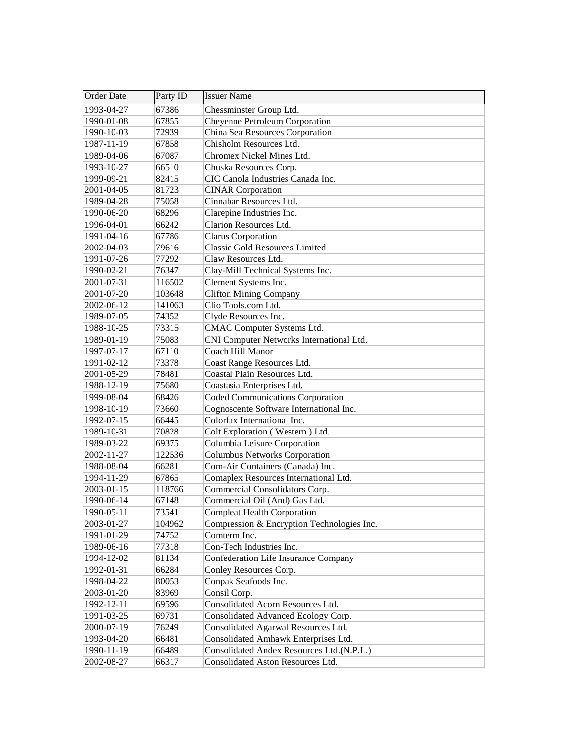| Order Date | Party ID | <b>Issuer Name</b>                          |
|------------|----------|---------------------------------------------|
| 1993-04-27 | 67386    | Chessminster Group Ltd.                     |
| 1990-01-08 | 67855    | Cheyenne Petroleum Corporation              |
| 1990-10-03 | 72939    | China Sea Resources Corporation             |
| 1987-11-19 | 67858    | Chisholm Resources Ltd.                     |
| 1989-04-06 | 67087    | Chromex Nickel Mines Ltd.                   |
| 1993-10-27 | 66510    | Chuska Resources Corp.                      |
| 1999-09-21 | 82415    | CIC Canola Industries Canada Inc.           |
| 2001-04-05 | 81723    | <b>CINAR Corporation</b>                    |
| 1989-04-28 | 75058    | Cinnabar Resources Ltd.                     |
| 1990-06-20 | 68296    | Clarepine Industries Inc.                   |
| 1996-04-01 | 66242    | Clarion Resources Ltd.                      |
| 1991-04-16 | 67786    | Clarus Corporation                          |
| 2002-04-03 | 79616    | <b>Classic Gold Resources Limited</b>       |
| 1991-07-26 | 77292    | Claw Resources Ltd.                         |
| 1990-02-21 | 76347    | Clay-Mill Technical Systems Inc.            |
| 2001-07-31 | 116502   | Clement Systems Inc.                        |
| 2001-07-20 | 103648   | <b>Clifton Mining Company</b>               |
| 2002-06-12 | 141063   | Clio Tools.com Ltd.                         |
| 1989-07-05 | 74352    | Clyde Resources Inc.                        |
| 1988-10-25 | 73315    | CMAC Computer Systems Ltd.                  |
| 1989-01-19 | 75083    | CNI Computer Networks International Ltd.    |
| 1997-07-17 | 67110    | Coach Hill Manor                            |
| 1991-02-12 | 73378    | Coast Range Resources Ltd.                  |
| 2001-05-29 | 78481    | Coastal Plain Resources Ltd.                |
| 1988-12-19 | 75680    | Coastasia Enterprises Ltd.                  |
| 1999-08-04 | 68426    | Coded Communications Corporation            |
| 1998-10-19 | 73660    | Cognoscente Software International Inc.     |
| 1992-07-15 | 66445    | Colorfax International Inc.                 |
| 1989-10-31 | 70828    | Colt Exploration (Western) Ltd.             |
| 1989-03-22 | 69375    | Columbia Leisure Corporation                |
| 2002-11-27 | 122536   | <b>Columbus Networks Corporation</b>        |
| 1988-08-04 | 66281    | Com-Air Containers (Canada) Inc.            |
| 1994-11-29 | 67865    | Comaplex Resources International Ltd.       |
| 2003-01-15 | 118766   | Commercial Consolidators Corp.              |
| 1990-06-14 | 67148    | Commercial Oil (And) Gas Ltd.               |
| 1990-05-11 | 73541    | <b>Compleat Health Corporation</b>          |
| 2003-01-27 | 104962   | Compression & Encryption Technologies Inc.  |
| 1991-01-29 | 74752    | Comterm Inc.                                |
| 1989-06-16 | 77318    | Con-Tech Industries Inc.                    |
| 1994-12-02 | 81134    | <b>Confederation Life Insurance Company</b> |
| 1992-01-31 | 66284    | Conley Resources Corp.                      |
| 1998-04-22 | 80053    | Conpak Seafoods Inc.                        |
| 2003-01-20 | 83969    | Consil Corp.                                |
| 1992-12-11 | 69596    | Consolidated Acorn Resources Ltd.           |
| 1991-03-25 | 69731    | Consolidated Advanced Ecology Corp.         |
| 2000-07-19 | 76249    | Consolidated Agarwal Resources Ltd.         |
| 1993-04-20 | 66481    | Consolidated Amhawk Enterprises Ltd.        |
| 1990-11-19 | 66489    | Consolidated Andex Resources Ltd.(N.P.L.)   |
| 2002-08-27 | 66317    | Consolidated Aston Resources Ltd.           |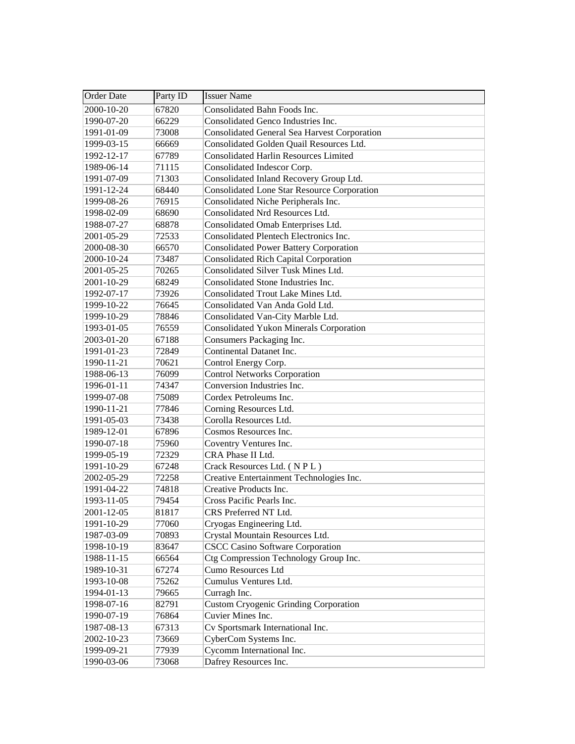| <b>Order Date</b> | Party ID | <b>Issuer Name</b>                                 |
|-------------------|----------|----------------------------------------------------|
| 2000-10-20        | 67820    | Consolidated Bahn Foods Inc.                       |
| 1990-07-20        | 66229    | Consolidated Genco Industries Inc.                 |
| 1991-01-09        | 73008    | Consolidated General Sea Harvest Corporation       |
| 1999-03-15        | 66669    | Consolidated Golden Quail Resources Ltd.           |
| 1992-12-17        | 67789    | <b>Consolidated Harlin Resources Limited</b>       |
| 1989-06-14        | 71115    | Consolidated Indescor Corp.                        |
| 1991-07-09        | 71303    | Consolidated Inland Recovery Group Ltd.            |
| 1991-12-24        | 68440    | <b>Consolidated Lone Star Resource Corporation</b> |
| 1999-08-26        | 76915    | Consolidated Niche Peripherals Inc.                |
| 1998-02-09        | 68690    | Consolidated Nrd Resources Ltd.                    |
| 1988-07-27        | 68878    | Consolidated Omab Enterprises Ltd.                 |
| 2001-05-29        | 72533    | Consolidated Plentech Electronics Inc.             |
| 2000-08-30        | 66570    | <b>Consolidated Power Battery Corporation</b>      |
| 2000-10-24        | 73487    | <b>Consolidated Rich Capital Corporation</b>       |
| 2001-05-25        | 70265    | Consolidated Silver Tusk Mines Ltd.                |
| 2001-10-29        | 68249    | Consolidated Stone Industries Inc.                 |
| 1992-07-17        | 73926    | Consolidated Trout Lake Mines Ltd.                 |
| 1999-10-22        | 76645    | Consolidated Van Anda Gold Ltd.                    |
| 1999-10-29        | 78846    | Consolidated Van-City Marble Ltd.                  |
| 1993-01-05        | 76559    | <b>Consolidated Yukon Minerals Corporation</b>     |
| 2003-01-20        | 67188    | Consumers Packaging Inc.                           |
| 1991-01-23        | 72849    | Continental Datanet Inc.                           |
| 1990-11-21        | 70621    | Control Energy Corp.                               |
| 1988-06-13        | 76099    | <b>Control Networks Corporation</b>                |
| 1996-01-11        | 74347    | Conversion Industries Inc.                         |
| 1999-07-08        | 75089    | Cordex Petroleums Inc.                             |
| 1990-11-21        | 77846    | Corning Resources Ltd.                             |
| 1991-05-03        | 73438    | Corolla Resources Ltd.                             |
| 1989-12-01        | 67896    | Cosmos Resources Inc.                              |
| 1990-07-18        | 75960    | Coventry Ventures Inc.                             |
| 1999-05-19        | 72329    | CRA Phase II Ltd.                                  |
| 1991-10-29        | 67248    | Crack Resources Ltd. (NPL)                         |
| 2002-05-29        | 72258    | Creative Entertainment Technologies Inc.           |
| 1991-04-22        | 74818    | Creative Products Inc.                             |
| 1993-11-05        | 79454    | Cross Pacific Pearls Inc.                          |
| 2001-12-05        | 81817    | CRS Preferred NT Ltd.                              |
| 1991-10-29        | 77060    | Cryogas Engineering Ltd.                           |
| 1987-03-09        | 70893    | Crystal Mountain Resources Ltd.                    |
| 1998-10-19        | 83647    | <b>CSCC Casino Software Corporation</b>            |
| 1988-11-15        | 66564    | Ctg Compression Technology Group Inc.              |
| 1989-10-31        | 67274    | Cumo Resources Ltd                                 |
| 1993-10-08        | 75262    | Cumulus Ventures Ltd.                              |
| 1994-01-13        | 79665    | Curragh Inc.                                       |
| 1998-07-16        | 82791    | <b>Custom Cryogenic Grinding Corporation</b>       |
| 1990-07-19        | 76864    | Cuvier Mines Inc.                                  |
| 1987-08-13        | 67313    | Cv Sportsmark International Inc.                   |
| 2002-10-23        | 73669    | CyberCom Systems Inc.                              |
| 1999-09-21        | 77939    | Cycomm International Inc.                          |
| 1990-03-06        | 73068    | Dafrey Resources Inc.                              |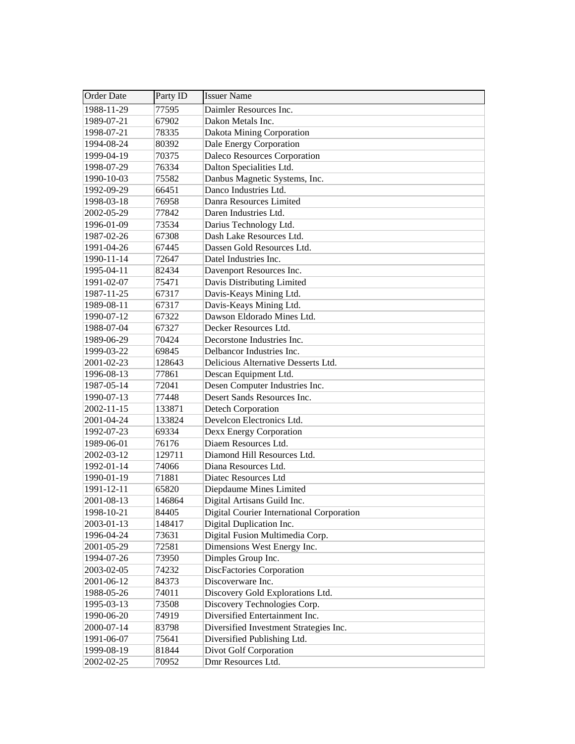| Order Date | Party ID | <b>Issuer Name</b>                        |
|------------|----------|-------------------------------------------|
| 1988-11-29 | 77595    | Daimler Resources Inc.                    |
| 1989-07-21 | 67902    | Dakon Metals Inc.                         |
| 1998-07-21 | 78335    | Dakota Mining Corporation                 |
| 1994-08-24 | 80392    | Dale Energy Corporation                   |
| 1999-04-19 | 70375    | Daleco Resources Corporation              |
| 1998-07-29 | 76334    | Dalton Specialities Ltd.                  |
| 1990-10-03 | 75582    | Danbus Magnetic Systems, Inc.             |
| 1992-09-29 | 66451    | Danco Industries Ltd.                     |
| 1998-03-18 | 76958    | Danra Resources Limited                   |
| 2002-05-29 | 77842    | Daren Industries Ltd.                     |
| 1996-01-09 | 73534    | Darius Technology Ltd.                    |
| 1987-02-26 | 67308    | Dash Lake Resources Ltd.                  |
| 1991-04-26 | 67445    | Dassen Gold Resources Ltd.                |
| 1990-11-14 | 72647    | Datel Industries Inc.                     |
| 1995-04-11 | 82434    | Davenport Resources Inc.                  |
| 1991-02-07 | 75471    | Davis Distributing Limited                |
| 1987-11-25 | 67317    | Davis-Keays Mining Ltd.                   |
| 1989-08-11 | 67317    | Davis-Keays Mining Ltd.                   |
| 1990-07-12 | 67322    | Dawson Eldorado Mines Ltd.                |
| 1988-07-04 | 67327    | Decker Resources Ltd.                     |
| 1989-06-29 | 70424    | Decorstone Industries Inc.                |
| 1999-03-22 | 69845    | Delbancor Industries Inc.                 |
| 2001-02-23 | 128643   | Delicious Alternative Desserts Ltd.       |
| 1996-08-13 | 77861    | Descan Equipment Ltd.                     |
| 1987-05-14 | 72041    | Desen Computer Industries Inc.            |
| 1990-07-13 | 77448    | Desert Sands Resources Inc.               |
| 2002-11-15 | 133871   | Detech Corporation                        |
| 2001-04-24 | 133824   | Develcon Electronics Ltd.                 |
| 1992-07-23 | 69334    | Dexx Energy Corporation                   |
| 1989-06-01 | 76176    | Diaem Resources Ltd.                      |
| 2002-03-12 | 129711   | Diamond Hill Resources Ltd.               |
| 1992-01-14 | 74066    | Diana Resources Ltd.                      |
| 1990-01-19 | 71881    | Diatec Resources Ltd                      |
| 1991-12-11 | 65820    | Diepdaume Mines Limited                   |
| 2001-08-13 | 146864   | Digital Artisans Guild Inc.               |
| 1998-10-21 | 84405    | Digital Courier International Corporation |
| 2003-01-13 | 148417   | Digital Duplication Inc.                  |
| 1996-04-24 | 73631    | Digital Fusion Multimedia Corp.           |
| 2001-05-29 | 72581    | Dimensions West Energy Inc.               |
| 1994-07-26 | 73950    | Dimples Group Inc.                        |
| 2003-02-05 | 74232    | <b>DiscFactories Corporation</b>          |
| 2001-06-12 | 84373    | Discoverware Inc.                         |
| 1988-05-26 | 74011    | Discovery Gold Explorations Ltd.          |
| 1995-03-13 | 73508    | Discovery Technologies Corp.              |
| 1990-06-20 | 74919    | Diversified Entertainment Inc.            |
| 2000-07-14 | 83798    | Diversified Investment Strategies Inc.    |
| 1991-06-07 | 75641    | Diversified Publishing Ltd.               |
| 1999-08-19 | 81844    | Divot Golf Corporation                    |
| 2002-02-25 | 70952    | Dmr Resources Ltd.                        |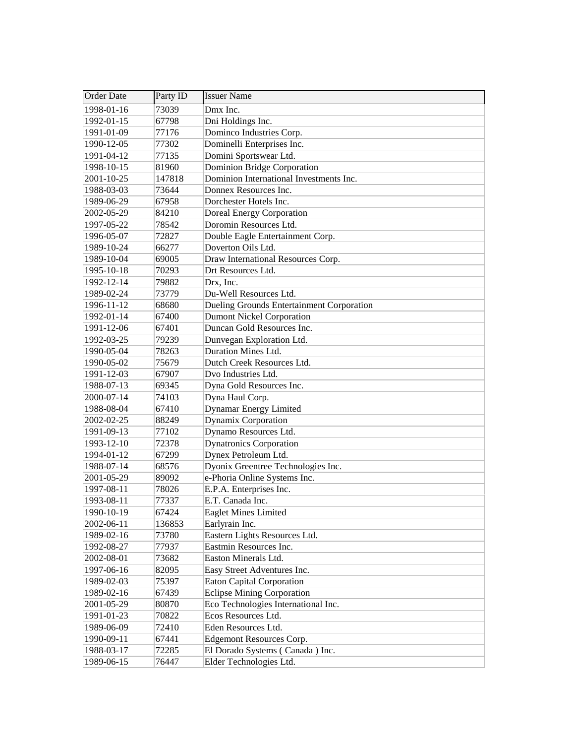| <b>Order Date</b> | Party ID | <b>Issuer Name</b>                        |
|-------------------|----------|-------------------------------------------|
| 1998-01-16        | 73039    | Dmx Inc.                                  |
| 1992-01-15        | 67798    | Dni Holdings Inc.                         |
| 1991-01-09        | 77176    | Dominco Industries Corp.                  |
| 1990-12-05        | 77302    | Dominelli Enterprises Inc.                |
| 1991-04-12        | 77135    | Domini Sportswear Ltd.                    |
| 1998-10-15        | 81960    | Dominion Bridge Corporation               |
| 2001-10-25        | 147818   | Dominion International Investments Inc.   |
| 1988-03-03        | 73644    | Donnex Resources Inc.                     |
| 1989-06-29        | 67958    | Dorchester Hotels Inc.                    |
| 2002-05-29        | 84210    | <b>Doreal Energy Corporation</b>          |
| 1997-05-22        | 78542    | Doromin Resources Ltd.                    |
| 1996-05-07        | 72827    | Double Eagle Entertainment Corp.          |
| 1989-10-24        | 66277    | Doverton Oils Ltd.                        |
| 1989-10-04        | 69005    | Draw International Resources Corp.        |
| 1995-10-18        | 70293    | Drt Resources Ltd.                        |
| 1992-12-14        | 79882    | Drx, Inc.                                 |
| 1989-02-24        | 73779    | Du-Well Resources Ltd.                    |
| 1996-11-12        | 68680    | Dueling Grounds Entertainment Corporation |
| 1992-01-14        | 67400    | <b>Dumont Nickel Corporation</b>          |
| 1991-12-06        | 67401    | Duncan Gold Resources Inc.                |
| 1992-03-25        | 79239    | Dunvegan Exploration Ltd.                 |
| 1990-05-04        | 78263    | Duration Mines Ltd.                       |
| 1990-05-02        | 75679    | Dutch Creek Resources Ltd.                |
| 1991-12-03        | 67907    | Dvo Industries Ltd.                       |
| 1988-07-13        | 69345    | Dyna Gold Resources Inc.                  |
| 2000-07-14        | 74103    | Dyna Haul Corp.                           |
| 1988-08-04        | 67410    | Dynamar Energy Limited                    |
| 2002-02-25        | 88249    | Dynamix Corporation                       |
| 1991-09-13        | 77102    | Dynamo Resources Ltd.                     |
| 1993-12-10        | 72378    | <b>Dynatronics Corporation</b>            |
| 1994-01-12        | 67299    | Dynex Petroleum Ltd.                      |
| 1988-07-14        | 68576    | Dyonix Greentree Technologies Inc.        |
| 2001-05-29        | 89092    | e-Phoria Online Systems Inc.              |
| 1997-08-11        | 78026    | E.P.A. Enterprises Inc.                   |
| 1993-08-11        | 77337    | E.T. Canada Inc.                          |
| 1990-10-19        | 67424    | <b>Eaglet Mines Limited</b>               |
| 2002-06-11        | 136853   | Earlyrain Inc.                            |
| 1989-02-16        | 73780    | Eastern Lights Resources Ltd.             |
| 1992-08-27        | 77937    | Eastmin Resources Inc.                    |
| 2002-08-01        | 73682    | Easton Minerals Ltd.                      |
| 1997-06-16        | 82095    | Easy Street Adventures Inc.               |
| 1989-02-03        | 75397    | <b>Eaton Capital Corporation</b>          |
| 1989-02-16        | 67439    | <b>Eclipse Mining Corporation</b>         |
| 2001-05-29        | 80870    | Eco Technologies International Inc.       |
| 1991-01-23        | 70822    | Ecos Resources Ltd.                       |
| 1989-06-09        | 72410    | Eden Resources Ltd.                       |
| 1990-09-11        | 67441    | <b>Edgemont Resources Corp.</b>           |
| 1988-03-17        | 72285    | El Dorado Systems (Canada) Inc.           |
| 1989-06-15        | 76447    | Elder Technologies Ltd.                   |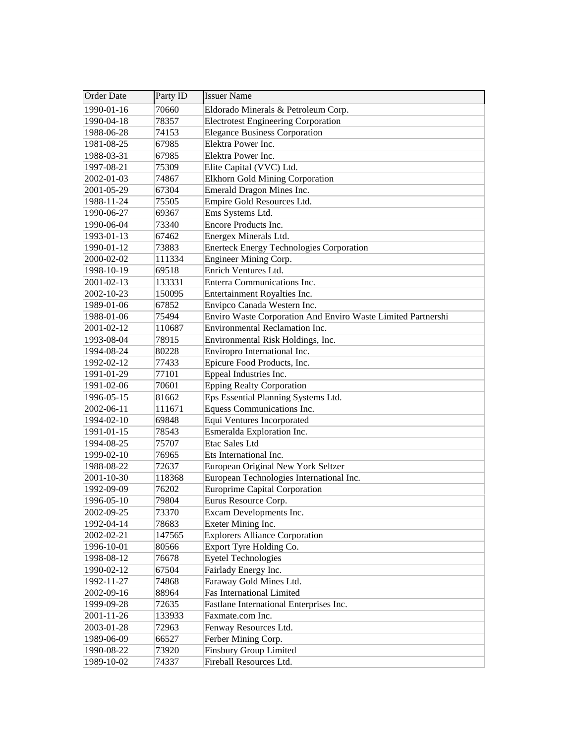| <b>Order Date</b> | Party ID | <b>Issuer Name</b>                                           |
|-------------------|----------|--------------------------------------------------------------|
| 1990-01-16        | 70660    | Eldorado Minerals & Petroleum Corp.                          |
| 1990-04-18        | 78357    | <b>Electrotest Engineering Corporation</b>                   |
| 1988-06-28        | 74153    | <b>Elegance Business Corporation</b>                         |
| 1981-08-25        | 67985    | Elektra Power Inc.                                           |
| 1988-03-31        | 67985    | Elektra Power Inc.                                           |
| 1997-08-21        | 75309    | Elite Capital (VVC) Ltd.                                     |
| 2002-01-03        | 74867    | <b>Elkhorn Gold Mining Corporation</b>                       |
| 2001-05-29        | 67304    | Emerald Dragon Mines Inc.                                    |
| 1988-11-24        | 75505    | Empire Gold Resources Ltd.                                   |
| 1990-06-27        | 69367    | Ems Systems Ltd.                                             |
| 1990-06-04        | 73340    | Encore Products Inc.                                         |
| 1993-01-13        | 67462    | Energex Minerals Ltd.                                        |
| 1990-01-12        | 73883    | <b>Enerteck Energy Technologies Corporation</b>              |
| 2000-02-02        | 111334   | Engineer Mining Corp.                                        |
| 1998-10-19        | 69518    | Enrich Ventures Ltd.                                         |
| 2001-02-13        | 133331   | Enterra Communications Inc.                                  |
| 2002-10-23        | 150095   | Entertainment Royalties Inc.                                 |
| 1989-01-06        | 67852    | Envipco Canada Western Inc.                                  |
| 1988-01-06        | 75494    | Enviro Waste Corporation And Enviro Waste Limited Partnershi |
| 2001-02-12        | 110687   | <b>Environmental Reclamation Inc.</b>                        |
| 1993-08-04        | 78915    | Environmental Risk Holdings, Inc.                            |
| 1994-08-24        | 80228    | Enviropro International Inc.                                 |
| 1992-02-12        | 77433    | Epicure Food Products, Inc.                                  |
| 1991-01-29        | 77101    | Eppeal Industries Inc.                                       |
| 1991-02-06        | 70601    | <b>Epping Realty Corporation</b>                             |
| 1996-05-15        | 81662    | Eps Essential Planning Systems Ltd.                          |
| 2002-06-11        | 111671   | Equess Communications Inc.                                   |
| 1994-02-10        | 69848    | Equi Ventures Incorporated                                   |
| 1991-01-15        | 78543    | Esmeralda Exploration Inc.                                   |
| 1994-08-25        | 75707    | Etac Sales Ltd                                               |
| 1999-02-10        | 76965    | Ets International Inc.                                       |
| 1988-08-22        | 72637    | European Original New York Seltzer                           |
| 2001-10-30        | 118368   | European Technologies International Inc.                     |
| 1992-09-09        | 76202    | <b>Europrime Capital Corporation</b>                         |
| 1996-05-10        | 79804    | Eurus Resource Corp.                                         |
| 2002-09-25        | 73370    | Excam Developments Inc.                                      |
| 1992-04-14        | 78683    | Exeter Mining Inc.                                           |
| 2002-02-21        | 147565   | <b>Explorers Alliance Corporation</b>                        |
| 1996-10-01        | 80566    | Export Tyre Holding Co.                                      |
| 1998-08-12        | 76678    | <b>Eyetel Technologies</b>                                   |
| 1990-02-12        | 67504    | Fairlady Energy Inc.                                         |
| 1992-11-27        | 74868    | Faraway Gold Mines Ltd.                                      |
| 2002-09-16        | 88964    | <b>Fas International Limited</b>                             |
| 1999-09-28        | 72635    | Fastlane International Enterprises Inc.                      |
| 2001-11-26        | 133933   | Faxmate.com Inc.                                             |
| 2003-01-28        | 72963    | Fenway Resources Ltd.                                        |
| 1989-06-09        | 66527    | Ferber Mining Corp.                                          |
| 1990-08-22        | 73920    | <b>Finsbury Group Limited</b>                                |
| 1989-10-02        | 74337    | Fireball Resources Ltd.                                      |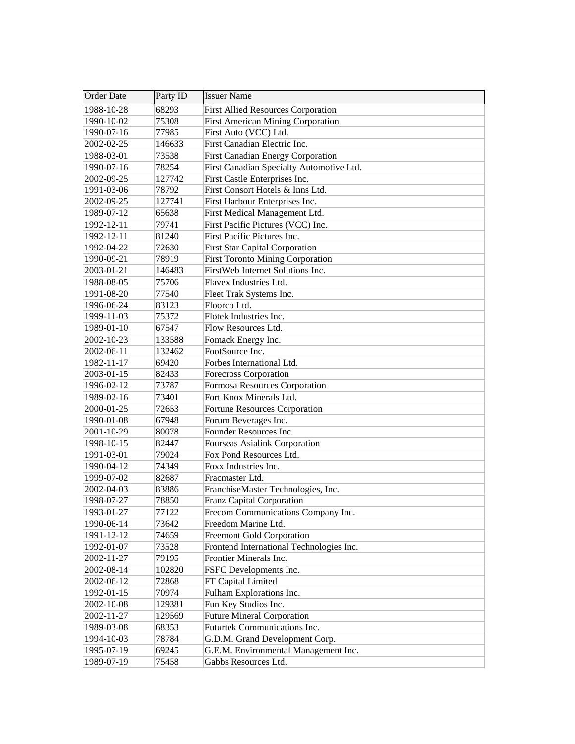| Order Date | Party ID | <b>Issuer Name</b>                        |
|------------|----------|-------------------------------------------|
| 1988-10-28 | 68293    | <b>First Allied Resources Corporation</b> |
| 1990-10-02 | 75308    | <b>First American Mining Corporation</b>  |
| 1990-07-16 | 77985    | First Auto (VCC) Ltd.                     |
| 2002-02-25 | 146633   | First Canadian Electric Inc.              |
| 1988-03-01 | 73538    | <b>First Canadian Energy Corporation</b>  |
| 1990-07-16 | 78254    | First Canadian Specialty Automotive Ltd.  |
| 2002-09-25 | 127742   | First Castle Enterprises Inc.             |
| 1991-03-06 | 78792    | First Consort Hotels & Inns Ltd.          |
| 2002-09-25 | 127741   | First Harbour Enterprises Inc.            |
| 1989-07-12 | 65638    | First Medical Management Ltd.             |
| 1992-12-11 | 79741    | First Pacific Pictures (VCC) Inc.         |
| 1992-12-11 | 81240    | First Pacific Pictures Inc.               |
| 1992-04-22 | 72630    | First Star Capital Corporation            |
| 1990-09-21 | 78919    | <b>First Toronto Mining Corporation</b>   |
| 2003-01-21 | 146483   | FirstWeb Internet Solutions Inc.          |
| 1988-08-05 | 75706    | Flavex Industries Ltd.                    |
| 1991-08-20 | 77540    | Fleet Trak Systems Inc.                   |
| 1996-06-24 | 83123    | Floorco Ltd.                              |
| 1999-11-03 | 75372    | Flotek Industries Inc.                    |
| 1989-01-10 | 67547    | Flow Resources Ltd.                       |
| 2002-10-23 | 133588   | Fomack Energy Inc.                        |
| 2002-06-11 | 132462   | FootSource Inc.                           |
| 1982-11-17 | 69420    | Forbes International Ltd.                 |
| 2003-01-15 | 82433    | Forecross Corporation                     |
| 1996-02-12 | 73787    | Formosa Resources Corporation             |
| 1989-02-16 | 73401    | Fort Knox Minerals Ltd.                   |
| 2000-01-25 | 72653    | Fortune Resources Corporation             |
| 1990-01-08 | 67948    | Forum Beverages Inc.                      |
| 2001-10-29 | 80078    | Founder Resources Inc.                    |
| 1998-10-15 | 82447    | <b>Fourseas Asialink Corporation</b>      |
| 1991-03-01 | 79024    | Fox Pond Resources Ltd.                   |
| 1990-04-12 | 74349    | Foxx Industries Inc.                      |
| 1999-07-02 | 82687    | Fracmaster Ltd.                           |
| 2002-04-03 | 83886    | FranchiseMaster Technologies, Inc.        |
| 1998-07-27 | 78850    | Franz Capital Corporation                 |
| 1993-01-27 | 77122    | Frecom Communications Company Inc.        |
| 1990-06-14 | 73642    | Freedom Marine Ltd.                       |
| 1991-12-12 | 74659    | <b>Freemont Gold Corporation</b>          |
| 1992-01-07 | 73528    | Frontend International Technologies Inc.  |
| 2002-11-27 | 79195    | Frontier Minerals Inc.                    |
| 2002-08-14 | 102820   | FSFC Developments Inc.                    |
| 2002-06-12 | 72868    | FT Capital Limited                        |
| 1992-01-15 | 70974    | Fulham Explorations Inc.                  |
| 2002-10-08 | 129381   | Fun Key Studios Inc.                      |
| 2002-11-27 | 129569   | <b>Future Mineral Corporation</b>         |
| 1989-03-08 | 68353    | Futurtek Communications Inc.              |
| 1994-10-03 | 78784    | G.D.M. Grand Development Corp.            |
| 1995-07-19 | 69245    | G.E.M. Environmental Management Inc.      |
| 1989-07-19 | 75458    | Gabbs Resources Ltd.                      |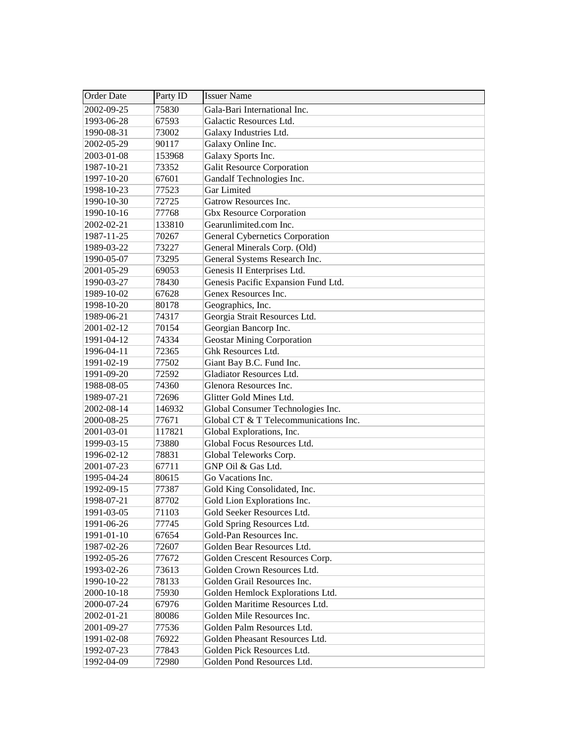| Order Date | Party ID | <b>Issuer Name</b>                     |
|------------|----------|----------------------------------------|
| 2002-09-25 | 75830    | Gala-Bari International Inc.           |
| 1993-06-28 | 67593    | Galactic Resources Ltd.                |
| 1990-08-31 | 73002    | Galaxy Industries Ltd.                 |
| 2002-05-29 | 90117    | Galaxy Online Inc.                     |
| 2003-01-08 | 153968   | Galaxy Sports Inc.                     |
| 1987-10-21 | 73352    | Galit Resource Corporation             |
| 1997-10-20 | 67601    | Gandalf Technologies Inc.              |
| 1998-10-23 | 77523    | Gar Limited                            |
| 1990-10-30 | 72725    | Gatrow Resources Inc.                  |
| 1990-10-16 | 77768    | <b>Gbx Resource Corporation</b>        |
| 2002-02-21 | 133810   | Gearunlimited.com Inc.                 |
| 1987-11-25 | 70267    | <b>General Cybernetics Corporation</b> |
| 1989-03-22 | 73227    | General Minerals Corp. (Old)           |
| 1990-05-07 | 73295    | General Systems Research Inc.          |
| 2001-05-29 | 69053    | Genesis II Enterprises Ltd.            |
| 1990-03-27 | 78430    | Genesis Pacific Expansion Fund Ltd.    |
| 1989-10-02 | 67628    | Genex Resources Inc.                   |
| 1998-10-20 | 80178    | Geographics, Inc.                      |
| 1989-06-21 | 74317    | Georgia Strait Resources Ltd.          |
| 2001-02-12 | 70154    | Georgian Bancorp Inc.                  |
| 1991-04-12 | 74334    | <b>Geostar Mining Corporation</b>      |
| 1996-04-11 | 72365    | Ghk Resources Ltd.                     |
| 1991-02-19 | 77502    | Giant Bay B.C. Fund Inc.               |
| 1991-09-20 | 72592    | Gladiator Resources Ltd.               |
| 1988-08-05 | 74360    | Glenora Resources Inc.                 |
| 1989-07-21 | 72696    | Glitter Gold Mines Ltd.                |
| 2002-08-14 | 146932   | Global Consumer Technologies Inc.      |
| 2000-08-25 | 77671    | Global CT & T Telecommunications Inc.  |
| 2001-03-01 | 117821   | Global Explorations, Inc.              |
| 1999-03-15 | 73880    | Global Focus Resources Ltd.            |
| 1996-02-12 | 78831    | Global Teleworks Corp.                 |
| 2001-07-23 | 67711    | GNP Oil & Gas Ltd.                     |
| 1995-04-24 | 80615    | Go Vacations Inc.                      |
| 1992-09-15 | 77387    | Gold King Consolidated, Inc.           |
| 1998-07-21 | 87702    | Gold Lion Explorations Inc.            |
| 1991-03-05 | 71103    | Gold Seeker Resources Ltd.             |
| 1991-06-26 | 77745    | Gold Spring Resources Ltd.             |
| 1991-01-10 | 67654    | Gold-Pan Resources Inc.                |
| 1987-02-26 | 72607    | Golden Bear Resources Ltd.             |
| 1992-05-26 | 77672    | Golden Crescent Resources Corp.        |
| 1993-02-26 | 73613    | Golden Crown Resources Ltd.            |
| 1990-10-22 | 78133    | Golden Grail Resources Inc.            |
| 2000-10-18 | 75930    | Golden Hemlock Explorations Ltd.       |
| 2000-07-24 | 67976    | Golden Maritime Resources Ltd.         |
| 2002-01-21 | 80086    | Golden Mile Resources Inc.             |
| 2001-09-27 | 77536    | Golden Palm Resources Ltd.             |
| 1991-02-08 | 76922    | Golden Pheasant Resources Ltd.         |
| 1992-07-23 | 77843    | Golden Pick Resources Ltd.             |
| 1992-04-09 | 72980    | Golden Pond Resources Ltd.             |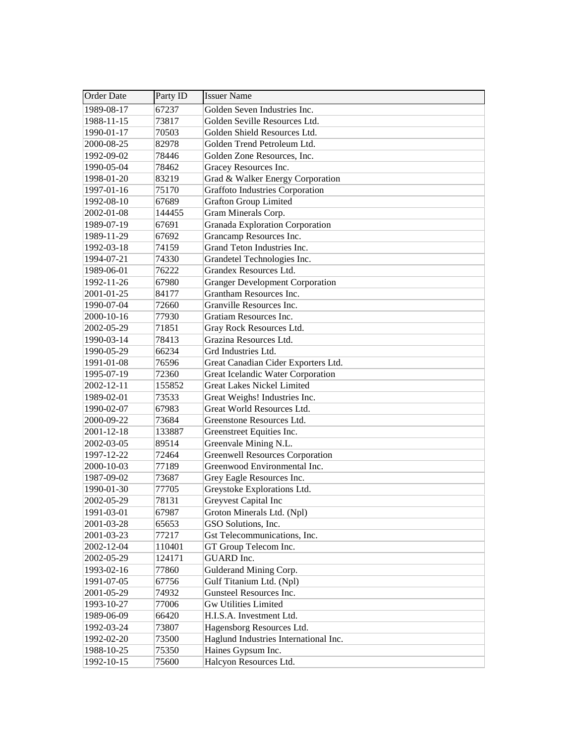| Order Date | Party ID | <b>Issuer Name</b>                     |
|------------|----------|----------------------------------------|
| 1989-08-17 | 67237    | Golden Seven Industries Inc.           |
| 1988-11-15 | 73817    | Golden Seville Resources Ltd.          |
| 1990-01-17 | 70503    | Golden Shield Resources Ltd.           |
| 2000-08-25 | 82978    | Golden Trend Petroleum Ltd.            |
| 1992-09-02 | 78446    | Golden Zone Resources, Inc.            |
| 1990-05-04 | 78462    | Gracey Resources Inc.                  |
| 1998-01-20 | 83219    | Grad & Walker Energy Corporation       |
| 1997-01-16 | 75170    | <b>Graffoto Industries Corporation</b> |
| 1992-08-10 | 67689    | <b>Grafton Group Limited</b>           |
| 2002-01-08 | 144455   | Gram Minerals Corp.                    |
| 1989-07-19 | 67691    | <b>Granada Exploration Corporation</b> |
| 1989-11-29 | 67692    | Grancamp Resources Inc.                |
| 1992-03-18 | 74159    | Grand Teton Industries Inc.            |
| 1994-07-21 | 74330    | Grandetel Technologies Inc.            |
| 1989-06-01 | 76222    | Grandex Resources Ltd.                 |
| 1992-11-26 | 67980    | <b>Granger Development Corporation</b> |
| 2001-01-25 | 84177    | Grantham Resources Inc.                |
| 1990-07-04 | 72660    | Granville Resources Inc.               |
| 2000-10-16 | 77930    | Gratiam Resources Inc.                 |
| 2002-05-29 | 71851    | Gray Rock Resources Ltd.               |
| 1990-03-14 | 78413    | Grazina Resources Ltd.                 |
| 1990-05-29 | 66234    | Grd Industries Ltd.                    |
| 1991-01-08 | 76596    | Great Canadian Cider Exporters Ltd.    |
| 1995-07-19 | 72360    | Great Icelandic Water Corporation      |
| 2002-12-11 | 155852   | <b>Great Lakes Nickel Limited</b>      |
| 1989-02-01 | 73533    | Great Weighs! Industries Inc.          |
| 1990-02-07 | 67983    | Great World Resources Ltd.             |
| 2000-09-22 | 73684    | Greenstone Resources Ltd.              |
| 2001-12-18 | 133887   | Greenstreet Equities Inc.              |
| 2002-03-05 | 89514    | Greenvale Mining N.L.                  |
| 1997-12-22 | 72464    | <b>Greenwell Resources Corporation</b> |
| 2000-10-03 | 77189    | Greenwood Environmental Inc.           |
| 1987-09-02 | 73687    | Grey Eagle Resources Inc.              |
| 1990-01-30 | 77705    | Greystoke Explorations Ltd.            |
| 2002-05-29 | 78131    | Greyvest Capital Inc                   |
| 1991-03-01 | 67987    | Groton Minerals Ltd. (Npl)             |
| 2001-03-28 | 65653    | GSO Solutions, Inc.                    |
| 2001-03-23 | 77217    | Gst Telecommunications, Inc.           |
| 2002-12-04 | 110401   | GT Group Telecom Inc.                  |
| 2002-05-29 | 124171   | GUARD Inc.                             |
| 1993-02-16 | 77860    | Gulderand Mining Corp.                 |
| 1991-07-05 | 67756    | Gulf Titanium Ltd. (Npl)               |
| 2001-05-29 | 74932    | Gunsteel Resources Inc.                |
| 1993-10-27 | 77006    | <b>Gw Utilities Limited</b>            |
| 1989-06-09 | 66420    | H.I.S.A. Investment Ltd.               |
| 1992-03-24 | 73807    | Hagensborg Resources Ltd.              |
| 1992-02-20 | 73500    | Haglund Industries International Inc.  |
| 1988-10-25 | 75350    | Haines Gypsum Inc.                     |
| 1992-10-15 | 75600    | Halcyon Resources Ltd.                 |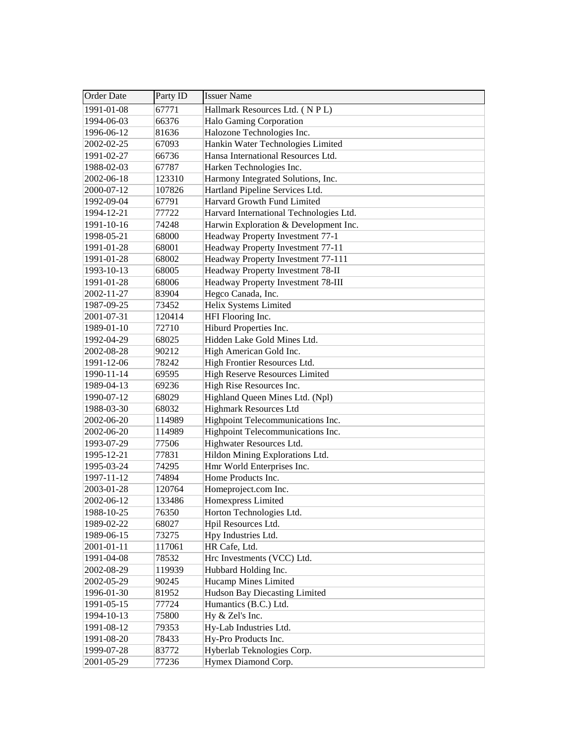| <b>Order Date</b> | Party ID | <b>Issuer Name</b>                      |
|-------------------|----------|-----------------------------------------|
| 1991-01-08        | 67771    | Hallmark Resources Ltd. (NPL)           |
| 1994-06-03        | 66376    | Halo Gaming Corporation                 |
| 1996-06-12        | 81636    | Halozone Technologies Inc.              |
| 2002-02-25        | 67093    | Hankin Water Technologies Limited       |
| 1991-02-27        | 66736    | Hansa International Resources Ltd.      |
| 1988-02-03        | 67787    | Harken Technologies Inc.                |
| 2002-06-18        | 123310   | Harmony Integrated Solutions, Inc.      |
| 2000-07-12        | 107826   | Hartland Pipeline Services Ltd.         |
| 1992-09-04        | 67791    | Harvard Growth Fund Limited             |
| 1994-12-21        | 77722    | Harvard International Technologies Ltd. |
| 1991-10-16        | 74248    | Harwin Exploration & Development Inc.   |
| 1998-05-21        | 68000    | Headway Property Investment 77-1        |
| 1991-01-28        | 68001    | Headway Property Investment 77-11       |
| 1991-01-28        | 68002    | Headway Property Investment 77-111      |
| 1993-10-13        | 68005    | Headway Property Investment 78-II       |
| 1991-01-28        | 68006    | Headway Property Investment 78-III      |
| 2002-11-27        | 83904    | Hegco Canada, Inc.                      |
| 1987-09-25        | 73452    | Helix Systems Limited                   |
| 2001-07-31        | 120414   | HFI Flooring Inc.                       |
| 1989-01-10        | 72710    | Hiburd Properties Inc.                  |
| 1992-04-29        | 68025    | Hidden Lake Gold Mines Ltd.             |
| 2002-08-28        | 90212    | High American Gold Inc.                 |
| 1991-12-06        | 78242    | High Frontier Resources Ltd.            |
| 1990-11-14        | 69595    | <b>High Reserve Resources Limited</b>   |
| 1989-04-13        | 69236    | High Rise Resources Inc.                |
| 1990-07-12        | 68029    | Highland Queen Mines Ltd. (Npl)         |
| 1988-03-30        | 68032    | <b>Highmark Resources Ltd</b>           |
| 2002-06-20        | 114989   | Highpoint Telecommunications Inc.       |
| 2002-06-20        | 114989   | Highpoint Telecommunications Inc.       |
| 1993-07-29        | 77506    | Highwater Resources Ltd.                |
| 1995-12-21        | 77831    | Hildon Mining Explorations Ltd.         |
| 1995-03-24        | 74295    | Hmr World Enterprises Inc.              |
| 1997-11-12        | 74894    | Home Products Inc.                      |
| 2003-01-28        | 120764   | Homeproject.com Inc.                    |
| 2002-06-12        | 133486   | Homexpress Limited                      |
| 1988-10-25        | 76350    | Horton Technologies Ltd.                |
| 1989-02-22        | 68027    | Hpil Resources Ltd.                     |
| 1989-06-15        | 73275    | Hpy Industries Ltd.                     |
| 2001-01-11        | 117061   | HR Cafe, Ltd.                           |
| 1991-04-08        | 78532    | Hrc Investments (VCC) Ltd.              |
| 2002-08-29        | 119939   | Hubbard Holding Inc.                    |
| 2002-05-29        | 90245    | <b>Hucamp Mines Limited</b>             |
| 1996-01-30        | 81952    | Hudson Bay Diecasting Limited           |
| 1991-05-15        | 77724    | Humantics (B.C.) Ltd.                   |
| 1994-10-13        | 75800    | Hy & Zel's Inc.                         |
| 1991-08-12        | 79353    | Hy-Lab Industries Ltd.                  |
| 1991-08-20        | 78433    | Hy-Pro Products Inc.                    |
| 1999-07-28        | 83772    | Hyberlab Teknologies Corp.              |
| 2001-05-29        | 77236    | Hymex Diamond Corp.                     |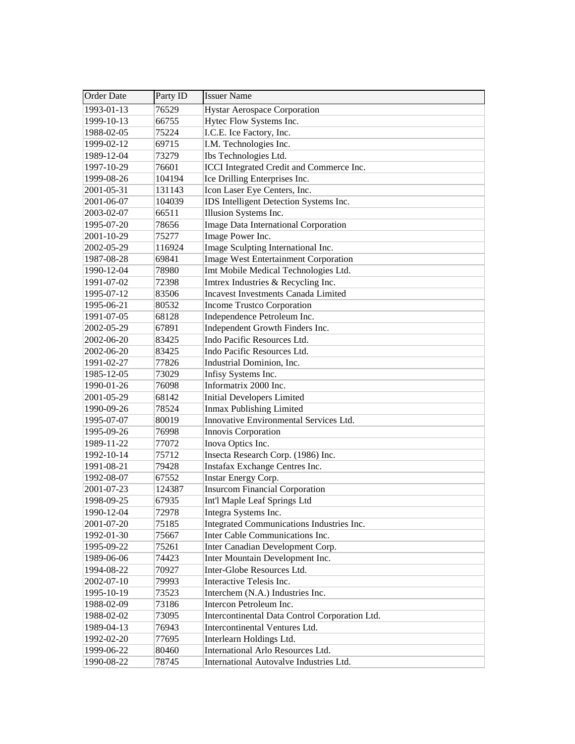| <b>Order Date</b> | Party ID | <b>Issuer Name</b>                             |
|-------------------|----------|------------------------------------------------|
| 1993-01-13        | 76529    | <b>Hystar Aerospace Corporation</b>            |
| 1999-10-13        | 66755    | Hytec Flow Systems Inc.                        |
| 1988-02-05        | 75224    | I.C.E. Ice Factory, Inc.                       |
| 1999-02-12        | 69715    | I.M. Technologies Inc.                         |
| 1989-12-04        | 73279    | Ibs Technologies Ltd.                          |
| 1997-10-29        | 76601    | ICCI Integrated Credit and Commerce Inc.       |
| 1999-08-26        | 104194   | Ice Drilling Enterprises Inc.                  |
| 2001-05-31        | 131143   | Icon Laser Eye Centers, Inc.                   |
| 2001-06-07        | 104039   | IDS Intelligent Detection Systems Inc.         |
| 2003-02-07        | 66511    | Illusion Systems Inc.                          |
| 1995-07-20        | 78656    | <b>Image Data International Corporation</b>    |
| 2001-10-29        | 75277    | Image Power Inc.                               |
| 2002-05-29        | 116924   | Image Sculpting International Inc.             |
| 1987-08-28        | 69841    | Image West Entertainment Corporation           |
| 1990-12-04        | 78980    | Imt Mobile Medical Technologies Ltd.           |
| 1991-07-02        | 72398    | Imtrex Industries & Recycling Inc.             |
| 1995-07-12        | 83506    | <b>Incavest Investments Canada Limited</b>     |
| 1995-06-21        | 80532    | Income Trustco Corporation                     |
| 1991-07-05        | 68128    | Independence Petroleum Inc.                    |
| 2002-05-29        | 67891    | Independent Growth Finders Inc.                |
| 2002-06-20        | 83425    | Indo Pacific Resources Ltd.                    |
| 2002-06-20        | 83425    | Indo Pacific Resources Ltd.                    |
| 1991-02-27        | 77826    | Industrial Dominion, Inc.                      |
| 1985-12-05        | 73029    | Infisy Systems Inc.                            |
| 1990-01-26        | 76098    | Informatrix 2000 Inc.                          |
| 2001-05-29        | 68142    | <b>Initial Developers Limited</b>              |
| 1990-09-26        | 78524    | Inmax Publishing Limited                       |
| 1995-07-07        | 80019    | Innovative Environmental Services Ltd.         |
| 1995-09-26        | 76998    | Innovis Corporation                            |
| 1989-11-22        | 77072    | Inova Optics Inc.                              |
| 1992-10-14        | 75712    | Insecta Research Corp. (1986) Inc.             |
| 1991-08-21        | 79428    | Instafax Exchange Centres Inc.                 |
| 1992-08-07        | 67552    | Instar Energy Corp.                            |
| 2001-07-23        | 124387   | <b>Insurcom Financial Corporation</b>          |
| 1998-09-25        | 67935    | Int'l Maple Leaf Springs Ltd                   |
| 1990-12-04        | 72978    | Integra Systems Inc.                           |
| 2001-07-20        | 75185    | Integrated Communications Industries Inc.      |
| 1992-01-30        | 75667    | Inter Cable Communications Inc.                |
| 1995-09-22        | 75261    | Inter Canadian Development Corp.               |
| 1989-06-06        | 74423    | Inter Mountain Development Inc.                |
| 1994-08-22        | 70927    | Inter-Globe Resources Ltd.                     |
| 2002-07-10        | 79993    | Interactive Telesis Inc.                       |
| 1995-10-19        | 73523    | Interchem (N.A.) Industries Inc.               |
| 1988-02-09        | 73186    | Intercon Petroleum Inc.                        |
| 1988-02-02        | 73095    | Intercontinental Data Control Corporation Ltd. |
| 1989-04-13        | 76943    | Intercontinental Ventures Ltd.                 |
| 1992-02-20        | 77695    | Interlearn Holdings Ltd.                       |
| 1999-06-22        | 80460    | International Arlo Resources Ltd.              |
| 1990-08-22        | 78745    | International Autovalve Industries Ltd.        |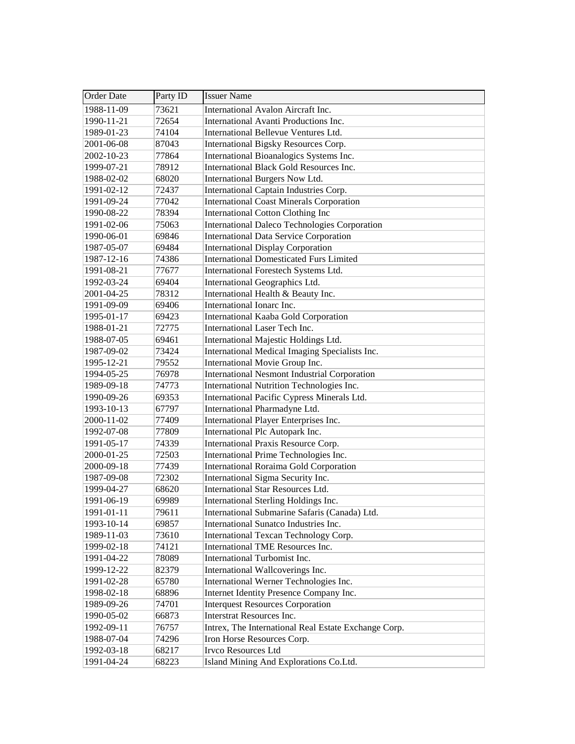| Order Date       | Party ID | <b>Issuer Name</b>                                   |
|------------------|----------|------------------------------------------------------|
| $1988 - 11 - 09$ | 73621    | International Avalon Aircraft Inc.                   |
| 1990-11-21       | 72654    | International Avanti Productions Inc.                |
| 1989-01-23       | 74104    | International Bellevue Ventures Ltd.                 |
| 2001-06-08       | 87043    | International Bigsky Resources Corp.                 |
| 2002-10-23       | 77864    | International Bioanalogics Systems Inc.              |
| 1999-07-21       | 78912    | International Black Gold Resources Inc.              |
| 1988-02-02       | 68020    | International Burgers Now Ltd.                       |
| 1991-02-12       | 72437    | International Captain Industries Corp.               |
| 1991-09-24       | 77042    | <b>International Coast Minerals Corporation</b>      |
| 1990-08-22       | 78394    | <b>International Cotton Clothing Inc</b>             |
| 1991-02-06       | 75063    | <b>International Daleco Technologies Corporation</b> |
| 1990-06-01       | 69846    | <b>International Data Service Corporation</b>        |
| 1987-05-07       | 69484    | <b>International Display Corporation</b>             |
| 1987-12-16       | 74386    | <b>International Domesticated Furs Limited</b>       |
| 1991-08-21       | 77677    | International Forestech Systems Ltd.                 |
| 1992-03-24       | 69404    | International Geographics Ltd.                       |
| 2001-04-25       | 78312    | International Health & Beauty Inc.                   |
| 1991-09-09       | 69406    | International Ionarc Inc.                            |
| 1995-01-17       | 69423    | International Kaaba Gold Corporation                 |
| 1988-01-21       | 72775    | International Laser Tech Inc.                        |
| 1988-07-05       | 69461    | International Majestic Holdings Ltd.                 |
| 1987-09-02       | 73424    | International Medical Imaging Specialists Inc.       |
| 1995-12-21       | 79552    | International Movie Group Inc.                       |
| 1994-05-25       | 76978    | <b>International Nesmont Industrial Corporation</b>  |
| 1989-09-18       | 74773    | International Nutrition Technologies Inc.            |
| 1990-09-26       | 69353    | International Pacific Cypress Minerals Ltd.          |
| 1993-10-13       | 67797    | International Pharmadyne Ltd.                        |
| 2000-11-02       | 77409    | International Player Enterprises Inc.                |
| 1992-07-08       | 77809    | International Plc Autopark Inc.                      |
| 1991-05-17       | 74339    | International Praxis Resource Corp.                  |
| 2000-01-25       | 72503    | International Prime Technologies Inc.                |
| 2000-09-18       | 77439    | International Roraima Gold Corporation               |
| 1987-09-08       | 72302    | International Sigma Security Inc.                    |
| 1999-04-27       | 68620    | International Star Resources Ltd.                    |
| 1991-06-19       | 69989    | International Sterling Holdings Inc.                 |
| 1991-01-11       | 79611    | International Submarine Safaris (Canada) Ltd.        |
| 1993-10-14       | 69857    | International Sunatco Industries Inc.                |
| 1989-11-03       | 73610    | International Texcan Technology Corp.                |
| 1999-02-18       | 74121    | International TME Resources Inc.                     |
| 1991-04-22       | 78089    | International Turbomist Inc.                         |
| 1999-12-22       | 82379    | International Wallcoverings Inc.                     |
| 1991-02-28       | 65780    | International Werner Technologies Inc.               |
| 1998-02-18       | 68896    | Internet Identity Presence Company Inc.              |
| 1989-09-26       | 74701    | <b>Interquest Resources Corporation</b>              |
| 1990-05-02       | 66873    | Interstrat Resources Inc.                            |
| 1992-09-11       | 76757    | Intrex, The International Real Estate Exchange Corp. |
| 1988-07-04       | 74296    | Iron Horse Resources Corp.                           |
| 1992-03-18       | 68217    | Irvco Resources Ltd                                  |
| 1991-04-24       | 68223    | Island Mining And Explorations Co.Ltd.               |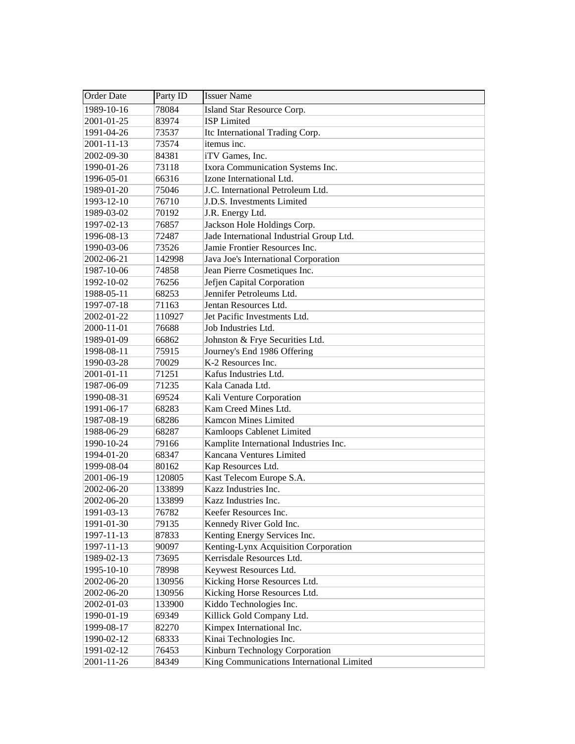| <b>Order Date</b> | Party ID | <b>Issuer Name</b>                        |
|-------------------|----------|-------------------------------------------|
| 1989-10-16        | 78084    | Island Star Resource Corp.                |
| 2001-01-25        | 83974    | <b>ISP</b> Limited                        |
| 1991-04-26        | 73537    | Itc International Trading Corp.           |
| 2001-11-13        | 73574    | itemus inc.                               |
| 2002-09-30        | 84381    | iTV Games, Inc.                           |
| 1990-01-26        | 73118    | Ixora Communication Systems Inc.          |
| 1996-05-01        | 66316    | Izone International Ltd.                  |
| 1989-01-20        | 75046    | J.C. International Petroleum Ltd.         |
| 1993-12-10        | 76710    | J.D.S. Investments Limited                |
| 1989-03-02        | 70192    | J.R. Energy Ltd.                          |
| 1997-02-13        | 76857    | Jackson Hole Holdings Corp.               |
| 1996-08-13        | 72487    | Jade International Industrial Group Ltd.  |
| 1990-03-06        | 73526    | Jamie Frontier Resources Inc.             |
| 2002-06-21        | 142998   | Java Joe's International Corporation      |
| 1987-10-06        | 74858    | Jean Pierre Cosmetiques Inc.              |
| 1992-10-02        | 76256    | Jefjen Capital Corporation                |
| 1988-05-11        | 68253    | Jennifer Petroleums Ltd.                  |
| 1997-07-18        | 71163    | Jentan Resources Ltd.                     |
| 2002-01-22        | 110927   | Jet Pacific Investments Ltd.              |
| 2000-11-01        | 76688    | Job Industries Ltd.                       |
| 1989-01-09        | 66862    | Johnston & Frye Securities Ltd.           |
| 1998-08-11        | 75915    | Journey's End 1986 Offering               |
| 1990-03-28        | 70029    | K-2 Resources Inc.                        |
| 2001-01-11        | 71251    | Kafus Industries Ltd.                     |
| 1987-06-09        | 71235    | Kala Canada Ltd.                          |
| 1990-08-31        | 69524    | Kali Venture Corporation                  |
| 1991-06-17        | 68283    | Kam Creed Mines Ltd.                      |
| 1987-08-19        | 68286    | <b>Kamcon Mines Limited</b>               |
| 1988-06-29        | 68287    | Kamloops Cablenet Limited                 |
| 1990-10-24        | 79166    | Kamplite International Industries Inc.    |
| 1994-01-20        | 68347    | Kancana Ventures Limited                  |
| 1999-08-04        | 80162    | Kap Resources Ltd.                        |
| 2001-06-19        | 120805   | Kast Telecom Europe S.A.                  |
| 2002-06-20        | 133899   | Kazz Industries Inc.                      |
| 2002-06-20        | 133899   | Kazz Industries Inc.                      |
| 1991-03-13        | 76782    | Keefer Resources Inc.                     |
| 1991-01-30        | 79135    | Kennedy River Gold Inc.                   |
| 1997-11-13        | 87833    | Kenting Energy Services Inc.              |
| 1997-11-13        | 90097    | Kenting-Lynx Acquisition Corporation      |
| 1989-02-13        | 73695    | Kerrisdale Resources Ltd.                 |
| 1995-10-10        | 78998    | Keywest Resources Ltd.                    |
| 2002-06-20        | 130956   | Kicking Horse Resources Ltd.              |
| 2002-06-20        | 130956   | Kicking Horse Resources Ltd.              |
| 2002-01-03        | 133900   | Kiddo Technologies Inc.                   |
| 1990-01-19        | 69349    | Killick Gold Company Ltd.                 |
| 1999-08-17        | 82270    | Kimpex International Inc.                 |
| 1990-02-12        | 68333    | Kinai Technologies Inc.                   |
| 1991-02-12        | 76453    | Kinburn Technology Corporation            |
| 2001-11-26        | 84349    | King Communications International Limited |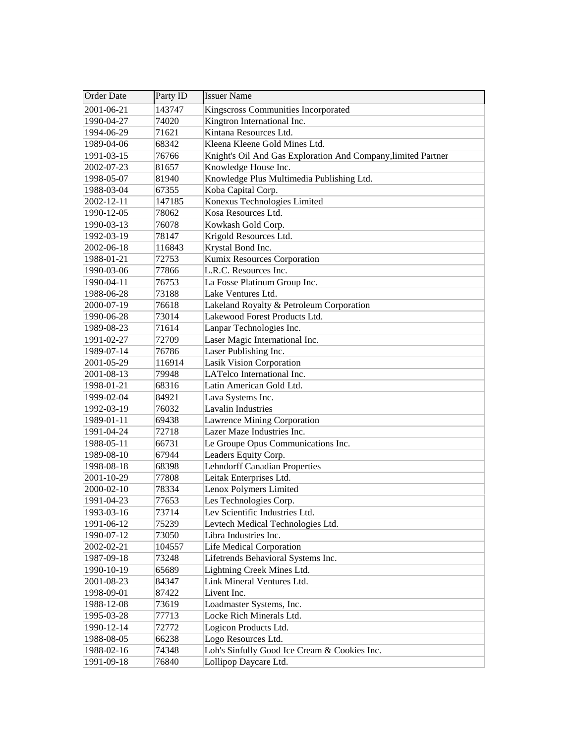| <b>Order Date</b> | Party ID | <b>Issuer Name</b>                                            |
|-------------------|----------|---------------------------------------------------------------|
| 2001-06-21        | 143747   | Kingscross Communities Incorporated                           |
| 1990-04-27        | 74020    | Kingtron International Inc.                                   |
| 1994-06-29        | 71621    | Kintana Resources Ltd.                                        |
| 1989-04-06        | 68342    | Kleena Kleene Gold Mines Ltd.                                 |
| 1991-03-15        | 76766    | Knight's Oil And Gas Exploration And Company, limited Partner |
| 2002-07-23        | 81657    | Knowledge House Inc.                                          |
| 1998-05-07        | 81940    | Knowledge Plus Multimedia Publishing Ltd.                     |
| 1988-03-04        | 67355    | Koba Capital Corp.                                            |
| 2002-12-11        | 147185   | Konexus Technologies Limited                                  |
| 1990-12-05        | 78062    | Kosa Resources Ltd.                                           |
| 1990-03-13        | 76078    | Kowkash Gold Corp.                                            |
| 1992-03-19        | 78147    | Krigold Resources Ltd.                                        |
| 2002-06-18        | 116843   | Krystal Bond Inc.                                             |
| 1988-01-21        | 72753    | Kumix Resources Corporation                                   |
| 1990-03-06        | 77866    | L.R.C. Resources Inc.                                         |
| 1990-04-11        | 76753    | La Fosse Platinum Group Inc.                                  |
| 1988-06-28        | 73188    | Lake Ventures Ltd.                                            |
| 2000-07-19        | 76618    | Lakeland Royalty & Petroleum Corporation                      |
| 1990-06-28        | 73014    | Lakewood Forest Products Ltd.                                 |
| 1989-08-23        | 71614    | Lanpar Technologies Inc.                                      |
| 1991-02-27        | 72709    | Laser Magic International Inc.                                |
| 1989-07-14        | 76786    | Laser Publishing Inc.                                         |
| 2001-05-29        | 116914   | <b>Lasik Vision Corporation</b>                               |
| 2001-08-13        | 79948    | LATelco International Inc.                                    |
| 1998-01-21        | 68316    | Latin American Gold Ltd.                                      |
| 1999-02-04        | 84921    | Lava Systems Inc.                                             |
| 1992-03-19        | 76032    | <b>Lavalin Industries</b>                                     |
| 1989-01-11        | 69438    | Lawrence Mining Corporation                                   |
| 1991-04-24        | 72718    | Lazer Maze Industries Inc.                                    |
| 1988-05-11        | 66731    | Le Groupe Opus Communications Inc.                            |
| 1989-08-10        | 67944    | Leaders Equity Corp.                                          |
| 1998-08-18        | 68398    | <b>Lehndorff Canadian Properties</b>                          |
| 2001-10-29        | 77808    | Leitak Enterprises Ltd.                                       |
| 2000-02-10        | 78334    | Lenox Polymers Limited                                        |
| 1991-04-23        | 77653    | Les Technologies Corp.                                        |
| 1993-03-16        | 73714    | Lev Scientific Industries Ltd.                                |
| 1991-06-12        | 75239    | Levtech Medical Technologies Ltd.                             |
| 1990-07-12        | 73050    | Libra Industries Inc.                                         |
| 2002-02-21        | 104557   | Life Medical Corporation                                      |
| 1987-09-18        | 73248    | Lifetrends Behavioral Systems Inc.                            |
| 1990-10-19        | 65689    | Lightning Creek Mines Ltd.                                    |
| 2001-08-23        | 84347    | Link Mineral Ventures Ltd.                                    |
| 1998-09-01        | 87422    | Livent Inc.                                                   |
| 1988-12-08        | 73619    | Loadmaster Systems, Inc.                                      |
| 1995-03-28        | 77713    | Locke Rich Minerals Ltd.                                      |
| 1990-12-14        | 72772    | Logicon Products Ltd.                                         |
| 1988-08-05        | 66238    | Logo Resources Ltd.                                           |
| 1988-02-16        | 74348    | Loh's Sinfully Good Ice Cream & Cookies Inc.                  |
| 1991-09-18        | 76840    | Lollipop Daycare Ltd.                                         |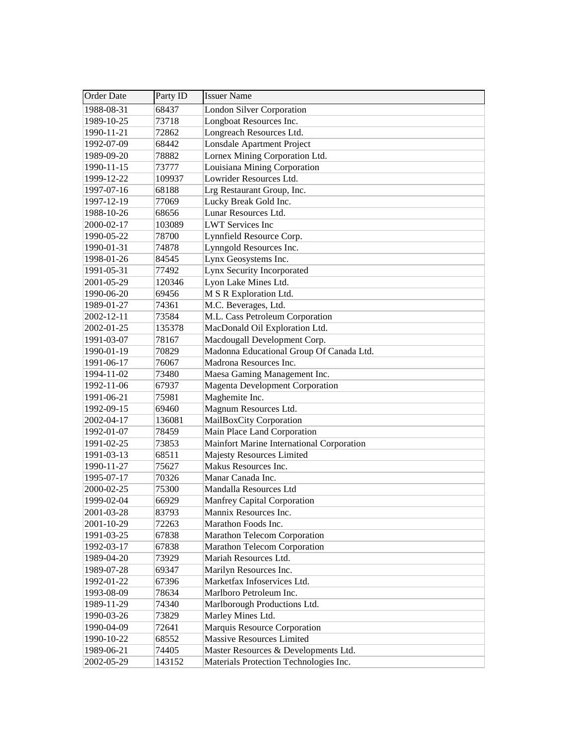| <b>Order Date</b> | Party ID | <b>Issuer Name</b>                        |
|-------------------|----------|-------------------------------------------|
| 1988-08-31        | 68437    | <b>London Silver Corporation</b>          |
| 1989-10-25        | 73718    | Longboat Resources Inc.                   |
| 1990-11-21        | 72862    | Longreach Resources Ltd.                  |
| 1992-07-09        | 68442    | Lonsdale Apartment Project                |
| 1989-09-20        | 78882    | Lornex Mining Corporation Ltd.            |
| 1990-11-15        | 73777    | Louisiana Mining Corporation              |
| 1999-12-22        | 109937   | Lowrider Resources Ltd.                   |
| 1997-07-16        | 68188    | Lrg Restaurant Group, Inc.                |
| 1997-12-19        | 77069    | Lucky Break Gold Inc.                     |
| 1988-10-26        | 68656    | Lunar Resources Ltd.                      |
| 2000-02-17        | 103089   | <b>LWT</b> Services Inc                   |
| 1990-05-22        | 78700    | Lynnfield Resource Corp.                  |
| 1990-01-31        | 74878    | Lynngold Resources Inc.                   |
| 1998-01-26        | 84545    | Lynx Geosystems Inc.                      |
| 1991-05-31        | 77492    | Lynx Security Incorporated                |
| 2001-05-29        | 120346   | Lyon Lake Mines Ltd.                      |
| 1990-06-20        | 69456    | M S R Exploration Ltd.                    |
| 1989-01-27        | 74361    | M.C. Beverages, Ltd.                      |
| 2002-12-11        | 73584    | M.L. Cass Petroleum Corporation           |
| 2002-01-25        | 135378   | MacDonald Oil Exploration Ltd.            |
| 1991-03-07        | 78167    | Macdougall Development Corp.              |
| 1990-01-19        | 70829    | Madonna Educational Group Of Canada Ltd.  |
| 1991-06-17        | 76067    | Madrona Resources Inc.                    |
| 1994-11-02        | 73480    | Maesa Gaming Management Inc.              |
| 1992-11-06        | 67937    | <b>Magenta Development Corporation</b>    |
| 1991-06-21        | 75981    | Maghemite Inc.                            |
| 1992-09-15        | 69460    | Magnum Resources Ltd.                     |
| 2002-04-17        | 136081   | MailBoxCity Corporation                   |
| 1992-01-07        | 78459    | Main Place Land Corporation               |
| 1991-02-25        | 73853    | Mainfort Marine International Corporation |
| 1991-03-13        | 68511    | <b>Majesty Resources Limited</b>          |
| 1990-11-27        | 75627    | Makus Resources Inc.                      |
| 1995-07-17        | 70326    | Manar Canada Inc.                         |
| 2000-02-25        | 75300    | Mandalla Resources Ltd                    |
| 1999-02-04        | 66929    | <b>Manfrey Capital Corporation</b>        |
| 2001-03-28        | 83793    | Mannix Resources Inc.                     |
| 2001-10-29        | 72263    | Marathon Foods Inc.                       |
| 1991-03-25        | 67838    | Marathon Telecom Corporation              |
| 1992-03-17        | 67838    | Marathon Telecom Corporation              |
| 1989-04-20        | 73929    | Mariah Resources Ltd.                     |
| 1989-07-28        | 69347    | Marilyn Resources Inc.                    |
| 1992-01-22        | 67396    | Marketfax Infoservices Ltd.               |
| 1993-08-09        | 78634    | Marlboro Petroleum Inc.                   |
| 1989-11-29        | 74340    | Marlborough Productions Ltd.              |
| 1990-03-26        | 73829    | Marley Mines Ltd.                         |
| 1990-04-09        | 72641    | Marquis Resource Corporation              |
| 1990-10-22        | 68552    | <b>Massive Resources Limited</b>          |
| 1989-06-21        | 74405    | Master Resources & Developments Ltd.      |
| 2002-05-29        | 143152   | Materials Protection Technologies Inc.    |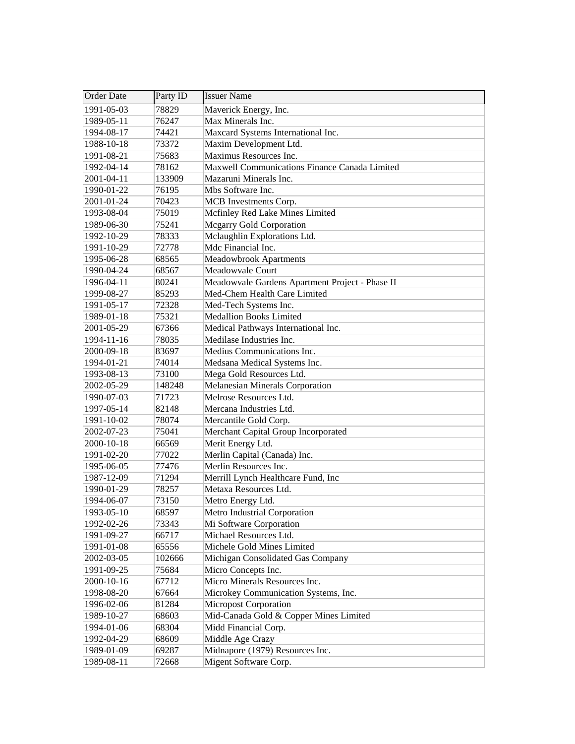| <b>Order Date</b> | Party ID | <b>Issuer Name</b>                              |
|-------------------|----------|-------------------------------------------------|
| 1991-05-03        | 78829    | Maverick Energy, Inc.                           |
| 1989-05-11        | 76247    | Max Minerals Inc.                               |
| 1994-08-17        | 74421    | Maxcard Systems International Inc.              |
| 1988-10-18        | 73372    | Maxim Development Ltd.                          |
| 1991-08-21        | 75683    | Maximus Resources Inc.                          |
| 1992-04-14        | 78162    | Maxwell Communications Finance Canada Limited   |
| 2001-04-11        | 133909   | Mazaruni Minerals Inc.                          |
| 1990-01-22        | 76195    | Mbs Software Inc.                               |
| 2001-01-24        | 70423    | MCB Investments Corp.                           |
| 1993-08-04        | 75019    | Mcfinley Red Lake Mines Limited                 |
| 1989-06-30        | 75241    | <b>Mcgarry Gold Corporation</b>                 |
| 1992-10-29        | 78333    | Mclaughlin Explorations Ltd.                    |
| 1991-10-29        | 72778    | Mdc Financial Inc.                              |
| 1995-06-28        | 68565    | <b>Meadowbrook Apartments</b>                   |
| 1990-04-24        | 68567    | Meadowvale Court                                |
| 1996-04-11        | 80241    | Meadowvale Gardens Apartment Project - Phase II |
| 1999-08-27        | 85293    | Med-Chem Health Care Limited                    |
| 1991-05-17        | 72328    | Med-Tech Systems Inc.                           |
| 1989-01-18        | 75321    | <b>Medallion Books Limited</b>                  |
| 2001-05-29        | 67366    | Medical Pathways International Inc.             |
| 1994-11-16        | 78035    | Medilase Industries Inc.                        |
| 2000-09-18        | 83697    | Medius Communications Inc.                      |
| 1994-01-21        | 74014    | Medsana Medical Systems Inc.                    |
| 1993-08-13        | 73100    | Mega Gold Resources Ltd.                        |
| 2002-05-29        | 148248   | <b>Melanesian Minerals Corporation</b>          |
| 1990-07-03        | 71723    | Melrose Resources Ltd.                          |
| 1997-05-14        | 82148    | Mercana Industries Ltd.                         |
| 1991-10-02        | 78074    | Mercantile Gold Corp.                           |
| 2002-07-23        | 75041    | Merchant Capital Group Incorporated             |
| 2000-10-18        | 66569    | Merit Energy Ltd.                               |
| 1991-02-20        | 77022    | Merlin Capital (Canada) Inc.                    |
| 1995-06-05        | 77476    | Merlin Resources Inc.                           |
| 1987-12-09        | 71294    | Merrill Lynch Healthcare Fund, Inc              |
| 1990-01-29        | 78257    | Metaxa Resources Ltd.                           |
| 1994-06-07        | 73150    | Metro Energy Ltd.                               |
| 1993-05-10        | 68597    | Metro Industrial Corporation                    |
| 1992-02-26        | 73343    | Mi Software Corporation                         |
| 1991-09-27        | 66717    | Michael Resources Ltd.                          |
| 1991-01-08        | 65556    | Michele Gold Mines Limited                      |
| 2002-03-05        | 102666   | Michigan Consolidated Gas Company               |
| 1991-09-25        | 75684    | Micro Concepts Inc.                             |
| 2000-10-16        | 67712    | Micro Minerals Resources Inc.                   |
| 1998-08-20        | 67664    | Microkey Communication Systems, Inc.            |
| 1996-02-06        | 81284    | <b>Micropost Corporation</b>                    |
| 1989-10-27        | 68603    | Mid-Canada Gold & Copper Mines Limited          |
| 1994-01-06        | 68304    | Midd Financial Corp.                            |
| 1992-04-29        | 68609    | Middle Age Crazy                                |
| 1989-01-09        | 69287    | Midnapore (1979) Resources Inc.                 |
| 1989-08-11        | 72668    | Migent Software Corp.                           |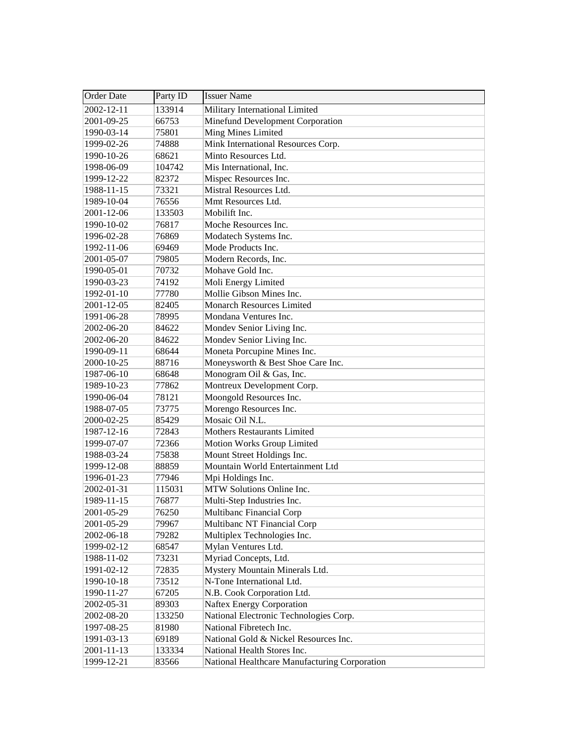| Order Date | Party ID | <b>Issuer Name</b>                            |
|------------|----------|-----------------------------------------------|
| 2002-12-11 | 133914   | Military International Limited                |
| 2001-09-25 | 66753    | Minefund Development Corporation              |
| 1990-03-14 | 75801    | Ming Mines Limited                            |
| 1999-02-26 | 74888    | Mink International Resources Corp.            |
| 1990-10-26 | 68621    | Minto Resources Ltd.                          |
| 1998-06-09 | 104742   | Mis International, Inc.                       |
| 1999-12-22 | 82372    | Mispec Resources Inc.                         |
| 1988-11-15 | 73321    | Mistral Resources Ltd.                        |
| 1989-10-04 | 76556    | Mmt Resources Ltd.                            |
| 2001-12-06 | 133503   | Mobilift Inc.                                 |
| 1990-10-02 | 76817    | Moche Resources Inc.                          |
| 1996-02-28 | 76869    | Modatech Systems Inc.                         |
| 1992-11-06 | 69469    | Mode Products Inc.                            |
| 2001-05-07 | 79805    | Modern Records, Inc.                          |
| 1990-05-01 | 70732    | Mohave Gold Inc.                              |
| 1990-03-23 | 74192    | Moli Energy Limited                           |
| 1992-01-10 | 77780    | Mollie Gibson Mines Inc.                      |
| 2001-12-05 | 82405    | <b>Monarch Resources Limited</b>              |
| 1991-06-28 | 78995    | Mondana Ventures Inc.                         |
| 2002-06-20 | 84622    | Mondev Senior Living Inc.                     |
| 2002-06-20 | 84622    | Mondev Senior Living Inc.                     |
| 1990-09-11 | 68644    | Moneta Porcupine Mines Inc.                   |
| 2000-10-25 | 88716    | Moneysworth & Best Shoe Care Inc.             |
| 1987-06-10 | 68648    | Monogram Oil & Gas, Inc.                      |
| 1989-10-23 | 77862    | Montreux Development Corp.                    |
| 1990-06-04 | 78121    | Moongold Resources Inc.                       |
| 1988-07-05 | 73775    | Morengo Resources Inc.                        |
| 2000-02-25 | 85429    | Mosaic Oil N.L.                               |
| 1987-12-16 | 72843    | <b>Mothers Restaurants Limited</b>            |
| 1999-07-07 | 72366    | Motion Works Group Limited                    |
| 1988-03-24 | 75838    | Mount Street Holdings Inc.                    |
| 1999-12-08 | 88859    | Mountain World Entertainment Ltd              |
| 1996-01-23 | 77946    | Mpi Holdings Inc.                             |
| 2002-01-31 | 115031   | MTW Solutions Online Inc.                     |
| 1989-11-15 | 76877    | Multi-Step Industries Inc.                    |
| 2001-05-29 | 76250    | Multibanc Financial Corp                      |
| 2001-05-29 | 79967    | Multibanc NT Financial Corp                   |
| 2002-06-18 | 79282    | Multiplex Technologies Inc.                   |
| 1999-02-12 | 68547    | Mylan Ventures Ltd.                           |
| 1988-11-02 | 73231    | Myriad Concepts, Ltd.                         |
| 1991-02-12 | 72835    | Mystery Mountain Minerals Ltd.                |
| 1990-10-18 | 73512    | N-Tone International Ltd.                     |
| 1990-11-27 | 67205    | N.B. Cook Corporation Ltd.                    |
| 2002-05-31 | 89303    | <b>Naftex Energy Corporation</b>              |
| 2002-08-20 | 133250   | National Electronic Technologies Corp.        |
| 1997-08-25 | 81980    | National Fibretech Inc.                       |
| 1991-03-13 | 69189    | National Gold & Nickel Resources Inc.         |
| 2001-11-13 | 133334   | National Health Stores Inc.                   |
| 1999-12-21 | 83566    | National Healthcare Manufacturing Corporation |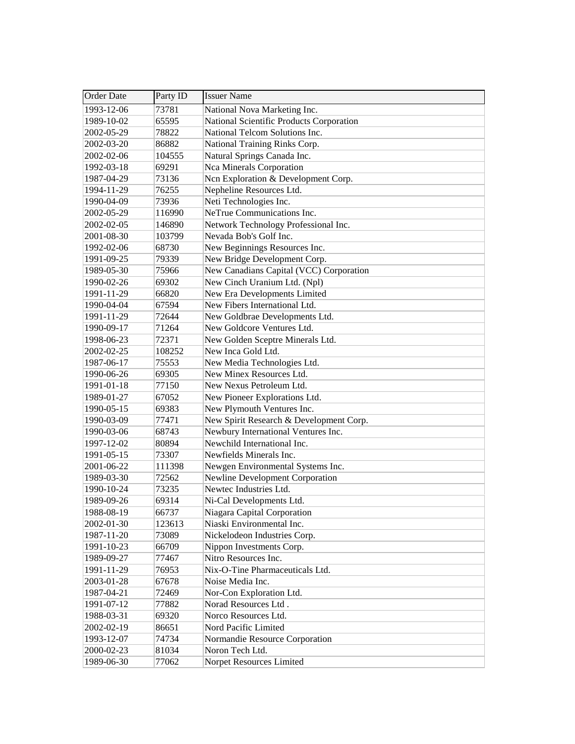| Order Date | Party ID | <b>Issuer Name</b>                       |
|------------|----------|------------------------------------------|
| 1993-12-06 | 73781    | National Nova Marketing Inc.             |
| 1989-10-02 | 65595    | National Scientific Products Corporation |
| 2002-05-29 | 78822    | National Telcom Solutions Inc.           |
| 2002-03-20 | 86882    | National Training Rinks Corp.            |
| 2002-02-06 | 104555   | Natural Springs Canada Inc.              |
| 1992-03-18 | 69291    | Nca Minerals Corporation                 |
| 1987-04-29 | 73136    | Ncn Exploration & Development Corp.      |
| 1994-11-29 | 76255    | Nepheline Resources Ltd.                 |
| 1990-04-09 | 73936    | Neti Technologies Inc.                   |
| 2002-05-29 | 116990   | NeTrue Communications Inc.               |
| 2002-02-05 | 146890   | Network Technology Professional Inc.     |
| 2001-08-30 | 103799   | Nevada Bob's Golf Inc.                   |
| 1992-02-06 | 68730    | New Beginnings Resources Inc.            |
| 1991-09-25 | 79339    | New Bridge Development Corp.             |
| 1989-05-30 | 75966    | New Canadians Capital (VCC) Corporation  |
| 1990-02-26 | 69302    | New Cinch Uranium Ltd. (Npl)             |
| 1991-11-29 | 66820    | New Era Developments Limited             |
| 1990-04-04 | 67594    | New Fibers International Ltd.            |
| 1991-11-29 | 72644    | New Goldbrae Developments Ltd.           |
| 1990-09-17 | 71264    | New Goldcore Ventures Ltd.               |
| 1998-06-23 | 72371    | New Golden Sceptre Minerals Ltd.         |
| 2002-02-25 | 108252   | New Inca Gold Ltd.                       |
| 1987-06-17 | 75553    | New Media Technologies Ltd.              |
| 1990-06-26 | 69305    | New Minex Resources Ltd.                 |
| 1991-01-18 | 77150    | New Nexus Petroleum Ltd.                 |
| 1989-01-27 | 67052    | New Pioneer Explorations Ltd.            |
| 1990-05-15 | 69383    | New Plymouth Ventures Inc.               |
| 1990-03-09 | 77471    | New Spirit Research & Development Corp.  |
| 1990-03-06 | 68743    | Newbury International Ventures Inc.      |
| 1997-12-02 | 80894    | Newchild International Inc.              |
| 1991-05-15 | 73307    | Newfields Minerals Inc.                  |
| 2001-06-22 | 111398   | Newgen Environmental Systems Inc.        |
| 1989-03-30 | 72562    | Newline Development Corporation          |
| 1990-10-24 | 73235    | Newtec Industries Ltd.                   |
| 1989-09-26 | 69314    | Ni-Cal Developments Ltd.                 |
| 1988-08-19 | 66737    | Niagara Capital Corporation              |
| 2002-01-30 | 123613   | Niaski Environmental Inc.                |
| 1987-11-20 | 73089    | Nickelodeon Industries Corp.             |
| 1991-10-23 | 66709    | Nippon Investments Corp.                 |
| 1989-09-27 | 77467    | Nitro Resources Inc.                     |
| 1991-11-29 | 76953    | Nix-O-Tine Pharmaceuticals Ltd.          |
| 2003-01-28 | 67678    | Noise Media Inc.                         |
| 1987-04-21 | 72469    | Nor-Con Exploration Ltd.                 |
| 1991-07-12 | 77882    | Norad Resources Ltd.                     |
| 1988-03-31 | 69320    | Norco Resources Ltd.                     |
| 2002-02-19 | 86651    | Nord Pacific Limited                     |
| 1993-12-07 | 74734    | Normandie Resource Corporation           |
| 2000-02-23 | 81034    | Noron Tech Ltd.                          |
| 1989-06-30 | 77062    | Norpet Resources Limited                 |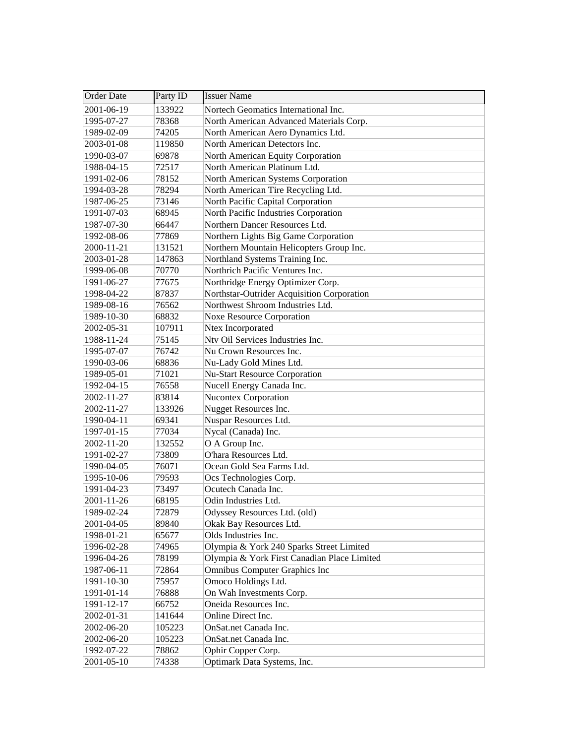| <b>Order Date</b> | Party ID | <b>Issuer Name</b>                          |
|-------------------|----------|---------------------------------------------|
| 2001-06-19        | 133922   | Nortech Geomatics International Inc.        |
| 1995-07-27        | 78368    | North American Advanced Materials Corp.     |
| 1989-02-09        | 74205    | North American Aero Dynamics Ltd.           |
| 2003-01-08        | 119850   | North American Detectors Inc.               |
| 1990-03-07        | 69878    | North American Equity Corporation           |
| 1988-04-15        | 72517    | North American Platinum Ltd.                |
| 1991-02-06        | 78152    | North American Systems Corporation          |
| 1994-03-28        | 78294    | North American Tire Recycling Ltd.          |
| 1987-06-25        | 73146    | North Pacific Capital Corporation           |
| 1991-07-03        | 68945    | North Pacific Industries Corporation        |
| 1987-07-30        | 66447    | Northern Dancer Resources Ltd.              |
| 1992-08-06        | 77869    | Northern Lights Big Game Corporation        |
| 2000-11-21        | 131521   | Northern Mountain Helicopters Group Inc.    |
| 2003-01-28        | 147863   | Northland Systems Training Inc.             |
| 1999-06-08        | 70770    | Northrich Pacific Ventures Inc.             |
| 1991-06-27        | 77675    | Northridge Energy Optimizer Corp.           |
| 1998-04-22        | 87837    | Northstar-Outrider Acquisition Corporation  |
| 1989-08-16        | 76562    | Northwest Shroom Industries Ltd.            |
| 1989-10-30        | 68832    | <b>Noxe Resource Corporation</b>            |
| 2002-05-31        | 107911   | Ntex Incorporated                           |
| 1988-11-24        | 75145    | Ntv Oil Services Industries Inc.            |
| 1995-07-07        | 76742    | Nu Crown Resources Inc.                     |
| 1990-03-06        | 68836    | Nu-Lady Gold Mines Ltd.                     |
| 1989-05-01        | 71021    | <b>Nu-Start Resource Corporation</b>        |
| 1992-04-15        | 76558    | Nucell Energy Canada Inc.                   |
| 2002-11-27        | 83814    | <b>Nucontex Corporation</b>                 |
| 2002-11-27        | 133926   | Nugget Resources Inc.                       |
| 1990-04-11        | 69341    | Nuspar Resources Ltd.                       |
| 1997-01-15        | 77034    | Nycal (Canada) Inc.                         |
| 2002-11-20        | 132552   | O A Group Inc.                              |
| 1991-02-27        | 73809    | O'hara Resources Ltd.                       |
| 1990-04-05        | 76071    | Ocean Gold Sea Farms Ltd.                   |
| 1995-10-06        | 79593    | Ocs Technologies Corp.                      |
| 1991-04-23        | 73497    | Ocutech Canada Inc.                         |
| 2001-11-26        | 68195    | Odin Industries Ltd.                        |
| 1989-02-24        | 72879    | Odyssey Resources Ltd. (old)                |
| 2001-04-05        | 89840    | Okak Bay Resources Ltd.                     |
| 1998-01-21        | 65677    | Olds Industries Inc.                        |
| 1996-02-28        | 74965    | Olympia & York 240 Sparks Street Limited    |
| 1996-04-26        | 78199    | Olympia & York First Canadian Place Limited |
| 1987-06-11        | 72864    | <b>Omnibus Computer Graphics Inc</b>        |
| 1991-10-30        | 75957    | Omoco Holdings Ltd.                         |
| 1991-01-14        | 76888    | On Wah Investments Corp.                    |
| 1991-12-17        | 66752    | Oneida Resources Inc.                       |
| 2002-01-31        | 141644   | Online Direct Inc.                          |
| 2002-06-20        | 105223   | OnSat.net Canada Inc.                       |
| 2002-06-20        | 105223   | OnSat.net Canada Inc.                       |
| 1992-07-22        | 78862    | Ophir Copper Corp.                          |
| 2001-05-10        | 74338    | Optimark Data Systems, Inc.                 |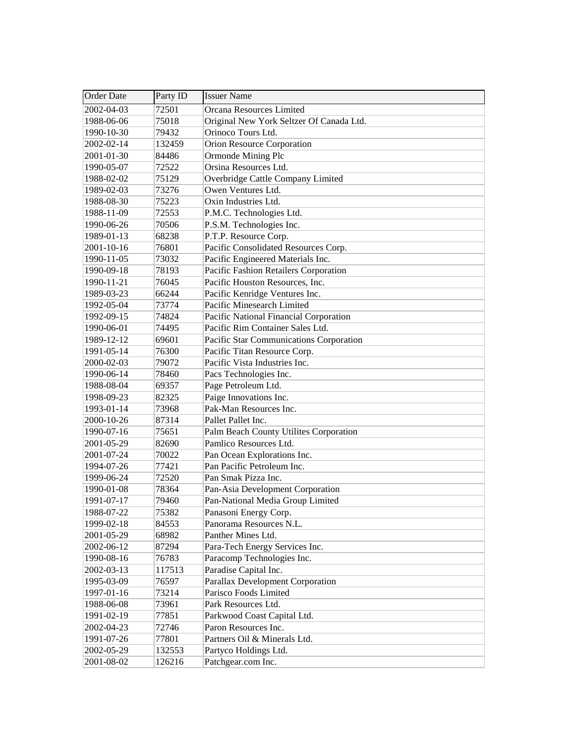| <b>Order Date</b> | Party ID | <b>Issuer Name</b>                       |
|-------------------|----------|------------------------------------------|
| 2002-04-03        | 72501    | Orcana Resources Limited                 |
| 1988-06-06        | 75018    | Original New York Seltzer Of Canada Ltd. |
| 1990-10-30        | 79432    | Orinoco Tours Ltd.                       |
| 2002-02-14        | 132459   | Orion Resource Corporation               |
| 2001-01-30        | 84486    | Ormonde Mining Plc                       |
| 1990-05-07        | 72522    | Orsina Resources Ltd.                    |
| 1988-02-02        | 75129    | Overbridge Cattle Company Limited        |
| 1989-02-03        | 73276    | Owen Ventures Ltd.                       |
| 1988-08-30        | 75223    | Oxin Industries Ltd.                     |
| 1988-11-09        | 72553    | P.M.C. Technologies Ltd.                 |
| 1990-06-26        | 70506    | P.S.M. Technologies Inc.                 |
| 1989-01-13        | 68238    | P.T.P. Resource Corp.                    |
| 2001-10-16        | 76801    | Pacific Consolidated Resources Corp.     |
| 1990-11-05        | 73032    | Pacific Engineered Materials Inc.        |
| 1990-09-18        | 78193    | Pacific Fashion Retailers Corporation    |
| 1990-11-21        | 76045    | Pacific Houston Resources, Inc.          |
| 1989-03-23        | 66244    | Pacific Kenridge Ventures Inc.           |
| 1992-05-04        | 73774    | Pacific Minesearch Limited               |
| 1992-09-15        | 74824    | Pacific National Financial Corporation   |
| 1990-06-01        | 74495    | Pacific Rim Container Sales Ltd.         |
| 1989-12-12        | 69601    | Pacific Star Communications Corporation  |
| 1991-05-14        | 76300    | Pacific Titan Resource Corp.             |
| 2000-02-03        | 79072    | Pacific Vista Industries Inc.            |
| 1990-06-14        | 78460    | Pacs Technologies Inc.                   |
| 1988-08-04        | 69357    | Page Petroleum Ltd.                      |
| 1998-09-23        | 82325    | Paige Innovations Inc.                   |
| 1993-01-14        | 73968    | Pak-Man Resources Inc.                   |
| 2000-10-26        | 87314    | Pallet Pallet Inc.                       |
| 1990-07-16        | 75651    | Palm Beach County Utilites Corporation   |
| 2001-05-29        | 82690    | Pamlico Resources Ltd.                   |
| 2001-07-24        | 70022    | Pan Ocean Explorations Inc.              |
| 1994-07-26        | 77421    | Pan Pacific Petroleum Inc.               |
| 1999-06-24        | 72520    | Pan Smak Pizza Inc.                      |
| 1990-01-08        | 78364    | Pan-Asia Development Corporation         |
| 1991-07-17        | 79460    | Pan-National Media Group Limited         |
| 1988-07-22        | 75382    | Panasoni Energy Corp.                    |
| 1999-02-18        | 84553    | Panorama Resources N.L.                  |
| 2001-05-29        | 68982    | Panther Mines Ltd.                       |
| 2002-06-12        | 87294    | Para-Tech Energy Services Inc.           |
| 1990-08-16        | 76783    | Paracomp Technologies Inc.               |
| 2002-03-13        | 117513   | Paradise Capital Inc.                    |
| 1995-03-09        | 76597    | Parallax Development Corporation         |
| 1997-01-16        | 73214    | Parisco Foods Limited                    |
| 1988-06-08        | 73961    | Park Resources Ltd.                      |
| 1991-02-19        | 77851    | Parkwood Coast Capital Ltd.              |
| 2002-04-23        | 72746    | Paron Resources Inc.                     |
| 1991-07-26        | 77801    | Partners Oil & Minerals Ltd.             |
| 2002-05-29        | 132553   | Partyco Holdings Ltd.                    |
| 2001-08-02        | 126216   | Patchgear.com Inc.                       |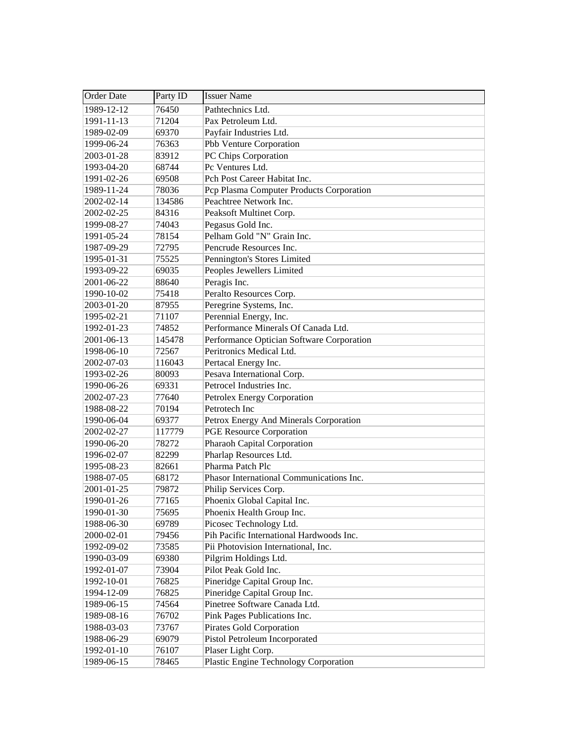| Order Date | Party ID | <b>Issuer Name</b>                        |
|------------|----------|-------------------------------------------|
| 1989-12-12 | 76450    | Pathtechnics Ltd.                         |
| 1991-11-13 | 71204    | Pax Petroleum Ltd.                        |
| 1989-02-09 | 69370    | Payfair Industries Ltd.                   |
| 1999-06-24 | 76363    | Pbb Venture Corporation                   |
| 2003-01-28 | 83912    | PC Chips Corporation                      |
| 1993-04-20 | 68744    | Pc Ventures Ltd.                          |
| 1991-02-26 | 69508    | Pch Post Career Habitat Inc.              |
| 1989-11-24 | 78036    | Pcp Plasma Computer Products Corporation  |
| 2002-02-14 | 134586   | Peachtree Network Inc.                    |
| 2002-02-25 | 84316    | Peaksoft Multinet Corp.                   |
| 1999-08-27 | 74043    | Pegasus Gold Inc.                         |
| 1991-05-24 | 78154    | Pelham Gold "N" Grain Inc.                |
| 1987-09-29 | 72795    | Pencrude Resources Inc.                   |
| 1995-01-31 | 75525    | Pennington's Stores Limited               |
| 1993-09-22 | 69035    | Peoples Jewellers Limited                 |
| 2001-06-22 | 88640    | Peragis Inc.                              |
| 1990-10-02 | 75418    | Peralto Resources Corp.                   |
| 2003-01-20 | 87955    | Peregrine Systems, Inc.                   |
| 1995-02-21 | 71107    | Perennial Energy, Inc.                    |
| 1992-01-23 | 74852    | Performance Minerals Of Canada Ltd.       |
| 2001-06-13 | 145478   | Performance Optician Software Corporation |
| 1998-06-10 | 72567    | Peritronics Medical Ltd.                  |
| 2002-07-03 | 116043   | Pertacal Energy Inc.                      |
| 1993-02-26 | 80093    | Pesava International Corp.                |
| 1990-06-26 | 69331    | Petrocel Industries Inc.                  |
| 2002-07-23 | 77640    | Petrolex Energy Corporation               |
| 1988-08-22 | 70194    | Petrotech Inc                             |
| 1990-06-04 | 69377    | Petrox Energy And Minerals Corporation    |
| 2002-02-27 | 117779   | <b>PGE Resource Corporation</b>           |
| 1990-06-20 | 78272    | Pharaoh Capital Corporation               |
| 1996-02-07 | 82299    | Pharlap Resources Ltd.                    |
| 1995-08-23 | 82661    | Pharma Patch Plc                          |
| 1988-07-05 | 68172    | Phasor International Communications Inc.  |
| 2001-01-25 | 79872    | Philip Services Corp.                     |
| 1990-01-26 | 77165    | Phoenix Global Capital Inc.               |
| 1990-01-30 | 75695    | Phoenix Health Group Inc.                 |
| 1988-06-30 | 69789    | Picosec Technology Ltd.                   |
| 2000-02-01 | 79456    | Pih Pacific International Hardwoods Inc.  |
| 1992-09-02 | 73585    | Pii Photovision International, Inc.       |
| 1990-03-09 | 69380    | Pilgrim Holdings Ltd.                     |
| 1992-01-07 | 73904    | Pilot Peak Gold Inc.                      |
| 1992-10-01 | 76825    | Pineridge Capital Group Inc.              |
| 1994-12-09 | 76825    | Pineridge Capital Group Inc.              |
| 1989-06-15 | 74564    | Pinetree Software Canada Ltd.             |
| 1989-08-16 | 76702    | Pink Pages Publications Inc.              |
| 1988-03-03 | 73767    | Pirates Gold Corporation                  |
| 1988-06-29 | 69079    | Pistol Petroleum Incorporated             |
| 1992-01-10 | 76107    | Plaser Light Corp.                        |
| 1989-06-15 | 78465    | Plastic Engine Technology Corporation     |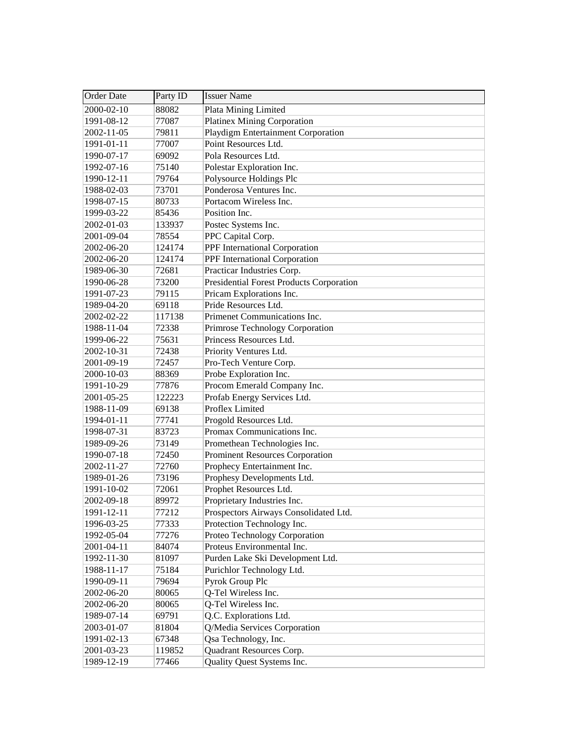| <b>Order Date</b> | Party ID | <b>Issuer Name</b>                              |
|-------------------|----------|-------------------------------------------------|
| 2000-02-10        | 88082    | Plata Mining Limited                            |
| 1991-08-12        | 77087    | <b>Platinex Mining Corporation</b>              |
| 2002-11-05        | 79811    | Playdigm Entertainment Corporation              |
| 1991-01-11        | 77007    | Point Resources Ltd.                            |
| 1990-07-17        | 69092    | Pola Resources Ltd.                             |
| 1992-07-16        | 75140    | Polestar Exploration Inc.                       |
| 1990-12-11        | 79764    | Polysource Holdings Plc                         |
| 1988-02-03        | 73701    | Ponderosa Ventures Inc.                         |
| 1998-07-15        | 80733    | Portacom Wireless Inc.                          |
| 1999-03-22        | 85436    | Position Inc.                                   |
| 2002-01-03        | 133937   | Postec Systems Inc.                             |
| 2001-09-04        | 78554    | PPC Capital Corp.                               |
| 2002-06-20        | 124174   | PPF International Corporation                   |
| 2002-06-20        | 124174   | PPF International Corporation                   |
| 1989-06-30        | 72681    | Practicar Industries Corp.                      |
| 1990-06-28        | 73200    | <b>Presidential Forest Products Corporation</b> |
| 1991-07-23        | 79115    | Pricam Explorations Inc.                        |
| 1989-04-20        | 69118    | Pride Resources Ltd.                            |
| 2002-02-22        | 117138   | Primenet Communications Inc.                    |
| 1988-11-04        | 72338    | Primrose Technology Corporation                 |
| 1999-06-22        | 75631    | Princess Resources Ltd.                         |
| 2002-10-31        | 72438    | Priority Ventures Ltd.                          |
| 2001-09-19        | 72457    | Pro-Tech Venture Corp.                          |
| 2000-10-03        | 88369    | Probe Exploration Inc.                          |
| 1991-10-29        | 77876    | Procom Emerald Company Inc.                     |
| 2001-05-25        | 122223   | Profab Energy Services Ltd.                     |
| 1988-11-09        | 69138    | Proflex Limited                                 |
| 1994-01-11        | 77741    | Progold Resources Ltd.                          |
| 1998-07-31        | 83723    | Promax Communications Inc.                      |
| 1989-09-26        | 73149    | Promethean Technologies Inc.                    |
| 1990-07-18        | 72450    | <b>Prominent Resources Corporation</b>          |
| 2002-11-27        | 72760    | Prophecy Entertainment Inc.                     |
| 1989-01-26        | 73196    | Prophesy Developments Ltd.                      |
| 1991-10-02        | 72061    | Prophet Resources Ltd.                          |
| 2002-09-18        | 89972    | Proprietary Industries Inc.                     |
| 1991-12-11        | 77212    | Prospectors Airways Consolidated Ltd.           |
| 1996-03-25        | 77333    | Protection Technology Inc.                      |
| 1992-05-04        | 77276    | Proteo Technology Corporation                   |
| 2001-04-11        | 84074    | Proteus Environmental Inc.                      |
| 1992-11-30        | 81097    | Purden Lake Ski Development Ltd.                |
| 1988-11-17        | 75184    | Purichlor Technology Ltd.                       |
| 1990-09-11        | 79694    | Pyrok Group Plc                                 |
| 2002-06-20        | 80065    | Q-Tel Wireless Inc.                             |
| 2002-06-20        | 80065    | Q-Tel Wireless Inc.                             |
| 1989-07-14        | 69791    | Q.C. Explorations Ltd.                          |
| 2003-01-07        | 81804    | Q/Media Services Corporation                    |
| 1991-02-13        | 67348    | Qsa Technology, Inc.                            |
| 2001-03-23        | 119852   | Quadrant Resources Corp.                        |
| 1989-12-19        | 77466    | Quality Quest Systems Inc.                      |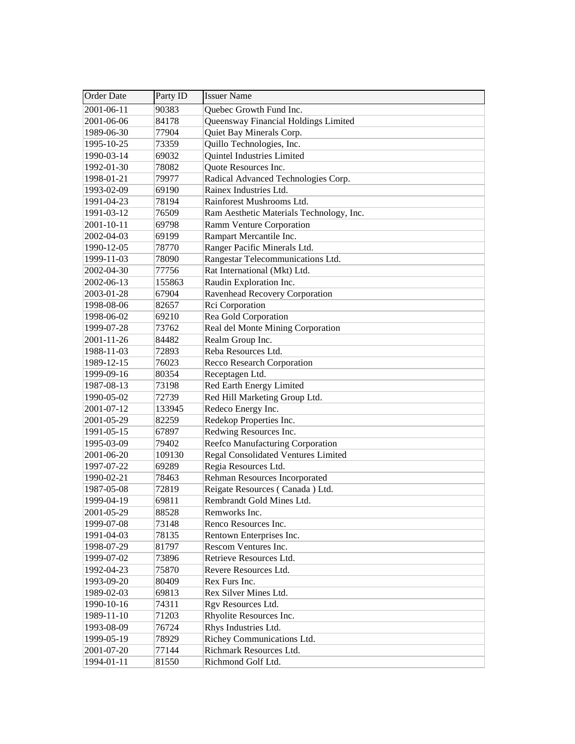| <b>Order Date</b> | Party ID | <b>Issuer Name</b>                         |
|-------------------|----------|--------------------------------------------|
| 2001-06-11        | 90383    | Quebec Growth Fund Inc.                    |
| 2001-06-06        | 84178    | Queensway Financial Holdings Limited       |
| 1989-06-30        | 77904    | Quiet Bay Minerals Corp.                   |
| 1995-10-25        | 73359    | Quillo Technologies, Inc.                  |
| 1990-03-14        | 69032    | Quintel Industries Limited                 |
| 1992-01-30        | 78082    | Quote Resources Inc.                       |
| 1998-01-21        | 79977    | Radical Advanced Technologies Corp.        |
| 1993-02-09        | 69190    | Rainex Industries Ltd.                     |
| 1991-04-23        | 78194    | Rainforest Mushrooms Ltd.                  |
| 1991-03-12        | 76509    | Ram Aesthetic Materials Technology, Inc.   |
| 2001-10-11        | 69798    | Ramm Venture Corporation                   |
| 2002-04-03        | 69199    | Rampart Mercantile Inc.                    |
| 1990-12-05        | 78770    | Ranger Pacific Minerals Ltd.               |
| 1999-11-03        | 78090    | Rangestar Telecommunications Ltd.          |
| 2002-04-30        | 77756    | Rat International (Mkt) Ltd.               |
| 2002-06-13        | 155863   | Raudin Exploration Inc.                    |
| 2003-01-28        | 67904    | Ravenhead Recovery Corporation             |
| 1998-08-06        | 82657    | Rci Corporation                            |
| 1998-06-02        | 69210    | Rea Gold Corporation                       |
| 1999-07-28        | 73762    | Real del Monte Mining Corporation          |
| 2001-11-26        | 84482    | Realm Group Inc.                           |
| 1988-11-03        | 72893    | Reba Resources Ltd.                        |
| 1989-12-15        | 76023    | <b>Recco Research Corporation</b>          |
| 1999-09-16        | 80354    | Receptagen Ltd.                            |
| 1987-08-13        | 73198    | Red Earth Energy Limited                   |
| 1990-05-02        | 72739    | Red Hill Marketing Group Ltd.              |
| 2001-07-12        | 133945   | Redeco Energy Inc.                         |
| 2001-05-29        | 82259    | Redekop Properties Inc.                    |
| 1991-05-15        | 67897    | Redwing Resources Inc.                     |
| 1995-03-09        | 79402    | Reefco Manufacturing Corporation           |
| 2001-06-20        | 109130   | <b>Regal Consolidated Ventures Limited</b> |
| 1997-07-22        | 69289    | Regia Resources Ltd.                       |
| 1990-02-21        | 78463    | Rehman Resources Incorporated              |
| 1987-05-08        | 72819    | Reigate Resources (Canada) Ltd.            |
| 1999-04-19        | 69811    | Rembrandt Gold Mines Ltd.                  |
| 2001-05-29        | 88528    | Remworks Inc.                              |
| 1999-07-08        | 73148    | Renco Resources Inc.                       |
| 1991-04-03        | 78135    | Rentown Enterprises Inc.                   |
| 1998-07-29        | 81797    | Rescom Ventures Inc.                       |
| 1999-07-02        | 73896    | Retrieve Resources Ltd.                    |
| 1992-04-23        | 75870    | Revere Resources Ltd.                      |
| 1993-09-20        | 80409    | Rex Furs Inc.                              |
| 1989-02-03        | 69813    | Rex Silver Mines Ltd.                      |
| 1990-10-16        | 74311    | Rgv Resources Ltd.                         |
| 1989-11-10        | 71203    | Rhyolite Resources Inc.                    |
| 1993-08-09        | 76724    | Rhys Industries Ltd.                       |
| 1999-05-19        | 78929    | Richey Communications Ltd.                 |
| 2001-07-20        | 77144    | Richmark Resources Ltd.                    |
| 1994-01-11        | 81550    | Richmond Golf Ltd.                         |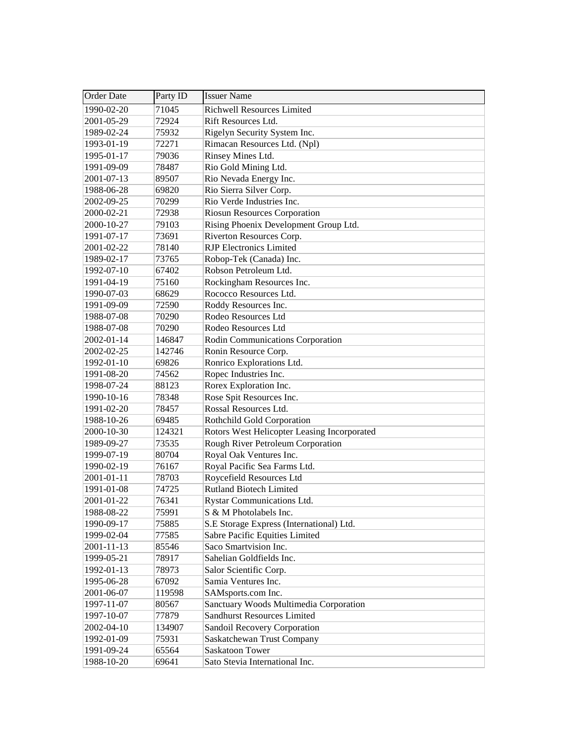| <b>Order Date</b> | Party ID | <b>Issuer Name</b>                          |
|-------------------|----------|---------------------------------------------|
| 1990-02-20        | 71045    | <b>Richwell Resources Limited</b>           |
| 2001-05-29        | 72924    | Rift Resources Ltd.                         |
| 1989-02-24        | 75932    | Rigelyn Security System Inc.                |
| 1993-01-19        | 72271    | Rimacan Resources Ltd. (Npl)                |
| 1995-01-17        | 79036    | Rinsey Mines Ltd.                           |
| 1991-09-09        | 78487    | Rio Gold Mining Ltd.                        |
| 2001-07-13        | 89507    | Rio Nevada Energy Inc.                      |
| 1988-06-28        | 69820    | Rio Sierra Silver Corp.                     |
| 2002-09-25        | 70299    | Rio Verde Industries Inc.                   |
| 2000-02-21        | 72938    | <b>Riosun Resources Corporation</b>         |
| 2000-10-27        | 79103    | Rising Phoenix Development Group Ltd.       |
| 1991-07-17        | 73691    | Riverton Resources Corp.                    |
| 2001-02-22        | 78140    | <b>RJP</b> Electronics Limited              |
| 1989-02-17        | 73765    | Robop-Tek (Canada) Inc.                     |
| 1992-07-10        | 67402    | Robson Petroleum Ltd.                       |
| 1991-04-19        | 75160    | Rockingham Resources Inc.                   |
| 1990-07-03        | 68629    | Rococco Resources Ltd.                      |
| 1991-09-09        | 72590    | Roddy Resources Inc.                        |
| 1988-07-08        | 70290    | Rodeo Resources Ltd                         |
| 1988-07-08        | 70290    | Rodeo Resources Ltd                         |
| 2002-01-14        | 146847   | Rodin Communications Corporation            |
| 2002-02-25        | 142746   | Ronin Resource Corp.                        |
| 1992-01-10        | 69826    | Ronrico Explorations Ltd.                   |
| 1991-08-20        | 74562    | Ropec Industries Inc.                       |
| 1998-07-24        | 88123    | Rorex Exploration Inc.                      |
| 1990-10-16        | 78348    | Rose Spit Resources Inc.                    |
| 1991-02-20        | 78457    | Rossal Resources Ltd.                       |
| 1988-10-26        | 69485    | Rothchild Gold Corporation                  |
| 2000-10-30        | 124321   | Rotors West Helicopter Leasing Incorporated |
| 1989-09-27        | 73535    | Rough River Petroleum Corporation           |
| 1999-07-19        | 80704    | Royal Oak Ventures Inc.                     |
| 1990-02-19        | 76167    | Royal Pacific Sea Farms Ltd.                |
| 2001-01-11        | 78703    | Roycefield Resources Ltd                    |
| 1991-01-08        | 74725    | <b>Rutland Biotech Limited</b>              |
| 2001-01-22        | 76341    | Rystar Communications Ltd.                  |
| 1988-08-22        | 75991    | S & M Photolabels Inc.                      |
| 1990-09-17        | 75885    | S.E Storage Express (International) Ltd.    |
| 1999-02-04        | 77585    | Sabre Pacific Equities Limited              |
| $2001 - 11 - 13$  | 85546    | Saco Smartvision Inc.                       |
| 1999-05-21        | 78917    | Sahelian Goldfields Inc.                    |
| 1992-01-13        | 78973    | Salor Scientific Corp.                      |
| 1995-06-28        | 67092    | Samia Ventures Inc.                         |
| 2001-06-07        | 119598   | SAMsports.com Inc.                          |
| 1997-11-07        | 80567    | Sanctuary Woods Multimedia Corporation      |
| 1997-10-07        | 77879    | <b>Sandhurst Resources Limited</b>          |
| 2002-04-10        | 134907   | Sandoil Recovery Corporation                |
| 1992-01-09        | 75931    | Saskatchewan Trust Company                  |
| 1991-09-24        | 65564    | Saskatoon Tower                             |
| 1988-10-20        | 69641    | Sato Stevia International Inc.              |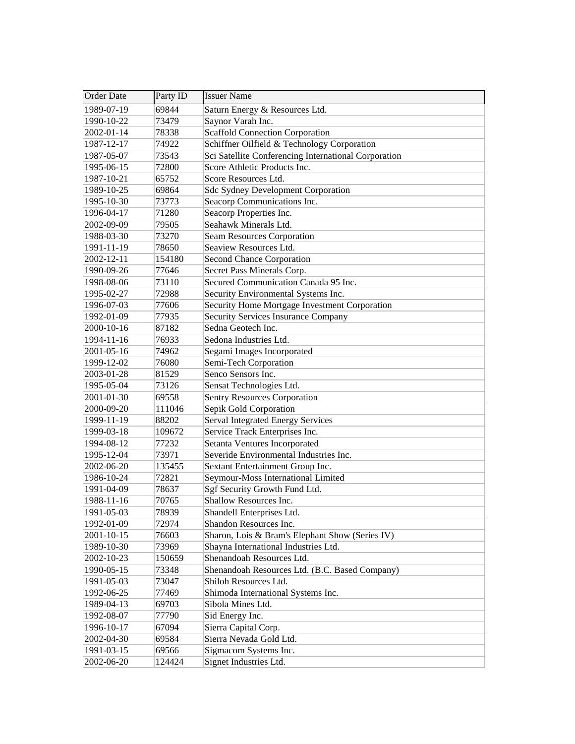| <b>Order Date</b> | Party ID | <b>Issuer Name</b>                                   |
|-------------------|----------|------------------------------------------------------|
| 1989-07-19        | 69844    | Saturn Energy & Resources Ltd.                       |
| 1990-10-22        | 73479    | Saynor Varah Inc.                                    |
| 2002-01-14        | 78338    | <b>Scaffold Connection Corporation</b>               |
| 1987-12-17        | 74922    | Schiffner Oilfield & Technology Corporation          |
| 1987-05-07        | 73543    | Sci Satellite Conferencing International Corporation |
| 1995-06-15        | 72800    | Score Athletic Products Inc.                         |
| 1987-10-21        | 65752    | Score Resources Ltd.                                 |
| 1989-10-25        | 69864    | <b>Sdc Sydney Development Corporation</b>            |
| 1995-10-30        | 73773    | Seacorp Communications Inc.                          |
| 1996-04-17        | 71280    | Seacorp Properties Inc.                              |
| 2002-09-09        | 79505    | Seahawk Minerals Ltd.                                |
| 1988-03-30        | 73270    | Seam Resources Corporation                           |
| 1991-11-19        | 78650    | Seaview Resources Ltd.                               |
| 2002-12-11        | 154180   | Second Chance Corporation                            |
| 1990-09-26        | 77646    | Secret Pass Minerals Corp.                           |
| 1998-08-06        | 73110    | Secured Communication Canada 95 Inc.                 |
| 1995-02-27        | 72988    | Security Environmental Systems Inc.                  |
| 1996-07-03        | 77606    | Security Home Mortgage Investment Corporation        |
| 1992-01-09        | 77935    | <b>Security Services Insurance Company</b>           |
| 2000-10-16        | 87182    | Sedna Geotech Inc.                                   |
| 1994-11-16        | 76933    | Sedona Industries Ltd.                               |
| 2001-05-16        | 74962    | Segami Images Incorporated                           |
| 1999-12-02        | 76080    | Semi-Tech Corporation                                |
| 2003-01-28        | 81529    | Senco Sensors Inc.                                   |
| 1995-05-04        | 73126    | Sensat Technologies Ltd.                             |
| 2001-01-30        | 69558    | <b>Sentry Resources Corporation</b>                  |
| 2000-09-20        | 111046   | Sepik Gold Corporation                               |
| 1999-11-19        | 88202    | <b>Serval Integrated Energy Services</b>             |
| 1999-03-18        | 109672   | Service Track Enterprises Inc.                       |
| 1994-08-12        | 77232    | Setanta Ventures Incorporated                        |
| 1995-12-04        | 73971    | Severide Environmental Industries Inc.               |
| 2002-06-20        | 135455   | Sextant Entertainment Group Inc.                     |
| 1986-10-24        | 72821    | Seymour-Moss International Limited                   |
| 1991-04-09        | 78637    | Sgf Security Growth Fund Ltd.                        |
| 1988-11-16        | 70765    | Shallow Resources Inc.                               |
| 1991-05-03        | 78939    | Shandell Enterprises Ltd.                            |
| 1992-01-09        | 72974    | Shandon Resources Inc.                               |
| 2001-10-15        | 76603    | Sharon, Lois & Bram's Elephant Show (Series IV)      |
| 1989-10-30        | 73969    | Shayna International Industries Ltd.                 |
| 2002-10-23        | 150659   | Shenandoah Resources Ltd.                            |
| 1990-05-15        | 73348    | Shenandoah Resources Ltd. (B.C. Based Company)       |
| 1991-05-03        | 73047    | Shiloh Resources Ltd.                                |
| 1992-06-25        | 77469    | Shimoda International Systems Inc.                   |
| 1989-04-13        | 69703    | Sibola Mines Ltd.                                    |
| 1992-08-07        | 77790    | Sid Energy Inc.                                      |
| 1996-10-17        | 67094    | Sierra Capital Corp.                                 |
| 2002-04-30        | 69584    | Sierra Nevada Gold Ltd.                              |
| 1991-03-15        | 69566    | Sigmacom Systems Inc.                                |
| 2002-06-20        | 124424   | Signet Industries Ltd.                               |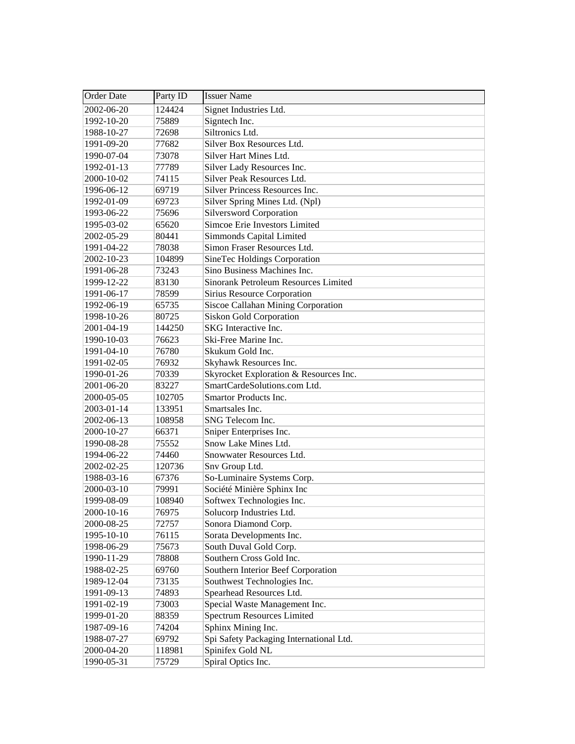| Order Date | Party ID | <b>Issuer Name</b>                      |
|------------|----------|-----------------------------------------|
| 2002-06-20 | 124424   | Signet Industries Ltd.                  |
| 1992-10-20 | 75889    | Signtech Inc.                           |
| 1988-10-27 | 72698    | Siltronics Ltd.                         |
| 1991-09-20 | 77682    | Silver Box Resources Ltd.               |
| 1990-07-04 | 73078    | Silver Hart Mines Ltd.                  |
| 1992-01-13 | 77789    | Silver Lady Resources Inc.              |
| 2000-10-02 | 74115    | Silver Peak Resources Ltd.              |
| 1996-06-12 | 69719    | Silver Princess Resources Inc.          |
| 1992-01-09 | 69723    | Silver Spring Mines Ltd. (Npl)          |
| 1993-06-22 | 75696    | <b>Silversword Corporation</b>          |
| 1995-03-02 | 65620    | Simcoe Erie Investors Limited           |
| 2002-05-29 | 80441    | Simmonds Capital Limited                |
| 1991-04-22 | 78038    | Simon Fraser Resources Ltd.             |
| 2002-10-23 | 104899   | SineTec Holdings Corporation            |
| 1991-06-28 | 73243    | Sino Business Machines Inc.             |
| 1999-12-22 | 83130    | Sinorank Petroleum Resources Limited    |
| 1991-06-17 | 78599    | Sirius Resource Corporation             |
| 1992-06-19 | 65735    | Siscoe Callahan Mining Corporation      |
| 1998-10-26 | 80725    | <b>Siskon Gold Corporation</b>          |
| 2001-04-19 | 144250   | SKG Interactive Inc.                    |
| 1990-10-03 | 76623    | Ski-Free Marine Inc.                    |
| 1991-04-10 | 76780    | Skukum Gold Inc.                        |
| 1991-02-05 | 76932    | Skyhawk Resources Inc.                  |
| 1990-01-26 | 70339    | Skyrocket Exploration & Resources Inc.  |
| 2001-06-20 | 83227    | SmartCardeSolutions.com Ltd.            |
| 2000-05-05 | 102705   | Smartor Products Inc.                   |
| 2003-01-14 | 133951   | Smartsales Inc.                         |
| 2002-06-13 | 108958   | SNG Telecom Inc.                        |
| 2000-10-27 | 66371    | Sniper Enterprises Inc.                 |
| 1990-08-28 | 75552    | Snow Lake Mines Ltd.                    |
| 1994-06-22 | 74460    | Snowwater Resources Ltd.                |
| 2002-02-25 | 120736   | Snv Group Ltd.                          |
| 1988-03-16 | 67376    | So-Luminaire Systems Corp.              |
| 2000-03-10 | 79991    | Société Minière Sphinx Inc              |
| 1999-08-09 | 108940   | Softwex Technologies Inc.               |
| 2000-10-16 | 76975    | Solucorp Industries Ltd.                |
| 2000-08-25 | 72757    | Sonora Diamond Corp.                    |
| 1995-10-10 | 76115    | Sorata Developments Inc.                |
| 1998-06-29 | 75673    | South Duval Gold Corp.                  |
| 1990-11-29 | 78808    | Southern Cross Gold Inc.                |
| 1988-02-25 | 69760    | Southern Interior Beef Corporation      |
| 1989-12-04 | 73135    | Southwest Technologies Inc.             |
| 1991-09-13 | 74893    | Spearhead Resources Ltd.                |
| 1991-02-19 | 73003    | Special Waste Management Inc.           |
| 1999-01-20 | 88359    | <b>Spectrum Resources Limited</b>       |
| 1987-09-16 | 74204    | Sphinx Mining Inc.                      |
| 1988-07-27 | 69792    | Spi Safety Packaging International Ltd. |
| 2000-04-20 | 118981   | Spinifex Gold NL                        |
| 1990-05-31 | 75729    | Spiral Optics Inc.                      |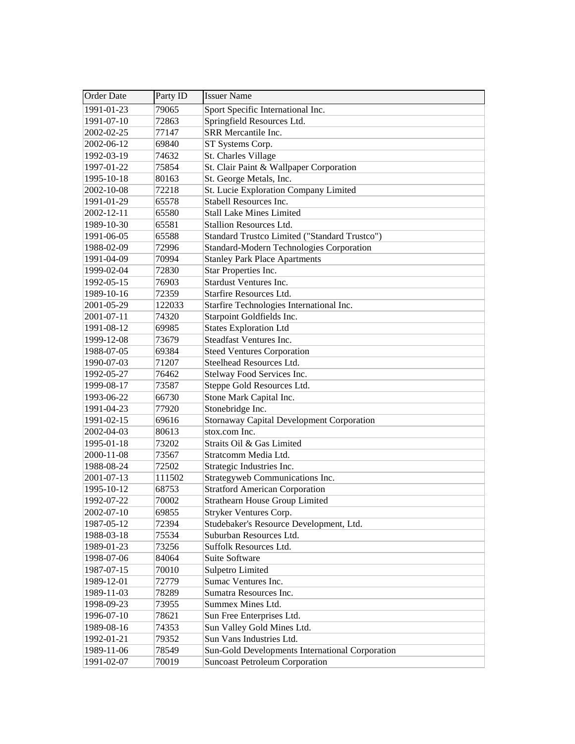| <b>Order Date</b> | Party ID | <b>Issuer Name</b>                               |
|-------------------|----------|--------------------------------------------------|
| 1991-01-23        | 79065    | Sport Specific International Inc.                |
| 1991-07-10        | 72863    | Springfield Resources Ltd.                       |
| 2002-02-25        | 77147    | SRR Mercantile Inc.                              |
| 2002-06-12        | 69840    | ST Systems Corp.                                 |
| 1992-03-19        | 74632    | St. Charles Village                              |
| 1997-01-22        | 75854    | St. Clair Paint & Wallpaper Corporation          |
| 1995-10-18        | 80163    | St. George Metals, Inc.                          |
| 2002-10-08        | 72218    | St. Lucie Exploration Company Limited            |
| 1991-01-29        | 65578    | Stabell Resources Inc.                           |
| 2002-12-11        | 65580    | <b>Stall Lake Mines Limited</b>                  |
| 1989-10-30        | 65581    | <b>Stallion Resources Ltd.</b>                   |
| 1991-06-05        | 65588    | Standard Trustco Limited ("Standard Trustco")    |
| 1988-02-09        | 72996    | Standard-Modern Technologies Corporation         |
| 1991-04-09        | 70994    | <b>Stanley Park Place Apartments</b>             |
| 1999-02-04        | 72830    | Star Properties Inc.                             |
| 1992-05-15        | 76903    | <b>Stardust Ventures Inc.</b>                    |
| 1989-10-16        | 72359    | <b>Starfire Resources Ltd.</b>                   |
| 2001-05-29        | 122033   | Starfire Technologies International Inc.         |
| 2001-07-11        | 74320    | Starpoint Goldfields Inc.                        |
| 1991-08-12        | 69985    | <b>States Exploration Ltd</b>                    |
| 1999-12-08        | 73679    | Steadfast Ventures Inc.                          |
| 1988-07-05        | 69384    | <b>Steed Ventures Corporation</b>                |
| 1990-07-03        | 71207    | Steelhead Resources Ltd.                         |
| 1992-05-27        | 76462    | Stelway Food Services Inc.                       |
| 1999-08-17        | 73587    | Steppe Gold Resources Ltd.                       |
| 1993-06-22        | 66730    | Stone Mark Capital Inc.                          |
| 1991-04-23        | 77920    | Stonebridge Inc.                                 |
| 1991-02-15        | 69616    | <b>Stornaway Capital Development Corporation</b> |
| 2002-04-03        | 80613    | stox.com Inc.                                    |
| 1995-01-18        | 73202    | Straits Oil & Gas Limited                        |
| 2000-11-08        | 73567    | Stratcomm Media Ltd.                             |
| 1988-08-24        | 72502    | Strategic Industries Inc.                        |
| 2001-07-13        | 111502   | Strategyweb Communications Inc.                  |
| 1995-10-12        | 68753    | <b>Stratford American Corporation</b>            |
| 1992-07-22        | 70002    | <b>Strathearn House Group Limited</b>            |
| 2002-07-10        | 69855    | Stryker Ventures Corp.                           |
| 1987-05-12        | 72394    | Studebaker's Resource Development, Ltd.          |
| 1988-03-18        | 75534    | Suburban Resources Ltd.                          |
| 1989-01-23        | 73256    | Suffolk Resources Ltd.                           |
| 1998-07-06        | 84064    | Suite Software                                   |
| 1987-07-15        | 70010    | <b>Sulpetro Limited</b>                          |
| 1989-12-01        | 72779    | Sumac Ventures Inc.                              |
| 1989-11-03        | 78289    | Sumatra Resources Inc.                           |
| 1998-09-23        | 73955    | Summex Mines Ltd.                                |
| 1996-07-10        | 78621    | Sun Free Enterprises Ltd.                        |
| 1989-08-16        | 74353    | Sun Valley Gold Mines Ltd.                       |
| 1992-01-21        | 79352    | Sun Vans Industries Ltd.                         |
| 1989-11-06        | 78549    | Sun-Gold Developments International Corporation  |
| 1991-02-07        | 70019    | <b>Suncoast Petroleum Corporation</b>            |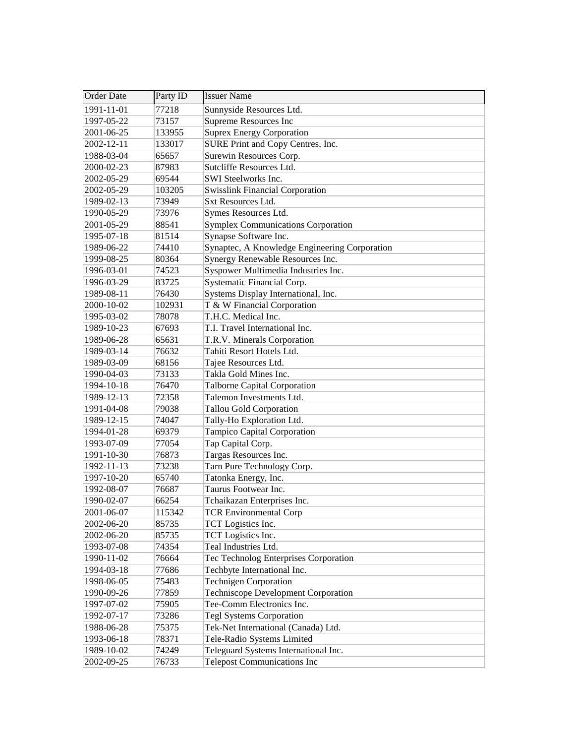| <b>Order Date</b> | Party ID | <b>Issuer Name</b>                            |
|-------------------|----------|-----------------------------------------------|
| 1991-11-01        | 77218    | Sunnyside Resources Ltd.                      |
| 1997-05-22        | 73157    | Supreme Resources Inc                         |
| 2001-06-25        | 133955   | <b>Suprex Energy Corporation</b>              |
| 2002-12-11        | 133017   | SURE Print and Copy Centres, Inc.             |
| 1988-03-04        | 65657    | Surewin Resources Corp.                       |
| 2000-02-23        | 87983    | Sutcliffe Resources Ltd.                      |
| 2002-05-29        | 69544    | SWI Steelworks Inc.                           |
| 2002-05-29        | 103205   | <b>Swisslink Financial Corporation</b>        |
| 1989-02-13        | 73949    | <b>Sxt Resources Ltd.</b>                     |
| 1990-05-29        | 73976    | Symes Resources Ltd.                          |
| 2001-05-29        | 88541    | <b>Symplex Communications Corporation</b>     |
| 1995-07-18        | 81514    | Synapse Software Inc.                         |
| 1989-06-22        | 74410    | Synaptec, A Knowledge Engineering Corporation |
| 1999-08-25        | 80364    | Synergy Renewable Resources Inc.              |
| 1996-03-01        | 74523    | Syspower Multimedia Industries Inc.           |
| 1996-03-29        | 83725    | Systematic Financial Corp.                    |
| 1989-08-11        | 76430    | Systems Display International, Inc.           |
| 2000-10-02        | 102931   | T & W Financial Corporation                   |
| 1995-03-02        | 78078    | T.H.C. Medical Inc.                           |
| 1989-10-23        | 67693    | T.I. Travel International Inc.                |
| 1989-06-28        | 65631    | T.R.V. Minerals Corporation                   |
| 1989-03-14        | 76632    | Tahiti Resort Hotels Ltd.                     |
| 1989-03-09        | 68156    | Tajee Resources Ltd.                          |
| 1990-04-03        | 73133    | Takla Gold Mines Inc.                         |
| 1994-10-18        | 76470    | <b>Talborne Capital Corporation</b>           |
| 1989-12-13        | 72358    | Talemon Investments Ltd.                      |
| 1991-04-08        | 79038    | <b>Tallou Gold Corporation</b>                |
| 1989-12-15        | 74047    | Tally-Ho Exploration Ltd.                     |
| 1994-01-28        | 69379    | Tampico Capital Corporation                   |
| 1993-07-09        | 77054    | Tap Capital Corp.                             |
| 1991-10-30        | 76873    | Targas Resources Inc.                         |
| 1992-11-13        | 73238    | Tarn Pure Technology Corp.                    |
| 1997-10-20        | 65740    | Tatonka Energy, Inc.                          |
| 1992-08-07        | 76687    | Taurus Footwear Inc.                          |
| 1990-02-07        | 66254    | Tchaikazan Enterprises Inc.                   |
| 2001-06-07        | 115342   | <b>TCR Environmental Corp</b>                 |
| 2002-06-20        | 85735    | TCT Logistics Inc.                            |
| 2002-06-20        | 85735    | TCT Logistics Inc.                            |
| 1993-07-08        | 74354    | Teal Industries Ltd.                          |
| 1990-11-02        | 76664    | Tec Technolog Enterprises Corporation         |
| 1994-03-18        | 77686    | Techbyte International Inc.                   |
| 1998-06-05        | 75483    | <b>Technigen Corporation</b>                  |
| 1990-09-26        | 77859    | <b>Techniscope Development Corporation</b>    |
| 1997-07-02        | 75905    | Tee-Comm Electronics Inc.                     |
| 1992-07-17        | 73286    | <b>Tegl Systems Corporation</b>               |
| 1988-06-28        | 75375    | Tek-Net International (Canada) Ltd.           |
| 1993-06-18        | 78371    | Tele-Radio Systems Limited                    |
| 1989-10-02        | 74249    | Teleguard Systems International Inc.          |
| 2002-09-25        | 76733    | <b>Telepost Communications Inc</b>            |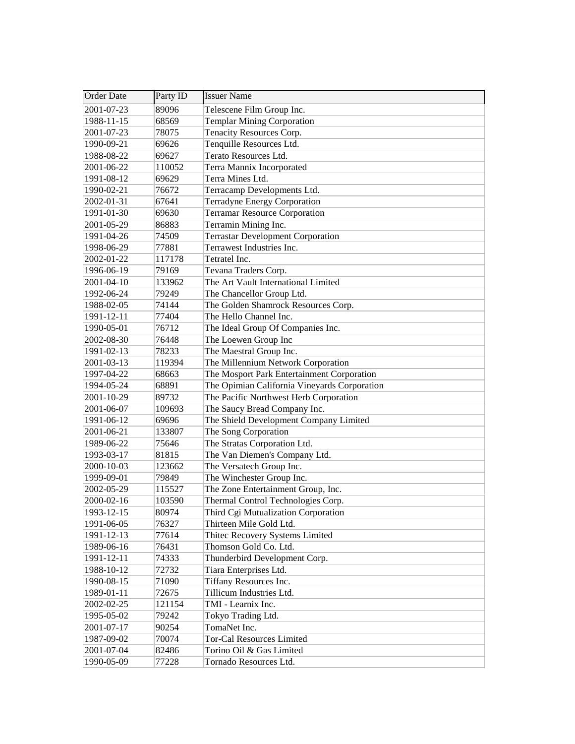| <b>Order Date</b> | Party ID | <b>Issuer Name</b>                           |
|-------------------|----------|----------------------------------------------|
| 2001-07-23        | 89096    | Telescene Film Group Inc.                    |
| 1988-11-15        | 68569    | <b>Templar Mining Corporation</b>            |
| 2001-07-23        | 78075    | Tenacity Resources Corp.                     |
| 1990-09-21        | 69626    | Tenquille Resources Ltd.                     |
| 1988-08-22        | 69627    | Terato Resources Ltd.                        |
| 2001-06-22        | 110052   | Terra Mannix Incorporated                    |
| 1991-08-12        | 69629    | Terra Mines Ltd.                             |
| 1990-02-21        | 76672    | Terracamp Developments Ltd.                  |
| 2002-01-31        | 67641    | <b>Terradyne Energy Corporation</b>          |
| 1991-01-30        | 69630    | <b>Terramar Resource Corporation</b>         |
| 2001-05-29        | 86883    | Terramin Mining Inc.                         |
| 1991-04-26        | 74509    | <b>Terrastar Development Corporation</b>     |
| 1998-06-29        | 77881    | Terrawest Industries Inc.                    |
| 2002-01-22        | 117178   | Tetratel Inc.                                |
| 1996-06-19        | 79169    | Tevana Traders Corp.                         |
| 2001-04-10        | 133962   | The Art Vault International Limited          |
| 1992-06-24        | 79249    | The Chancellor Group Ltd.                    |
| 1988-02-05        | 74144    | The Golden Shamrock Resources Corp.          |
| 1991-12-11        | 77404    | The Hello Channel Inc.                       |
| 1990-05-01        | 76712    | The Ideal Group Of Companies Inc.            |
| 2002-08-30        | 76448    | The Loewen Group Inc                         |
| 1991-02-13        | 78233    | The Maestral Group Inc.                      |
| 2001-03-13        | 119394   | The Millennium Network Corporation           |
| 1997-04-22        | 68663    | The Mosport Park Entertainment Corporation   |
| 1994-05-24        | 68891    | The Opimian California Vineyards Corporation |
| 2001-10-29        | 89732    | The Pacific Northwest Herb Corporation       |
| 2001-06-07        | 109693   | The Saucy Bread Company Inc.                 |
| 1991-06-12        | 69696    | The Shield Development Company Limited       |
| 2001-06-21        | 133807   | The Song Corporation                         |
| 1989-06-22        | 75646    | The Stratas Corporation Ltd.                 |
| 1993-03-17        | 81815    | The Van Diemen's Company Ltd.                |
| 2000-10-03        | 123662   | The Versatech Group Inc.                     |
| 1999-09-01        | 79849    | The Winchester Group Inc.                    |
| 2002-05-29        | 115527   | The Zone Entertainment Group, Inc.           |
| 2000-02-16        | 103590   | Thermal Control Technologies Corp.           |
| 1993-12-15        | 80974    | Third Cgi Mutualization Corporation          |
| 1991-06-05        | 76327    | Thirteen Mile Gold Ltd.                      |
| 1991-12-13        | 77614    | Thitec Recovery Systems Limited              |
| 1989-06-16        | 76431    | Thomson Gold Co. Ltd.                        |
| 1991-12-11        | 74333    | Thunderbird Development Corp.                |
| 1988-10-12        | 72732    | Tiara Enterprises Ltd.                       |
| 1990-08-15        | 71090    | Tiffany Resources Inc.                       |
| 1989-01-11        | 72675    | Tillicum Industries Ltd.                     |
| 2002-02-25        | 121154   | TMI - Learnix Inc.                           |
| 1995-05-02        | 79242    | Tokyo Trading Ltd.                           |
| 2001-07-17        | 90254    | TomaNet Inc.                                 |
| 1987-09-02        | 70074    | <b>Tor-Cal Resources Limited</b>             |
| 2001-07-04        | 82486    | Torino Oil & Gas Limited                     |
| 1990-05-09        | 77228    | Tornado Resources Ltd.                       |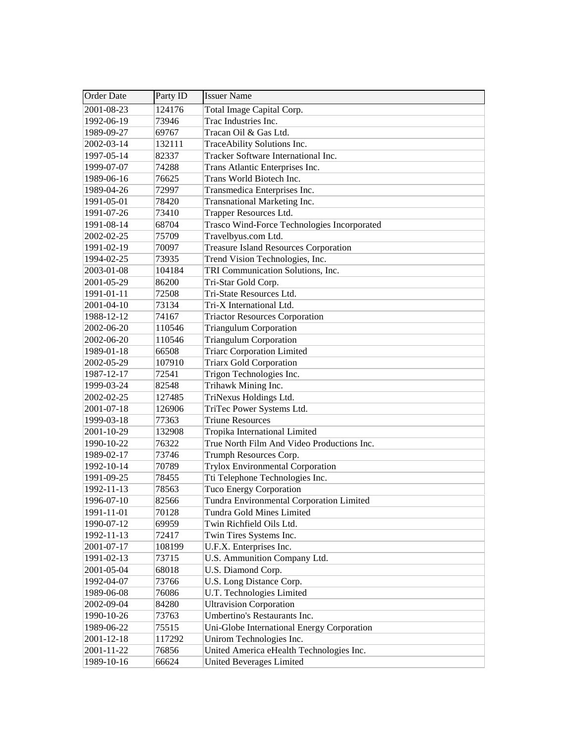| <b>Order Date</b> | Party ID | <b>Issuer Name</b>                           |
|-------------------|----------|----------------------------------------------|
| 2001-08-23        | 124176   | Total Image Capital Corp.                    |
| 1992-06-19        | 73946    | Trac Industries Inc.                         |
| 1989-09-27        | 69767    | Tracan Oil & Gas Ltd.                        |
| 2002-03-14        | 132111   | TraceAbility Solutions Inc.                  |
| 1997-05-14        | 82337    | Tracker Software International Inc.          |
| 1999-07-07        | 74288    | Trans Atlantic Enterprises Inc.              |
| 1989-06-16        | 76625    | Trans World Biotech Inc.                     |
| 1989-04-26        | 72997    | Transmedica Enterprises Inc.                 |
| 1991-05-01        | 78420    | Transnational Marketing Inc.                 |
| 1991-07-26        | 73410    | Trapper Resources Ltd.                       |
| 1991-08-14        | 68704    | Trasco Wind-Force Technologies Incorporated  |
| 2002-02-25        | 75709    | Travelbyus.com Ltd.                          |
| 1991-02-19        | 70097    | <b>Treasure Island Resources Corporation</b> |
| 1994-02-25        | 73935    | Trend Vision Technologies, Inc.              |
| 2003-01-08        | 104184   | TRI Communication Solutions, Inc.            |
| 2001-05-29        | 86200    | Tri-Star Gold Corp.                          |
| 1991-01-11        | 72508    | Tri-State Resources Ltd.                     |
| $2001 - 04 - 10$  | 73134    | Tri-X International Ltd.                     |
| 1988-12-12        | 74167    | <b>Triactor Resources Corporation</b>        |
| 2002-06-20        | 110546   | <b>Triangulum Corporation</b>                |
| 2002-06-20        | 110546   | <b>Triangulum Corporation</b>                |
| 1989-01-18        | 66508    | <b>Triarc Corporation Limited</b>            |
| 2002-05-29        | 107910   | <b>Triarx Gold Corporation</b>               |
| 1987-12-17        | 72541    | Trigon Technologies Inc.                     |
| 1999-03-24        | 82548    | Trihawk Mining Inc.                          |
| 2002-02-25        | 127485   | TriNexus Holdings Ltd.                       |
| 2001-07-18        | 126906   | TriTec Power Systems Ltd.                    |
| 1999-03-18        | 77363    | <b>Triune Resources</b>                      |
| 2001-10-29        | 132908   | Tropika International Limited                |
| 1990-10-22        | 76322    | True North Film And Video Productions Inc.   |
| 1989-02-17        | 73746    | Trumph Resources Corp.                       |
| 1992-10-14        | 70789    | <b>Trylox Environmental Corporation</b>      |
| 1991-09-25        | 78455    | Tti Telephone Technologies Inc.              |
| 1992-11-13        | 78563    | Tuco Energy Corporation                      |
| 1996-07-10        | 82566    | Tundra Environmental Corporation Limited     |
| 1991-11-01        | 70128    | Tundra Gold Mines Limited                    |
| 1990-07-12        | 69959    | Twin Richfield Oils Ltd.                     |
| 1992-11-13        | 72417    | Twin Tires Systems Inc.                      |
| 2001-07-17        | 108199   | U.F.X. Enterprises Inc.                      |
| 1991-02-13        | 73715    | U.S. Ammunition Company Ltd.                 |
| 2001-05-04        | 68018    | U.S. Diamond Corp.                           |
| 1992-04-07        | 73766    | U.S. Long Distance Corp.                     |
| 1989-06-08        | 76086    | U.T. Technologies Limited                    |
| 2002-09-04        | 84280    | <b>Ultravision Corporation</b>               |
| 1990-10-26        | 73763    | Umbertino's Restaurants Inc.                 |
| 1989-06-22        | 75515    | Uni-Globe International Energy Corporation   |
| 2001-12-18        | 117292   | Unirom Technologies Inc.                     |
| 2001-11-22        | 76856    | United America eHealth Technologies Inc.     |
| 1989-10-16        | 66624    | United Beverages Limited                     |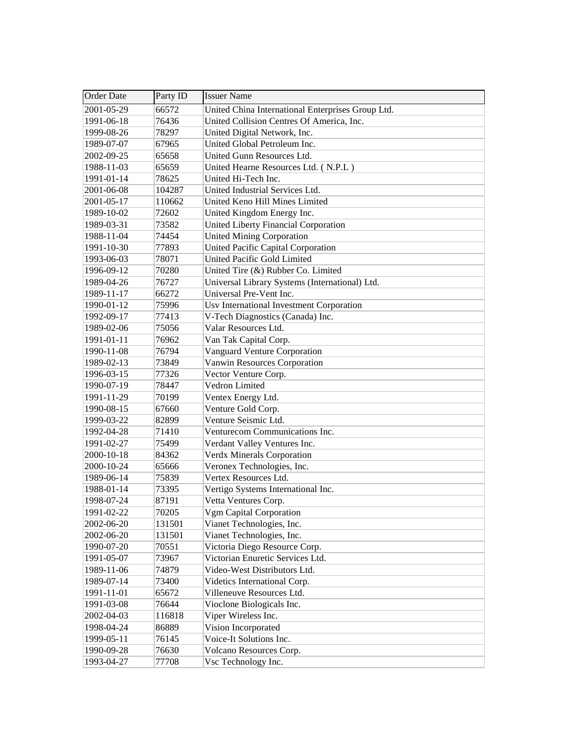| <b>Order Date</b> | Party ID | <b>Issuer Name</b>                                |
|-------------------|----------|---------------------------------------------------|
| 2001-05-29        | 66572    | United China International Enterprises Group Ltd. |
| 1991-06-18        | 76436    | United Collision Centres Of America, Inc.         |
| 1999-08-26        | 78297    | United Digital Network, Inc.                      |
| 1989-07-07        | 67965    | United Global Petroleum Inc.                      |
| 2002-09-25        | 65658    | United Gunn Resources Ltd.                        |
| 1988-11-03        | 65659    | United Hearne Resources Ltd. (N.P.L)              |
| 1991-01-14        | 78625    | United Hi-Tech Inc.                               |
| 2001-06-08        | 104287   | United Industrial Services Ltd.                   |
| 2001-05-17        | 110662   | United Keno Hill Mines Limited                    |
| 1989-10-02        | 72602    | United Kingdom Energy Inc.                        |
| 1989-03-31        | 73582    | United Liberty Financial Corporation              |
| 1988-11-04        | 74454    | <b>United Mining Corporation</b>                  |
| 1991-10-30        | 77893    | United Pacific Capital Corporation                |
| 1993-06-03        | 78071    | United Pacific Gold Limited                       |
| 1996-09-12        | 70280    | United Tire (&) Rubber Co. Limited                |
| 1989-04-26        | 76727    | Universal Library Systems (International) Ltd.    |
| 1989-11-17        | 66272    | Universal Pre-Vent Inc.                           |
| 1990-01-12        | 75996    | Usv International Investment Corporation          |
| 1992-09-17        | 77413    | V-Tech Diagnostics (Canada) Inc.                  |
| 1989-02-06        | 75056    | Valar Resources Ltd.                              |
| 1991-01-11        | 76962    | Van Tak Capital Corp.                             |
| 1990-11-08        | 76794    | <b>Vanguard Venture Corporation</b>               |
| 1989-02-13        | 73849    | Vanwin Resources Corporation                      |
| 1996-03-15        | 77326    | Vector Venture Corp.                              |
| 1990-07-19        | 78447    | Vedron Limited                                    |
| 1991-11-29        | 70199    | Ventex Energy Ltd.                                |
| 1990-08-15        | 67660    | Venture Gold Corp.                                |
| 1999-03-22        | 82899    | Venture Seismic Ltd.                              |
| 1992-04-28        | 71410    | Venturecom Communications Inc.                    |
| 1991-02-27        | 75499    | Verdant Valley Ventures Inc.                      |
| 2000-10-18        | 84362    | <b>Verdx Minerals Corporation</b>                 |
| 2000-10-24        | 65666    | Veronex Technologies, Inc.                        |
| 1989-06-14        | 75839    | Vertex Resources Ltd.                             |
| 1988-01-14        | 73395    | Vertigo Systems International Inc.                |
| 1998-07-24        | 87191    | Vetta Ventures Corp.                              |
| 1991-02-22        | 70205    | Vgm Capital Corporation                           |
| 2002-06-20        | 131501   | Vianet Technologies, Inc.                         |
| 2002-06-20        | 131501   | Vianet Technologies, Inc.                         |
| 1990-07-20        | 70551    | Victoria Diego Resource Corp.                     |
| 1991-05-07        | 73967    | Victorian Enuretic Services Ltd.                  |
| 1989-11-06        | 74879    | Video-West Distributors Ltd.                      |
| 1989-07-14        | 73400    | Videtics International Corp.                      |
| 1991-11-01        | 65672    | Villeneuve Resources Ltd.                         |
| 1991-03-08        | 76644    | Vioclone Biologicals Inc.                         |
| 2002-04-03        | 116818   | Viper Wireless Inc.                               |
| 1998-04-24        | 86889    | Vision Incorporated                               |
| 1999-05-11        | 76145    | Voice-It Solutions Inc.                           |
| 1990-09-28        | 76630    | Volcano Resources Corp.                           |
| 1993-04-27        | 77708    | Vsc Technology Inc.                               |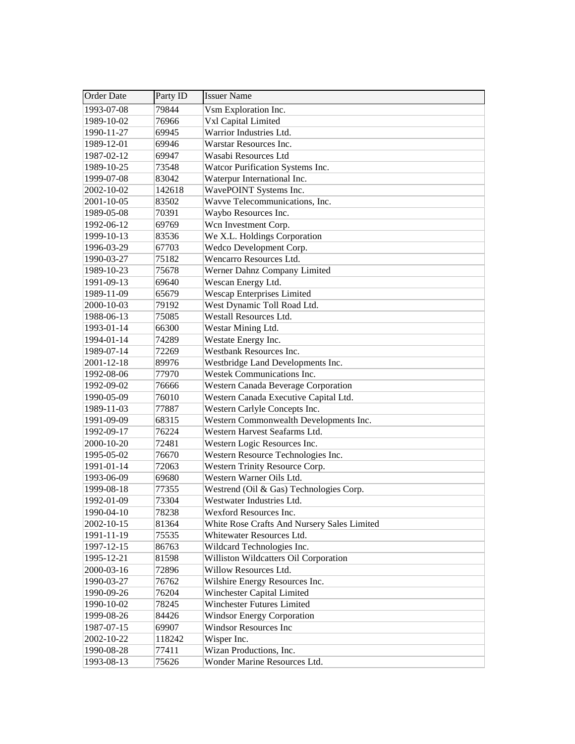| Order Date | Party ID | <b>Issuer Name</b>                          |
|------------|----------|---------------------------------------------|
| 1993-07-08 | 79844    | Vsm Exploration Inc.                        |
| 1989-10-02 | 76966    | Vxl Capital Limited                         |
| 1990-11-27 | 69945    | Warrior Industries Ltd.                     |
| 1989-12-01 | 69946    | Warstar Resources Inc.                      |
| 1987-02-12 | 69947    | Wasabi Resources Ltd                        |
| 1989-10-25 | 73548    | Watcor Purification Systems Inc.            |
| 1999-07-08 | 83042    | Waterpur International Inc.                 |
| 2002-10-02 | 142618   | WavePOINT Systems Inc.                      |
| 2001-10-05 | 83502    | Wavve Telecommunications, Inc.              |
| 1989-05-08 | 70391    | Waybo Resources Inc.                        |
| 1992-06-12 | 69769    | Wcn Investment Corp.                        |
| 1999-10-13 | 83536    | We X.L. Holdings Corporation                |
| 1996-03-29 | 67703    | Wedco Development Corp.                     |
| 1990-03-27 | 75182    | Wencarro Resources Ltd.                     |
| 1989-10-23 | 75678    | Werner Dahnz Company Limited                |
| 1991-09-13 | 69640    | Wescan Energy Ltd.                          |
| 1989-11-09 | 65679    | <b>Wescap Enterprises Limited</b>           |
| 2000-10-03 | 79192    | West Dynamic Toll Road Ltd.                 |
| 1988-06-13 | 75085    | Westall Resources Ltd.                      |
| 1993-01-14 | 66300    | Westar Mining Ltd.                          |
| 1994-01-14 | 74289    | Westate Energy Inc.                         |
| 1989-07-14 | 72269    | Westbank Resources Inc.                     |
| 2001-12-18 | 89976    | Westbridge Land Developments Inc.           |
| 1992-08-06 | 77970    | Westek Communications Inc.                  |
| 1992-09-02 | 76666    | Western Canada Beverage Corporation         |
| 1990-05-09 | 76010    | Western Canada Executive Capital Ltd.       |
| 1989-11-03 | 77887    | Western Carlyle Concepts Inc.               |
| 1991-09-09 | 68315    | Western Commonwealth Developments Inc.      |
| 1992-09-17 | 76224    | Western Harvest Seafarms Ltd.               |
| 2000-10-20 | 72481    | Western Logic Resources Inc.                |
| 1995-05-02 | 76670    | Western Resource Technologies Inc.          |
| 1991-01-14 | 72063    | Western Trinity Resource Corp.              |
| 1993-06-09 | 69680    | Western Warner Oils Ltd.                    |
| 1999-08-18 | 77355    | Westrend (Oil & Gas) Technologies Corp.     |
| 1992-01-09 | 73304    | Westwater Industries Ltd.                   |
| 1990-04-10 | 78238    | Wexford Resources Inc.                      |
| 2002-10-15 | 81364    | White Rose Crafts And Nursery Sales Limited |
| 1991-11-19 | 75535    | Whitewater Resources Ltd.                   |
| 1997-12-15 | 86763    | Wildcard Technologies Inc.                  |
| 1995-12-21 | 81598    | Williston Wildcatters Oil Corporation       |
| 2000-03-16 | 72896    | Willow Resources Ltd.                       |
| 1990-03-27 | 76762    | Wilshire Energy Resources Inc.              |
| 1990-09-26 | 76204    | Winchester Capital Limited                  |
| 1990-10-02 | 78245    | Winchester Futures Limited                  |
| 1999-08-26 | 84426    | <b>Windsor Energy Corporation</b>           |
| 1987-07-15 | 69907    | <b>Windsor Resources Inc</b>                |
| 2002-10-22 | 118242   | Wisper Inc.                                 |
| 1990-08-28 | 77411    | Wizan Productions, Inc.                     |
| 1993-08-13 | 75626    | Wonder Marine Resources Ltd.                |